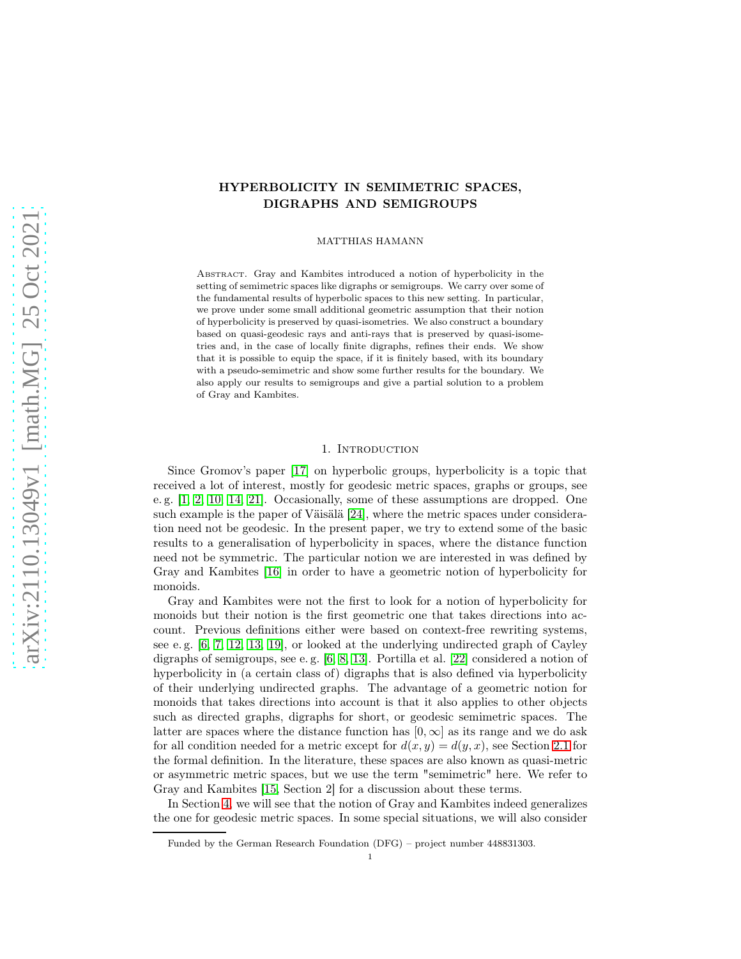# HYPERBOLICITY IN SEMIMETRIC SPACES, DIGRAPHS AND SEMIGROUPS

MATTHIAS HAMANN

Abstract. Gray and Kambites introduced a notion of hyperbolicity in the setting of semimetric spaces like digraphs or semigroups. We carry over some of the fundamental results of hyperbolic spaces to this new setting. In particular, we prove under some small additional geometric assumption that their notion of hyperbolicity is preserved by quasi-isometries. We also construct a boundary based on quasi-geodesic rays and anti-rays that is preserved by quasi-isometries and, in the case of locally finite digraphs, refines their ends. We show that it is possible to equip the space, if it is finitely based, with its boundary with a pseudo-semimetric and show some further results for the boundary. We also apply our results to semigroups and give a partial solution to a problem of Gray and Kambites.

## 1. INTRODUCTION

Since Gromov's paper [\[17\]](#page-43-0) on hyperbolic groups, hyperbolicity is a topic that received a lot of interest, mostly for geodesic metric spaces, graphs or groups, see e. g. [\[1,](#page-42-0) [2,](#page-42-1) [10,](#page-43-1) [14,](#page-43-2) [21\]](#page-43-3). Occasionally, some of these assumptions are dropped. One such example is the paper of Väisälä [\[24\]](#page-43-4), where the metric spaces under consideration need not be geodesic. In the present paper, we try to extend some of the basic results to a generalisation of hyperbolicity in spaces, where the distance function need not be symmetric. The particular notion we are interested in was defined by Gray and Kambites [\[16\]](#page-43-5) in order to have a geometric notion of hyperbolicity for monoids.

Gray and Kambites were not the first to look for a notion of hyperbolicity for monoids but their notion is the first geometric one that takes directions into account. Previous definitions either were based on context-free rewriting systems, see e. g. [\[6,](#page-42-2) [7,](#page-42-3) [12,](#page-43-6) [13,](#page-43-7) [19\]](#page-43-8), or looked at the underlying undirected graph of Cayley digraphs of semigroups, see e. g. [\[6,](#page-42-2) [8,](#page-43-9) [13\]](#page-43-7). Portilla et al. [\[22\]](#page-43-10) considered a notion of hyperbolicity in (a certain class of) digraphs that is also defined via hyperbolicity of their underlying undirected graphs. The advantage of a geometric notion for monoids that takes directions into account is that it also applies to other objects such as directed graphs, digraphs for short, or geodesic semimetric spaces. The latter are spaces where the distance function has  $[0, \infty]$  as its range and we do ask for all condition needed for a metric except for  $d(x, y) = d(y, x)$ , see Section [2.1](#page-3-0) for the formal definition. In the literature, these spaces are also known as quasi-metric or asymmetric metric spaces, but we use the term "semimetric" here. We refer to Gray and Kambites [\[15,](#page-43-11) Section 2] for a discussion about these terms.

In Section [4,](#page-8-0) we will see that the notion of Gray and Kambites indeed generalizes the one for geodesic metric spaces. In some special situations, we will also consider

Funded by the German Research Foundation (DFG) – project number 448831303.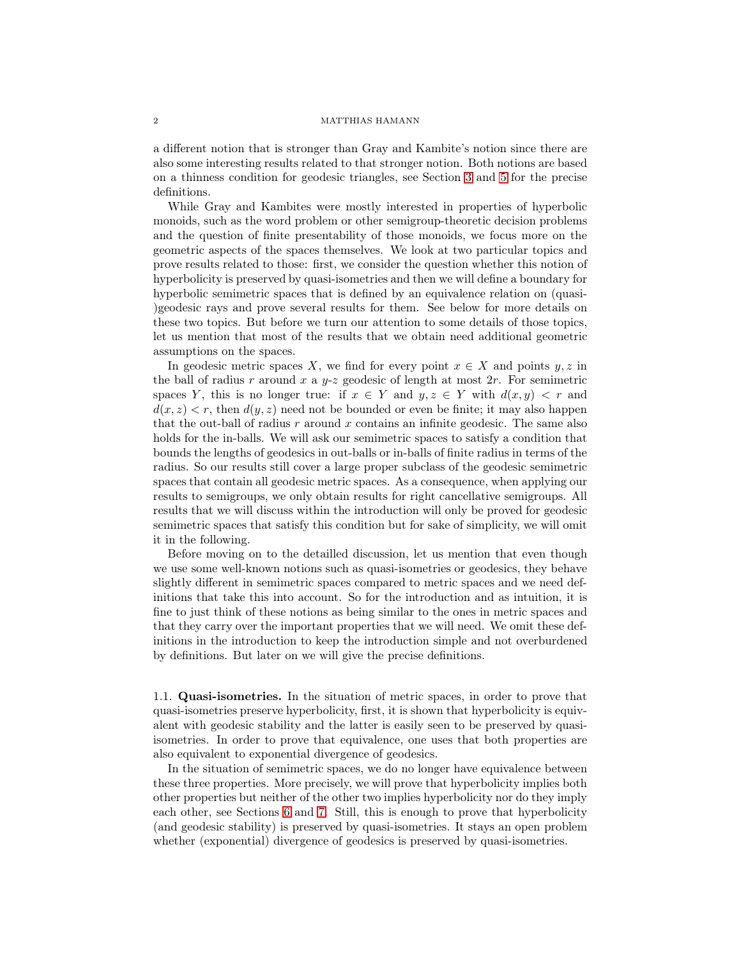a different notion that is stronger than Gray and Kambite's notion since there are also some interesting results related to that stronger notion. Both notions are based on a thinness condition for geodesic triangles, see Section [3](#page-5-0) and [5](#page-9-0) for the precise definitions.

While Gray and Kambites were mostly interested in properties of hyperbolic monoids, such as the word problem or other semigroup-theoretic decision problems and the question of finite presentability of those monoids, we focus more on the geometric aspects of the spaces themselves. We look at two particular topics and prove results related to those: first, we consider the question whether this notion of hyperbolicity is preserved by quasi-isometries and then we will define a boundary for hyperbolic semimetric spaces that is defined by an equivalence relation on (quasi- )geodesic rays and prove several results for them. See below for more details on these two topics. But before we turn our attention to some details of those topics, let us mention that most of the results that we obtain need additional geometric assumptions on the spaces.

In geodesic metric spaces X, we find for every point  $x \in X$  and points  $y, z$  in the ball of radius r around x a  $y-z$  geodesic of length at most  $2r$ . For semimetric spaces Y, this is no longer true: if  $x \in Y$  and  $y, z \in Y$  with  $d(x, y) < r$  and  $d(x, z) < r$ , then  $d(y, z)$  need not be bounded or even be finite; it may also happen that the out-ball of radius  $r$  around  $x$  contains an infinite geodesic. The same also holds for the in-balls. We will ask our semimetric spaces to satisfy a condition that bounds the lengths of geodesics in out-balls or in-balls of finite radius in terms of the radius. So our results still cover a large proper subclass of the geodesic semimetric spaces that contain all geodesic metric spaces. As a consequence, when applying our results to semigroups, we only obtain results for right cancellative semigroups. All results that we will discuss within the introduction will only be proved for geodesic semimetric spaces that satisfy this condition but for sake of simplicity, we will omit it in the following.

Before moving on to the detailled discussion, let us mention that even though we use some well-known notions such as quasi-isometries or geodesics, they behave slightly different in semimetric spaces compared to metric spaces and we need definitions that take this into account. So for the introduction and as intuition, it is fine to just think of these notions as being similar to the ones in metric spaces and that they carry over the important properties that we will need. We omit these definitions in the introduction to keep the introduction simple and not overburdened by definitions. But later on we will give the precise definitions.

1.1. Quasi-isometries. In the situation of metric spaces, in order to prove that quasi-isometries preserve hyperbolicity, first, it is shown that hyperbolicity is equivalent with geodesic stability and the latter is easily seen to be preserved by quasiisometries. In order to prove that equivalence, one uses that both properties are also equivalent to exponential divergence of geodesics.

In the situation of semimetric spaces, we do no longer have equivalence between these three properties. More precisely, we will prove that hyperbolicity implies both other properties but neither of the other two implies hyperbolicity nor do they imply each other, see Sections [6](#page-11-0) and [7.](#page-13-0) Still, this is enough to prove that hyperbolicity (and geodesic stability) is preserved by quasi-isometries. It stays an open problem whether (exponential) divergence of geodesics is preserved by quasi-isometries.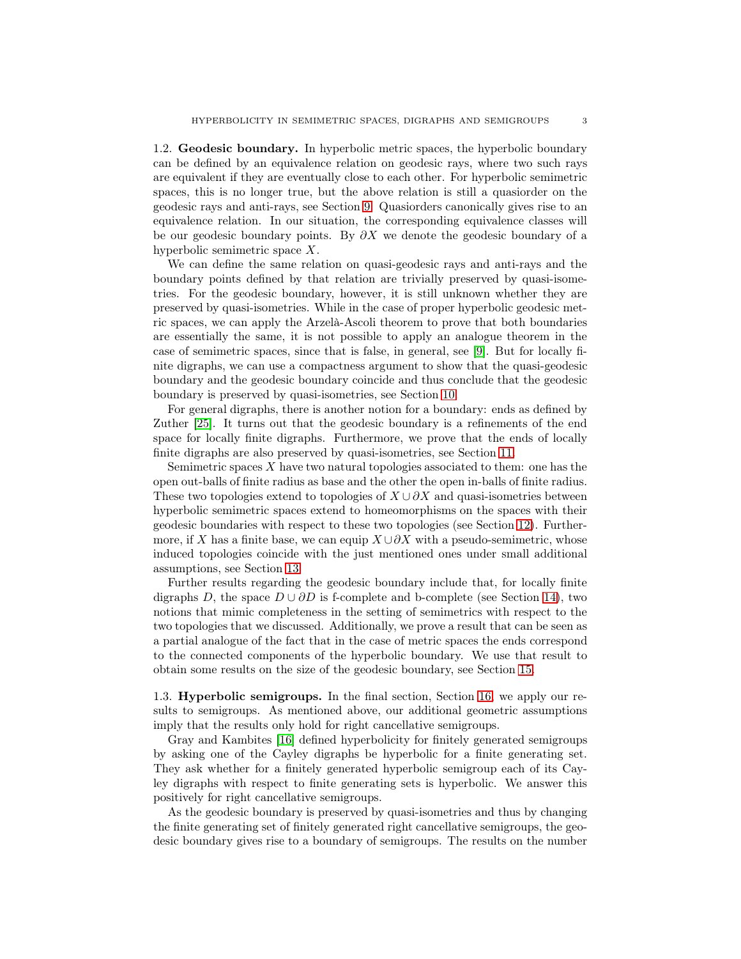1.2. Geodesic boundary. In hyperbolic metric spaces, the hyperbolic boundary can be defined by an equivalence relation on geodesic rays, where two such rays are equivalent if they are eventually close to each other. For hyperbolic semimetric spaces, this is no longer true, but the above relation is still a quasiorder on the geodesic rays and anti-rays, see Section [9.](#page-18-0) Quasiorders canonically gives rise to an equivalence relation. In our situation, the corresponding equivalence classes will be our geodesic boundary points. By  $\partial X$  we denote the geodesic boundary of a hyperbolic semimetric space X.

We can define the same relation on quasi-geodesic rays and anti-rays and the boundary points defined by that relation are trivially preserved by quasi-isometries. For the geodesic boundary, however, it is still unknown whether they are preserved by quasi-isometries. While in the case of proper hyperbolic geodesic metric spaces, we can apply the Arzelà-Ascoli theorem to prove that both boundaries are essentially the same, it is not possible to apply an analogue theorem in the case of semimetric spaces, since that is false, in general, see [\[9\]](#page-43-12). But for locally finite digraphs, we can use a compactness argument to show that the quasi-geodesic boundary and the geodesic boundary coincide and thus conclude that the geodesic boundary is preserved by quasi-isometries, see Section [10.](#page-21-0)

For general digraphs, there is another notion for a boundary: ends as defined by Zuther [\[25\]](#page-43-13). It turns out that the geodesic boundary is a refinements of the end space for locally finite digraphs. Furthermore, we prove that the ends of locally finite digraphs are also preserved by quasi-isometries, see Section [11.](#page-23-0)

Semimetric spaces  $X$  have two natural topologies associated to them: one has the open out-balls of finite radius as base and the other the open in-balls of finite radius. These two topologies extend to topologies of  $X \cup \partial X$  and quasi-isometries between hyperbolic semimetric spaces extend to homeomorphisms on the spaces with their geodesic boundaries with respect to these two topologies (see Section [12\)](#page-27-0). Furthermore, if X has a finite base, we can equip  $X \cup \partial X$  with a pseudo-semimetric, whose induced topologies coincide with the just mentioned ones under small additional assumptions, see Section [13.](#page-29-0)

Further results regarding the geodesic boundary include that, for locally finite digraphs D, the space  $D \cup \partial D$  is f-complete and b-complete (see Section [14\)](#page-34-0), two notions that mimic completeness in the setting of semimetrics with respect to the two topologies that we discussed. Additionally, we prove a result that can be seen as a partial analogue of the fact that in the case of metric spaces the ends correspond to the connected components of the hyperbolic boundary. We use that result to obtain some results on the size of the geodesic boundary, see Section [15.](#page-37-0)

1.3. Hyperbolic semigroups. In the final section, Section [16,](#page-41-0) we apply our results to semigroups. As mentioned above, our additional geometric assumptions imply that the results only hold for right cancellative semigroups.

Gray and Kambites [\[16\]](#page-43-5) defined hyperbolicity for finitely generated semigroups by asking one of the Cayley digraphs be hyperbolic for a finite generating set. They ask whether for a finitely generated hyperbolic semigroup each of its Cayley digraphs with respect to finite generating sets is hyperbolic. We answer this positively for right cancellative semigroups.

As the geodesic boundary is preserved by quasi-isometries and thus by changing the finite generating set of finitely generated right cancellative semigroups, the geodesic boundary gives rise to a boundary of semigroups. The results on the number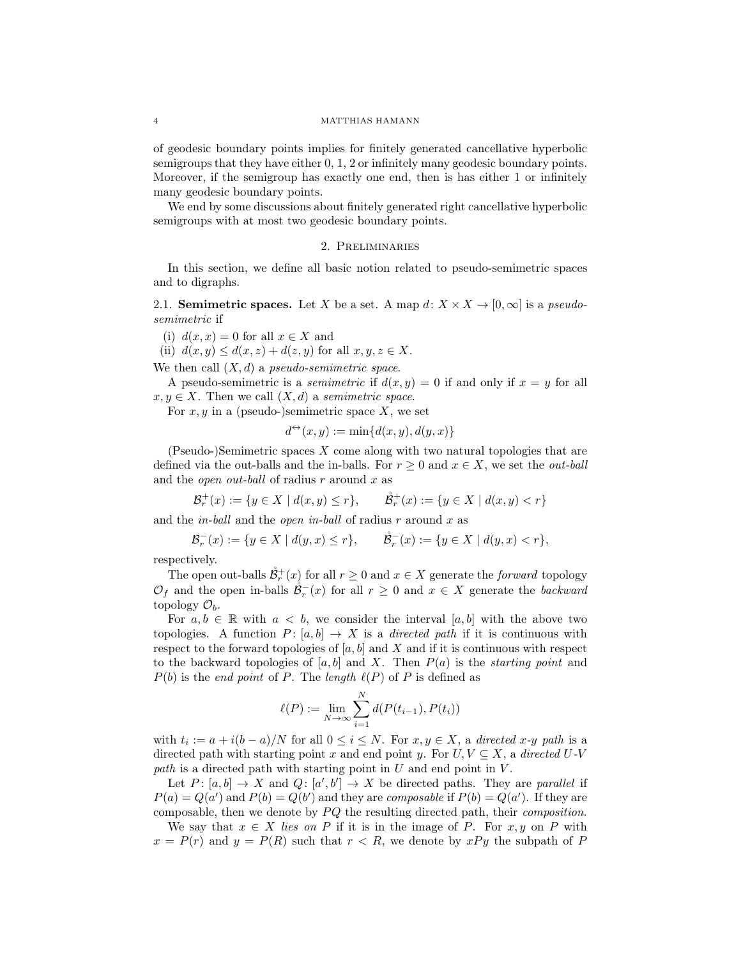of geodesic boundary points implies for finitely generated cancellative hyperbolic semigroups that they have either 0, 1, 2 or infinitely many geodesic boundary points. Moreover, if the semigroup has exactly one end, then is has either 1 or infinitely many geodesic boundary points.

We end by some discussions about finitely generated right cancellative hyperbolic semigroups with at most two geodesic boundary points.

## 2. Preliminaries

In this section, we define all basic notion related to pseudo-semimetric spaces and to digraphs.

<span id="page-3-0"></span>2.1. **Semimetric spaces.** Let X be a set. A map  $d: X \times X \rightarrow [0, \infty]$  is a *pseudosemimetric* if

(i)  $d(x, x) = 0$  for all  $x \in X$  and

(ii)  $d(x, y) \leq d(x, z) + d(z, y)$  for all  $x, y, z \in X$ .

We then call (X, d) a *pseudo-semimetric space*.

A pseudo-semimetric is a *semimetric* if  $d(x, y) = 0$  if and only if  $x = y$  for all  $x, y \in X$ . Then we call  $(X, d)$  a *semimetric space*.

For  $x, y$  in a (pseudo-)semimetric space X, we set

$$
d^{\leftrightarrow}(x, y) := \min\{d(x, y), d(y, x)\}
$$

(Pseudo-)Semimetric spaces  $X$  come along with two natural topologies that are defined via the out-balls and the in-balls. For  $r \geq 0$  and  $x \in X$ , we set the *out-ball* and the *open out-ball* of radius r around x as

$$
\mathcal{B}_r^+(x) := \{ y \in X \mid d(x, y) \le r \}, \qquad \mathring{\mathcal{B}}_r^+(x) := \{ y \in X \mid d(x, y) < r \}
$$

and the *in-ball* and the *open in-ball* of radius r around x as

$$
\mathcal{B}_r^-(x) := \{ y \in X \mid d(y, x) \le r \}, \qquad \mathring{\mathcal{B}}_r^-(x) := \{ y \in X \mid d(y, x) < r \},
$$

respectively.

The open out-balls  $\mathcal{B}_r^+(x)$  for all  $r \geq 0$  and  $x \in X$  generate the *forward* topology  $\mathcal{O}_f$  and the open in-balls  $\mathcal{B}^-_r(x)$  for all  $r \geq 0$  and  $x \in X$  generate the *backward* topology  $\mathcal{O}_b$ .

For  $a, b \in \mathbb{R}$  with  $a < b$ , we consider the interval  $[a, b]$  with the above two topologies. A function  $P: [a, b] \to X$  is a *directed path* if it is continuous with respect to the forward topologies of  $[a, b]$  and X and if it is continuous with respect to the backward topologies of  $[a, b]$  and X. Then  $P(a)$  is the *starting point* and  $P(b)$  is the *end point* of P. The *length*  $\ell(P)$  of P is defined as

$$
\ell(P) := \lim_{N \to \infty} \sum_{i=1}^{N} d(P(t_{i-1}), P(t_i))
$$

with  $t_i := a + i(b - a)/N$  for all  $0 \le i \le N$ . For  $x, y \in X$ , a *directed*  $x$ -y path is a directed path with starting point x and end point y. For  $U, V \subseteq X$ , a *directed*  $U\text{-}V$ path is a directed path with starting point in U and end point in V.

Let  $P: [a, b] \to X$  and  $Q: [a', b'] \to X$  be directed paths. They are *parallel* if  $P(a) = Q(a')$  and  $P(b) = Q(b')$  and they are *composable* if  $P(b) = Q(a')$ . If they are composable, then we denote by  $PQ$  the resulting directed path, their *composition*.

We say that  $x \in X$  *lies on* P if it is in the image of P. For x, y on P with  $x = P(r)$  and  $y = P(R)$  such that  $r < R$ , we denote by  $xPy$  the subpath of P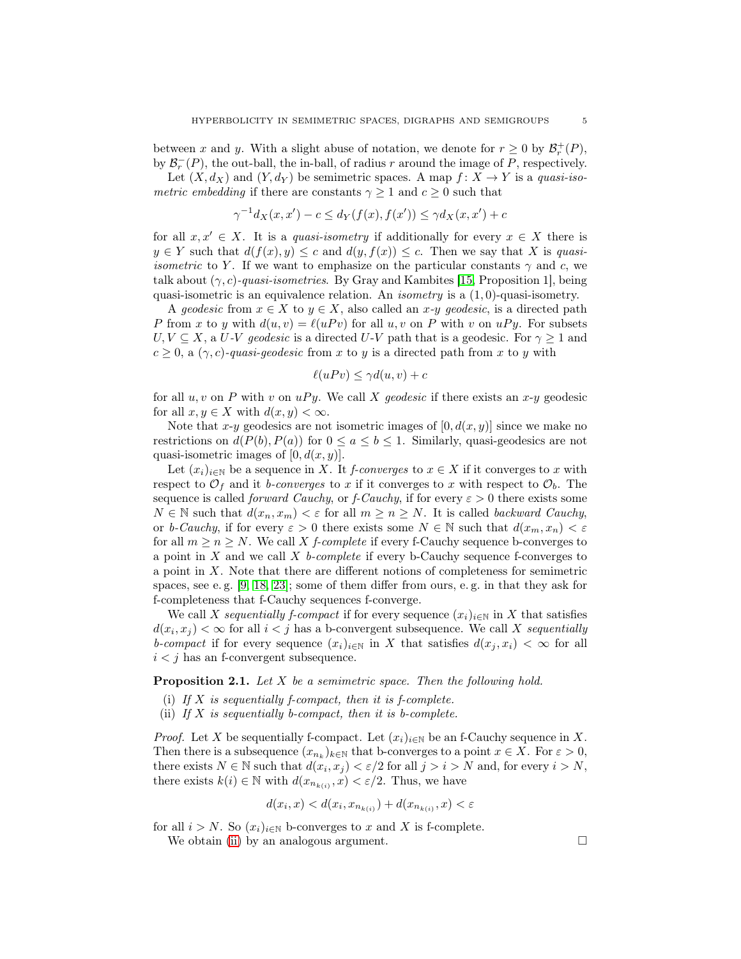between x and y. With a slight abuse of notation, we denote for  $r \geq 0$  by  $\mathcal{B}_r^+(P)$ , by  $\mathcal{B}^-_r(P)$ , the out-ball, the in-ball, of radius r around the image of P, respectively.

Let  $(X, d_X)$  and  $(Y, d_Y)$  be semimetric spaces. A map  $f: X \to Y$  is a *quasi-isometric embedding* if there are constants  $\gamma \geq 1$  and  $c \geq 0$  such that

$$
\gamma^{-1}d_X(x, x') - c \le d_Y(f(x), f(x')) \le \gamma d_X(x, x') + c
$$

for all  $x, x' \in X$ . It is a *quasi-isometry* if additionally for every  $x \in X$  there is  $y \in Y$  such that  $d(f(x), y) \leq c$  and  $d(y, f(x)) \leq c$ . Then we say that X is *quasiisometric* to Y. If we want to emphasize on the particular constants  $\gamma$  and c, we talk about  $(\gamma, c)$ -quasi-isometries. By Gray and Kambites [\[15,](#page-43-11) Proposition 1], being quasi-isometric is an equivalence relation. An *isometry* is a (1, 0)-quasi-isometry.

A *geodesic* from  $x \in X$  to  $y \in X$ , also called an  $x$ -y *geodesic*, is a directed path P from x to y with  $d(u, v) = \ell(uPv)$  for all  $u, v$  on P with v on uPy. For subsets  $U, V \subseteq X$ , a U-V geodesic is a directed U-V path that is a geodesic. For  $\gamma \geq 1$  and  $c \geq 0$ , a  $(\gamma, c)$ -quasi-geodesic from x to y is a directed path from x to y with

$$
\ell(uPv) \le \gamma d(u,v) + c
$$

for all  $u, v$  on P with v on  $uPy$ . We call X *geodesic* if there exists an  $x-y$  geodesic for all  $x, y \in X$  with  $d(x, y) < \infty$ .

Note that x-y geodesics are not isometric images of  $[0, d(x, y)]$  since we make no restrictions on  $d(P(b), P(a))$  for  $0 \le a \le b \le 1$ . Similarly, quasi-geodesics are not quasi-isometric images of  $[0, d(x, y)]$ .

Let  $(x_i)_{i\in\mathbb{N}}$  be a sequence in X. It *f-converges* to  $x \in X$  if it converges to x with respect to  $\mathcal{O}_f$  and it *b-converges* to x if it converges to x with respect to  $\mathcal{O}_b$ . The sequence is called *forward Cauchy*, or *f-Cauchy*, if for every  $\varepsilon > 0$  there exists some  $N \in \mathbb{N}$  such that  $d(x_n, x_m) < \varepsilon$  for all  $m \geq n \geq N$ . It is called *backward Cauchy*, or *b-Cauchy*, if for every  $\varepsilon > 0$  there exists some  $N \in \mathbb{N}$  such that  $d(x_m, x_n) < \varepsilon$ for all  $m \geq n \geq N$ . We call X *f-complete* if every f-Cauchy sequence b-converges to a point in X and we call X *b-complete* if every b-Cauchy sequence f-converges to a point in X. Note that there are different notions of completeness for semimetric spaces, see e. g. [\[9,](#page-43-12) [18,](#page-43-14) [23\]](#page-43-15); some of them differ from ours, e. g. in that they ask for f-completeness that f-Cauchy sequences f-converge.

We call X *sequentially f-compact* if for every sequence  $(x_i)_{i\in\mathbb{N}}$  in X that satisfies  $d(x_i, x_j) < \infty$  for all  $i < j$  has a b-convergent subsequence. We call X *sequentially b-compact* if for every sequence  $(x_i)_{i\in\mathbb{N}}$  in X that satisfies  $d(x_j, x_i) < \infty$  for all  $i < j$  has an f-convergent subsequence.

<span id="page-4-1"></span>Proposition 2.1. *Let* X *be a semimetric space. Then the following hold.*

- <span id="page-4-0"></span>(i) *If* X *is sequentially f-compact, then it is f-complete.*
- (ii) *If* X *is sequentially b-compact, then it is b-complete.*

*Proof.* Let X be sequentially f-compact. Let  $(x_i)_{i\in\mathbb{N}}$  be an f-Cauchy sequence in X. Then there is a subsequence  $(x_{n_k})_{k \in \mathbb{N}}$  that b-converges to a point  $x \in X$ . For  $\varepsilon > 0$ , there exists  $N \in \mathbb{N}$  such that  $d(x_i, x_j) < \varepsilon/2$  for all  $j > i > N$  and, for every  $i > N$ , there exists  $k(i) \in \mathbb{N}$  with  $d(x_{n_{k(i)}}, x) < \varepsilon/2$ . Thus, we have

$$
d(x_i, x) < d(x_i, x_{n_{k(i)}}) + d(x_{n_{k(i)}}, x) < \varepsilon
$$

for all  $i > N$ . So  $(x_i)_{i \in \mathbb{N}}$  b-converges to x and X is f-complete.

We obtain [\(ii\)](#page-4-0) by an analogous argument.  $\Box$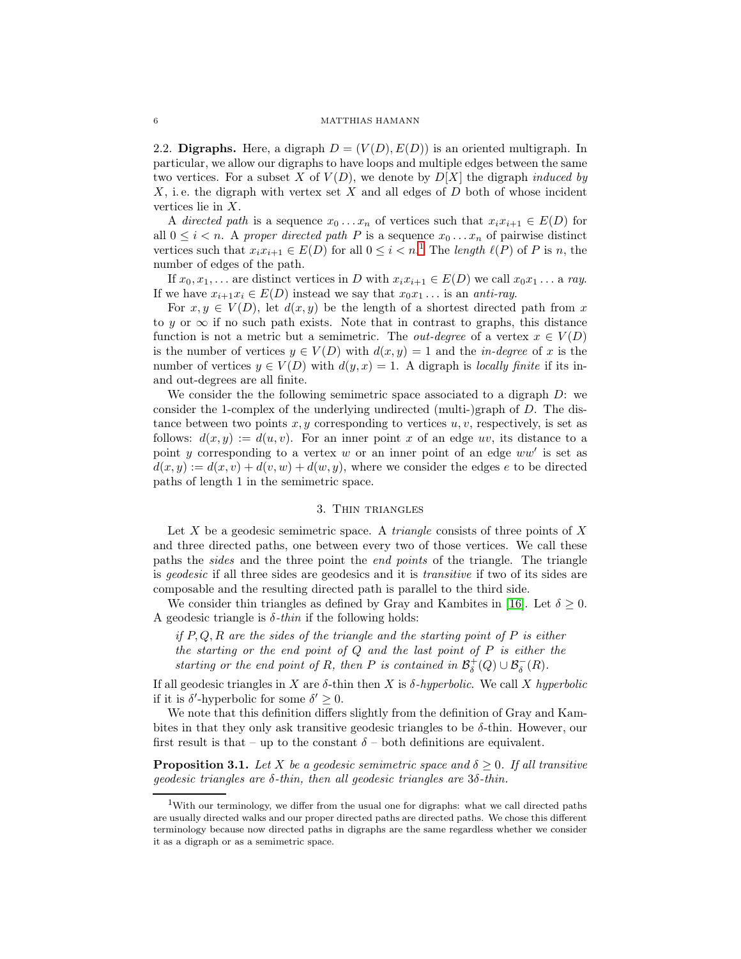<span id="page-5-3"></span>2.2. Digraphs. Here, a digraph  $D = (V(D), E(D))$  is an oriented multigraph. In particular, we allow our digraphs to have loops and multiple edges between the same two vertices. For a subset  $X$  of  $V(D)$ , we denote by  $D[X]$  the digraph *induced by*  $X$ , i.e. the digraph with vertex set  $X$  and all edges of  $D$  both of whose incident vertices lie in X.

A *directed path* is a sequence  $x_0 \dots x_n$  of vertices such that  $x_i x_{i+1} \in E(D)$  for all  $0 \leq i < n$ . A *proper directed path* P is a sequence  $x_0 \dots x_n$  of pairwise distinct vertices such that  $x_i x_{i+1} \in E(D)$  $x_i x_{i+1} \in E(D)$  $x_i x_{i+1} \in E(D)$  for all  $0 \leq i < n$ .<sup>1</sup> The *length*  $\ell(P)$  of P is n, the number of edges of the path.

If  $x_0, x_1, \ldots$  are distinct vertices in D with  $x_i x_{i+1} \in E(D)$  we call  $x_0 x_1 \ldots$  a ray. If we have  $x_{i+1}x_i \in E(D)$  instead we say that  $x_0x_1 \ldots$  is an *anti-ray*.

For  $x, y \in V(D)$ , let  $d(x, y)$  be the length of a shortest directed path from x to y or  $\infty$  if no such path exists. Note that in contrast to graphs, this distance function is not a metric but a semimetric. The *out-degree* of a vertex  $x \in V(D)$ is the number of vertices  $y \in V(D)$  with  $d(x, y) = 1$  and the *in-degree* of x is the number of vertices  $y \in V(D)$  with  $d(y, x) = 1$ . A digraph is *locally finite* if its inand out-degrees are all finite.

We consider the the following semimetric space associated to a digraph  $D$ : we consider the 1-complex of the underlying undirected (multi-)graph of D. The distance between two points  $x, y$  corresponding to vertices  $u, v$ , respectively, is set as follows:  $d(x, y) := d(u, v)$ . For an inner point x of an edge uv, its distance to a point y corresponding to a vertex  $w$  or an inner point of an edge  $ww'$  is set as  $d(x, y) := d(x, v) + d(v, w) + d(w, y)$ , where we consider the edges e to be directed paths of length 1 in the semimetric space.

## 3. Thin triangles

<span id="page-5-0"></span>Let X be a geodesic semimetric space. A *triangle* consists of three points of X and three directed paths, one between every two of those vertices. We call these paths the *sides* and the three point the *end points* of the triangle. The triangle is *geodesic* if all three sides are geodesics and it is *transitive* if two of its sides are composable and the resulting directed path is parallel to the third side.

We consider thin triangles as defined by Gray and Kambites in [\[16\]](#page-43-5). Let  $\delta \geq 0$ . A geodesic triangle is  $\delta$ -*thin* if the following holds:

*if* P, Q, R *are the sides of the triangle and the starting point of* P *is either the starting or the end point of* Q *and the last point of* P *is either the starting or the end point of R, then* P *is contained in*  $\mathcal{B}^+_{\delta}(Q) \cup \mathcal{B}^-_{\delta}(R)$ *.* 

If all geodesic triangles in X are δ-thin then X is δ*-hyperbolic*. We call X *hyperbolic* if it is  $\delta'$ -hyperbolic for some  $\delta' \geq 0$ .

We note that this definition differs slightly from the definition of Gray and Kambites in that they only ask transitive geodesic triangles to be  $\delta$ -thin. However, our first result is that – up to the constant  $\delta$  – both definitions are equivalent.

<span id="page-5-2"></span>**Proposition 3.1.** Let X be a geodesic semimetric space and  $\delta \geq 0$ . If all transitive *geodesic triangles are* δ*-thin, then all geodesic triangles are* 3δ*-thin.*

<span id="page-5-1"></span><sup>1</sup>With our terminology, we differ from the usual one for digraphs: what we call directed paths are usually directed walks and our proper directed paths are directed paths. We chose this different terminology because now directed paths in digraphs are the same regardless whether we consider it as a digraph or as a semimetric space.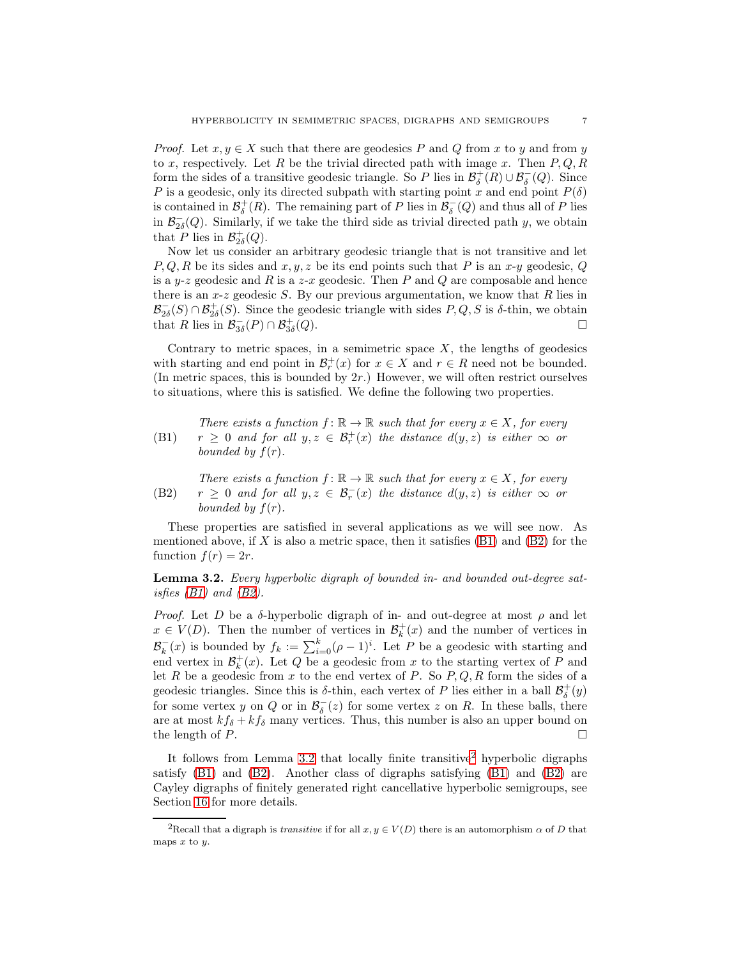*Proof.* Let  $x, y \in X$  such that there are geodesics P and Q from x to y and from y to x, respectively. Let R be the trivial directed path with image x. Then  $P, Q, R$ form the sides of a transitive geodesic triangle. So P lies in  $\mathcal{B}^+_\delta(R) \cup \mathcal{B}^-_\delta(Q)$ . Since P is a geodesic, only its directed subpath with starting point x and end point  $P(\delta)$ is contained in  $\mathcal{B}^+_\delta(R)$ . The remaining part of P lies in  $\mathcal{B}^-_\delta(Q)$  and thus all of P lies in  $\mathcal{B}_{2\delta}^-(Q)$ . Similarly, if we take the third side as trivial directed path y, we obtain that P lies in  $\mathcal{B}_{2\delta}^+(Q)$ .

Now let us consider an arbitrary geodesic triangle that is not transitive and let  $P, Q, R$  be its sides and  $x, y, z$  be its end points such that P is an  $x-y$  geodesic, Q is a y-z geodesic and R is a z-x geodesic. Then P and Q are composable and hence there is an  $x-z$  geodesic S. By our previous argumentation, we know that R lies in  $\mathcal{B}_{2\delta}^-(S) \cap \mathcal{B}_{2\delta}^+(S)$ . Since the geodesic triangle with sides  $P, Q, S$  is  $\delta$ -thin, we obtain that R lies in  $\mathcal{B}_{3\delta}^-(P) \cap \mathcal{B}_{3\delta}^+$  $(Q).$ 

Contrary to metric spaces, in a semimetric space  $X$ , the lengths of geodesics with starting and end point in  $\mathcal{B}_r^+(x)$  for  $x \in X$  and  $r \in R$  need not be bounded. (In metric spaces, this is bounded by  $2r$ .) However, we will often restrict ourselves to situations, where this is satisfied. We define the following two properties.

<span id="page-6-0"></span>(B1) *There exists a function*  $f: \mathbb{R} \to \mathbb{R}$  *such that for every*  $x \in X$ *, for every*  $r \geq 0$  and for all  $y, z \in \mathcal{B}_r^+(x)$  the distance  $d(y, z)$  is either  $\infty$  or *bounded by*  $f(r)$ *.* 

<span id="page-6-1"></span>(B2) *There exists a function*  $f: \mathbb{R} \to \mathbb{R}$  *such that for every*  $x \in X$ *, for every*  $r \geq 0$  and for all  $y, z \in \mathcal{B}_r^{-}(x)$  the distance  $d(y, z)$  is either  $\infty$  or *bounded by*  $f(r)$ *.* 

These properties are satisfied in several applications as we will see now. As mentioned above, if X is also a metric space, then it satisfies  $(B1)$  and  $(B2)$  for the function  $f(r) = 2r$ .

<span id="page-6-2"></span>Lemma 3.2. *Every hyperbolic digraph of bounded in- and bounded out-degree satisfies [\(B1\)](#page-6-0) and [\(B2\)](#page-6-1).*

*Proof.* Let D be a  $\delta$ -hyperbolic digraph of in- and out-degree at most  $\rho$  and let  $x \in V(D)$ . Then the number of vertices in  $\mathcal{B}_k^+(x)$  and the number of vertices in  $\mathcal{B}_k^-(x)$  is bounded by  $f_k := \sum_{i=0}^k (\rho - 1)^i$ . Let P be a geodesic with starting and end vertex in  $\mathcal{B}_k^+(x)$ . Let Q be a geodesic from x to the starting vertex of P and let R be a geodesic from x to the end vertex of P. So  $P, Q, R$  form the sides of a geodesic triangles. Since this is  $\delta$ -thin, each vertex of P lies either in a ball  $\mathcal{B}^+_{\delta}(y)$ for some vertex y on Q or in  $\mathcal{B}_{\delta}^{-}(z)$  for some vertex z on R. In these balls, there are at most  $kf_{\delta} + kf_{\delta}$  many vertices. Thus, this number is also an upper bound on the length of  $P$ .

It follows from Lemma [3.2](#page-6-2) that locally finite transitive<sup>[2](#page-6-3)</sup> hyperbolic digraphs satisfy [\(B1\)](#page-6-0) and [\(B2\)](#page-6-1). Another class of digraphs satisfying [\(B1\)](#page-6-0) and [\(B2\)](#page-6-1) are Cayley digraphs of finitely generated right cancellative hyperbolic semigroups, see Section [16](#page-41-0) for more details.

<span id="page-6-3"></span><sup>&</sup>lt;sup>2</sup>Recall that a digraph is *transitive* if for all  $x, y \in V(D)$  there is an automorphism  $\alpha$  of D that maps  $x$  to  $y$ .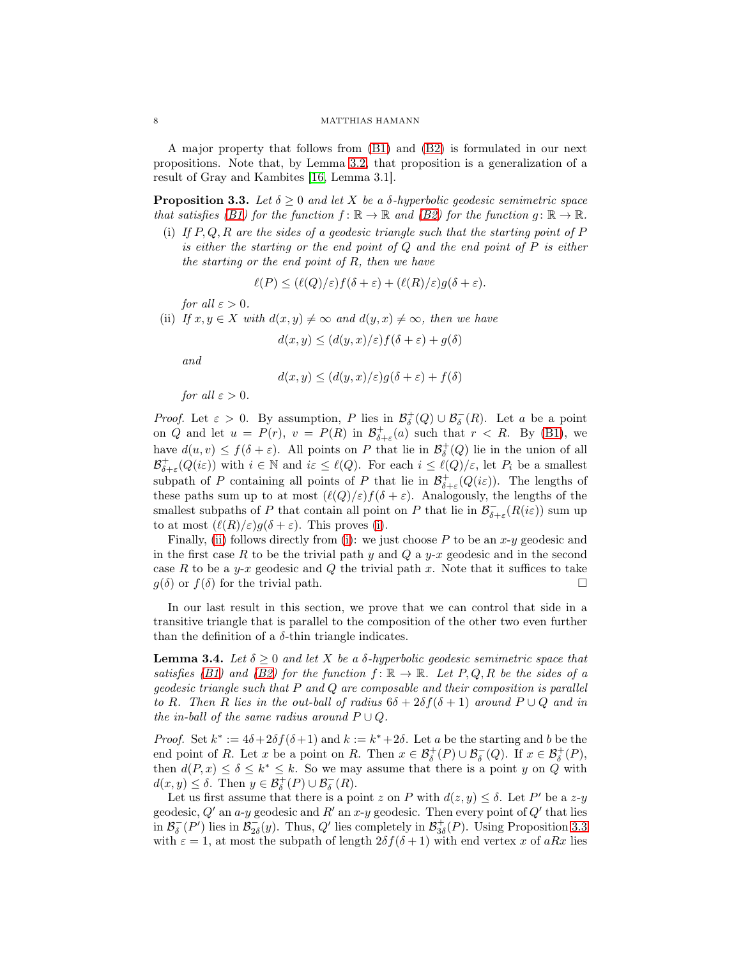A major property that follows from [\(B1\)](#page-6-0) and [\(B2\)](#page-6-1) is formulated in our next propositions. Note that, by Lemma [3.2,](#page-6-2) that proposition is a generalization of a result of Gray and Kambites [\[16,](#page-43-5) Lemma 3.1].

<span id="page-7-2"></span>**Proposition 3.3.** Let  $\delta \geq 0$  and let X be a  $\delta$ -hyperbolic geodesic semimetric space *that satisfies* [\(B1\)](#page-6-0) for the function  $f: \mathbb{R} \to \mathbb{R}$  and [\(B2\)](#page-6-1) for the function  $g: \mathbb{R} \to \mathbb{R}$ .

<span id="page-7-0"></span>(i) *If* P, Q, R *are the sides of a geodesic triangle such that the starting point of* P *is either the starting or the end point of* Q *and the end point of* P *is either the starting or the end point of* R*, then we have*

$$
\ell(P) \le (\ell(Q)/\varepsilon) f(\delta + \varepsilon) + (\ell(R)/\varepsilon) g(\delta + \varepsilon).
$$

*for all*  $\varepsilon > 0$ *.* 

<span id="page-7-1"></span>(ii) *If*  $x, y \in X$  *with*  $d(x, y) \neq \infty$  *and*  $d(y, x) \neq \infty$ *, then we have* 

$$
d(x, y) \le (d(y, x)/\varepsilon) f(\delta + \varepsilon) + g(\delta)
$$

*and*

$$
d(x, y) \le (d(y, x)/\varepsilon)g(\delta + \varepsilon) + f(\delta)
$$

*for all*  $\varepsilon > 0$ *.* 

*Proof.* Let  $\varepsilon > 0$ . By assumption, P lies in  $\mathcal{B}^+_\delta(Q) \cup \mathcal{B}^-_\delta(R)$ . Let a be a point on Q and let  $u = P(r)$ ,  $v = P(R)$  in  $\mathcal{B}^+_{\delta+\varepsilon}(a)$  such that  $r < R$ . By [\(B1\)](#page-6-0), we have  $d(u, v) \leq f(\delta + \varepsilon)$ . All points on P that lie in  $\mathcal{B}^+_{\delta}(Q)$  lie in the union of all  $\mathcal{B}_{\delta+\varepsilon}^+(Q(i\varepsilon))$  with  $i \in \mathbb{N}$  and  $i\varepsilon \leq \ell(Q)$ . For each  $i \leq \ell(Q)/\varepsilon$ , let  $P_i$  be a smallest subpath of P containing all points of P that lie in  $\mathcal{B}^+_{\delta+\varepsilon}(Q(i\varepsilon))$ . The lengths of these paths sum up to at most  $(\ell(Q)/\varepsilon)f(\delta+\varepsilon)$ . Analogously, the lengths of the smallest subpaths of P that contain all point on P that lie in  $\mathcal{B}^-_{\delta+\varepsilon}(R(i\varepsilon))$  sum up to at most  $(\ell(R)/\varepsilon)g(\delta+\varepsilon)$ . This proves [\(i\)](#page-7-0).

Finally, [\(ii\)](#page-7-1) follows directly from [\(i\)](#page-7-0): we just choose  $P$  to be an  $x-y$  geodesic and in the first case R to be the trivial path y and Q a y-x geodesic and in the second case R to be a y-x geodesic and Q the trivial path x. Note that it suffices to take  $g(\delta)$  or  $f(\delta)$  for the trivial path.

In our last result in this section, we prove that we can control that side in a transitive triangle that is parallel to the composition of the other two even further than the definition of a  $\delta$ -thin triangle indicates.

<span id="page-7-3"></span>**Lemma 3.4.** *Let*  $\delta \geq 0$  *and let* X *be a*  $\delta$ *-hyperbolic geodesic semimetric space that satisfies* [\(B1\)](#page-6-0) and [\(B2\)](#page-6-1) for the function  $f: \mathbb{R} \to \mathbb{R}$ . Let P, Q, R be the sides of a *geodesic triangle such that* P *and* Q *are composable and their composition is parallel to* R. Then R lies in the out-ball of radius  $6\delta + 2\delta f(\delta + 1)$  around  $P \cup Q$  and in *the in-ball of the same radius around*  $P \cup Q$ *.* 

*Proof.* Set  $k^* := 4\delta + 2\delta f(\delta + 1)$  and  $k := k^* + 2\delta$ . Let a be the starting and b be the end point of R. Let x be a point on R. Then  $x \in \mathcal{B}^+_{\delta}(P) \cup \mathcal{B}^-_{\delta}(Q)$ . If  $x \in \mathcal{B}^+_{\delta}(P)$ , then  $d(P, x) \leq \delta \leq k^* \leq k$ . So we may assume that there is a point y on Q with  $d(x, y) \leq \delta$ . Then  $y \in \mathcal{B}_{\delta}^+(P) \cup \mathcal{B}_{\delta}^-(R)$ .

Let us first assume that there is a point z on P with  $d(z, y) \leq \delta$ . Let P' be a z-y geodesic,  $Q'$  an a-y geodesic and  $R'$  an  $x-y$  geodesic. Then every point of  $Q'$  that lies in  $\mathcal{B}_{\delta}^{-}(P')$  lies in  $\mathcal{B}_{2\delta}^{-}(y)$ . Thus, Q' lies completely in  $\mathcal{B}_{3\delta}^{+}(P)$ . Using Proposition [3.3](#page-7-2) with  $\varepsilon = 1$ , at most the subpath of length  $2\delta f(\delta + 1)$  with end vertex x of aRx lies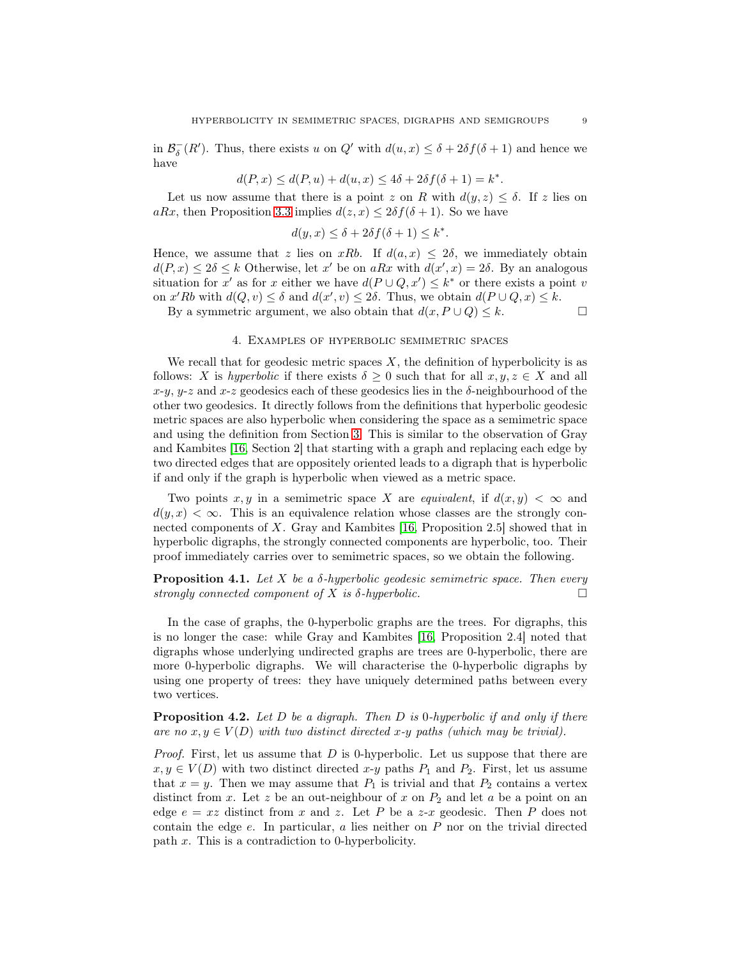in  $\mathcal{B}_{\delta}^{-}(R')$ . Thus, there exists u on  $Q'$  with  $d(u, x) \leq \delta + 2\delta f(\delta + 1)$  and hence we have

$$
d(P,x)\leq d(P,u)+d(u,x)\leq 4\delta+2\delta f(\delta+1)=k^*.
$$

Let us now assume that there is a point z on R with  $d(y, z) \leq \delta$ . If z lies on aRx, then Proposition [3.3](#page-7-2) implies  $d(z, x) \leq 2\delta f(\delta + 1)$ . So we have

$$
d(y, x) \le \delta + 2\delta f(\delta + 1) \le k^*.
$$

Hence, we assume that z lies on xRb. If  $d(a, x) \leq 2\delta$ , we immediately obtain  $d(P, x) \leq 2\delta \leq k$  Otherwise, let x' be on aRx with  $d(x', x) = 2\delta$ . By an analogous situation for x' as for x either we have  $d(P \cup Q, x') \leq k^*$  or there exists a point v on  $x'Rb$  with  $d(Q, v) \leq \delta$  and  $d(x', v) \leq 2\delta$ . Thus, we obtain  $d(P \cup Q, x) \leq k$ .

<span id="page-8-0"></span>By a symmetric argument, we also obtain that  $d(x, P \cup Q) \leq k$ .

## 4. Examples of hyperbolic semimetric spaces

We recall that for geodesic metric spaces  $X$ , the definition of hyperbolicity is as follows: X is *hyperbolic* if there exists  $\delta \geq 0$  such that for all  $x, y, z \in X$  and all  $x-y$ ,  $y-z$  and  $x-z$  geodesics each of these geodesics lies in the  $\delta$ -neighbourhood of the other two geodesics. It directly follows from the definitions that hyperbolic geodesic metric spaces are also hyperbolic when considering the space as a semimetric space and using the definition from Section [3.](#page-5-0) This is similar to the observation of Gray and Kambites [\[16,](#page-43-5) Section 2] that starting with a graph and replacing each edge by two directed edges that are oppositely oriented leads to a digraph that is hyperbolic if and only if the graph is hyperbolic when viewed as a metric space.

Two points x, y in a semimetric space X are *equivalent*, if  $d(x, y) < \infty$  and  $d(y, x) < \infty$ . This is an equivalence relation whose classes are the strongly connected components of X. Gray and Kambites [\[16,](#page-43-5) Proposition 2.5] showed that in hyperbolic digraphs, the strongly connected components are hyperbolic, too. Their proof immediately carries over to semimetric spaces, so we obtain the following.

# Proposition 4.1. *Let* X *be a* δ*-hyperbolic geodesic semimetric space. Then every strongly connected component of* X *is* δ*-hyperbolic.*

In the case of graphs, the 0-hyperbolic graphs are the trees. For digraphs, this is no longer the case: while Gray and Kambites [\[16,](#page-43-5) Proposition 2.4] noted that digraphs whose underlying undirected graphs are trees are 0-hyperbolic, there are more 0-hyperbolic digraphs. We will characterise the 0-hyperbolic digraphs by using one property of trees: they have uniquely determined paths between every two vertices.

Proposition 4.2. *Let* D *be a digraph. Then* D *is* 0*-hyperbolic if and only if there are no*  $x, y \in V(D)$  *with two distinct directed*  $x$ -*y paths (which may be trivial).* 

*Proof.* First, let us assume that D is 0-hyperbolic. Let us suppose that there are  $x, y \in V(D)$  with two distinct directed  $x-y$  paths  $P_1$  and  $P_2$ . First, let us assume that  $x = y$ . Then we may assume that  $P_1$  is trivial and that  $P_2$  contains a vertex distinct from x. Let z be an out-neighbour of x on  $P_2$  and let a be a point on an edge  $e = xz$  distinct from x and z. Let P be a z-x geodesic. Then P does not contain the edge  $e$ . In particular,  $a$  lies neither on  $P$  nor on the trivial directed path x. This is a contradiction to 0-hyperbolicity.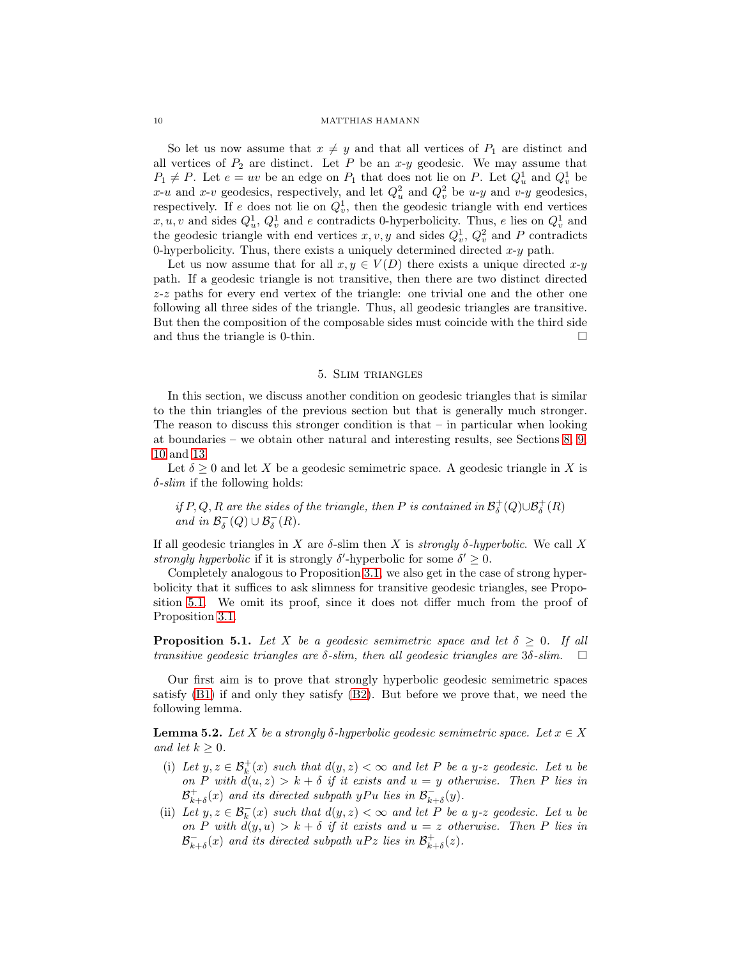So let us now assume that  $x \neq y$  and that all vertices of  $P_1$  are distinct and all vertices of  $P_2$  are distinct. Let P be an  $x-y$  geodesic. We may assume that  $P_1 \neq P$ . Let  $e = uv$  be an edge on  $P_1$  that does not lie on P. Let  $Q_u^1$  and  $Q_v^1$  be x-u and x-v geodesics, respectively, and let  $Q_u^2$  and  $Q_v^2$  be u-y and v-y geodesics, respectively. If e does not lie on  $Q_v^1$ , then the geodesic triangle with end vertices  $x, u, v$  and sides  $Q_u^1, Q_v^1$  and e contradicts 0-hyperbolicity. Thus, e lies on  $Q_v^1$  and the geodesic triangle with end vertices  $x, v, y$  and sides  $Q_v^1, Q_v^2$  and P contradicts 0-hyperbolicity. Thus, there exists a uniquely determined directed  $x-y$  path.

Let us now assume that for all  $x, y \in V(D)$  there exists a unique directed  $x-y$ path. If a geodesic triangle is not transitive, then there are two distinct directed z-z paths for every end vertex of the triangle: one trivial one and the other one following all three sides of the triangle. Thus, all geodesic triangles are transitive. But then the composition of the composable sides must coincide with the third side and thus the triangle is 0-thin.  $\square$ 

## 5. Slim triangles

<span id="page-9-0"></span>In this section, we discuss another condition on geodesic triangles that is similar to the thin triangles of the previous section but that is generally much stronger. The reason to discuss this stronger condition is that  $-$  in particular when looking at boundaries – we obtain other natural and interesting results, see Sections [8,](#page-17-0) [9,](#page-18-0) [10](#page-21-0) and [13.](#page-29-0)

Let  $\delta > 0$  and let X be a geodesic semimetric space. A geodesic triangle in X is δ*-slim* if the following holds:

*if*  $P, Q, R$  *are the sides of the triangle, then*  $P$  *is contained in*  $\mathcal{B}^+_\delta(Q) \cup \mathcal{B}^+_\delta(R)$ *and in*  $\mathcal{B}_{\delta}^{-}(Q) \cup \mathcal{B}_{\delta}^{-}(R)$ *.* 

If all geodesic triangles in X are  $\delta$ -slim then X is *strongly*  $\delta$ -hyperbolic. We call X *strongly hyperbolic* if it is strongly  $\delta'$ -hyperbolic for some  $\delta' \geq 0$ .

Completely analogous to Proposition [3.1,](#page-5-2) we also get in the case of strong hyperbolicity that it suffices to ask slimness for transitive geodesic triangles, see Proposition [5.1.](#page-9-1) We omit its proof, since it does not differ much from the proof of Proposition [3.1.](#page-5-2)

<span id="page-9-1"></span>**Proposition 5.1.** *Let* X *be a geodesic semimetric space and let*  $\delta \geq 0$ *. If all transitive aeodesic trianales are*  $\delta$ -slim.  $\square$ *transitive geodesic triangles are* δ*-slim, then all geodesic triangles are* 3δ*-slim.*

Our first aim is to prove that strongly hyperbolic geodesic semimetric spaces satisfy  $(B1)$  if and only they satisfy  $(B2)$ . But before we prove that, we need the following lemma.

<span id="page-9-4"></span>Lemma 5.2. *Let* X *be a strongly* δ*-hyperbolic geodesic semimetric space. Let* x ∈ X *and let*  $k > 0$ *.* 

- <span id="page-9-2"></span>(i) Let  $y, z \in \mathcal{B}_k^+(x)$  such that  $d(y, z) < \infty$  and let P be a y-z geodesic. Let u be *on* P with  $d(u, z) > k + \delta$  *if it exists and*  $u = y$  *otherwise. Then* P *lies in*  $\mathcal{B}^+_{k+\delta}(x)$  and its directed subpath yPu lies in  $\mathcal{B}^-_{k+\delta}(y)$ .
- <span id="page-9-3"></span>(ii) Let  $y, z \in \mathcal{B}_k^-(x)$  such that  $d(y, z) < \infty$  and let P be a y-z geodesic. Let u be *on* P with  $d(y, u) > k + \delta$  *if it exists and*  $u = z$  *otherwise. Then* P *lies in*  $\mathcal{B}_{k+\delta}^{-}(x)$  and its directed subpath  $uPz$  lies in  $\mathcal{B}_{k+\delta}^{+}(z)$ .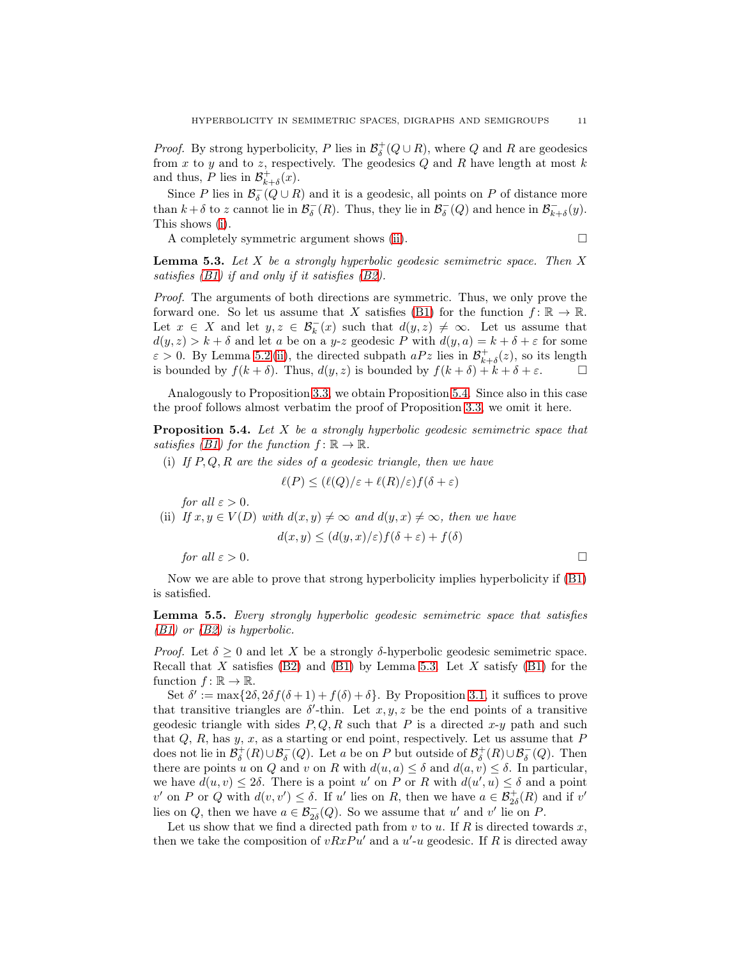*Proof.* By strong hyperbolicity, P lies in  $\mathcal{B}^+_\delta(Q \cup R)$ , where Q and R are geodesics from  $x$  to  $y$  and to  $z$ , respectively. The geodesics  $Q$  and  $R$  have length at most  $k$ and thus, P lies in  $\mathcal{B}_{k+\delta}^+(x)$ .

Since P lies in  $\mathcal{B}^-_\delta(Q \cup R)$  and it is a geodesic, all points on P of distance more than  $k + \delta$  to z cannot lie in  $\mathcal{B}_{\delta}^{-}(R)$ . Thus, they lie in  $\mathcal{B}_{\delta}^{-}(Q)$  and hence in  $\mathcal{B}_{k+\delta}^{-}(y)$ . This shows [\(i\)](#page-9-2).

A completely symmetric argument shows [\(ii\)](#page-9-3).

<span id="page-10-1"></span>Lemma 5.3. *Let* X *be a strongly hyperbolic geodesic semimetric space. Then* X *satisfies [\(B1\)](#page-6-0) if and only if it satisfies [\(B2\)](#page-6-1).*

*Proof.* The arguments of both directions are symmetric. Thus, we only prove the forward one. So let us assume that X satisfies [\(B1\)](#page-6-0) for the function  $f: \mathbb{R} \to \mathbb{R}$ . Let  $x \in X$  and let  $y, z \in \mathcal{B}_k^-(x)$  such that  $d(y, z) \neq \infty$ . Let us assume that  $d(y, z) > k + \delta$  and let a be on a y-z geodesic P with  $d(y, a) = k + \delta + \varepsilon$  for some  $\varepsilon > 0$ . By Lemma [5.2](#page-9-4)(ii), the directed subpath  $aPz$  lies in  $\mathcal{B}^+_{k+\delta}(z)$ , so its length is bounded by  $f(k+\delta)$ . Thus,  $d(y, z)$  is bounded by  $f(k+\delta) + k + \delta + \varepsilon$ .

Analogously to Proposition [3.3,](#page-7-2) we obtain Proposition [5.4.](#page-10-0) Since also in this case the proof follows almost verbatim the proof of Proposition [3.3,](#page-7-2) we omit it here.

<span id="page-10-0"></span>Proposition 5.4. *Let* X *be a strongly hyperbolic geodesic semimetric space that satisfies (B1) for the function*  $f: \mathbb{R} \to \mathbb{R}$ *.* 

(i) *If* P, Q, R *are the sides of a geodesic triangle, then we have*

$$
\ell(P) \le (\ell(Q)/\varepsilon + \ell(R)/\varepsilon) f(\delta + \varepsilon)
$$

*for all*  $\varepsilon > 0$ *.* 

<span id="page-10-2"></span>(ii) *If*  $x, y \in V(D)$  *with*  $d(x, y) \neq \infty$  *and*  $d(y, x) \neq \infty$ *, then we have* 

$$
d(x, y) \le (d(y, x)/\varepsilon) f(\delta + \varepsilon) + f(\delta)
$$

*for all*  $\varepsilon > 0$ *.* 

Now we are able to prove that strong hyperbolicity implies hyperbolicity if [\(B1\)](#page-6-0) is satisfied.

Lemma 5.5. *Every strongly hyperbolic geodesic semimetric space that satisfies [\(B1\)](#page-6-0) or [\(B2\)](#page-6-1) is hyperbolic.*

*Proof.* Let  $\delta \geq 0$  and let X be a strongly  $\delta$ -hyperbolic geodesic semimetric space. Recall that X satisfies  $(B2)$  and  $(B1)$  by Lemma [5.3.](#page-10-1) Let X satisfy  $(B1)$  for the function  $f: \mathbb{R} \to \mathbb{R}$ .

Set  $\delta' := \max\{2\delta, 2\delta f(\delta + 1) + f(\delta) + \delta\}$ . By Proposition [3.1,](#page-5-2) it suffices to prove that transitive triangles are  $\delta'$ -thin. Let  $x, y, z$  be the end points of a transitive geodesic triangle with sides  $P, Q, R$  such that P is a directed x-y path and such that  $Q$ ,  $R$ , has  $y$ ,  $x$ , as a starting or end point, respectively. Let us assume that  $P$ does not lie in  $\mathcal{B}^+_{\delta}(R) \cup \mathcal{B}^-_{\delta}(Q)$ . Let a be on P but outside of  $\mathcal{B}^+_{\delta}(R) \cup \mathcal{B}^-_{\delta}(Q)$ . Then there are points u on Q and v on R with  $d(u, a) \leq \delta$  and  $d(a, v) \leq \delta$ . In particular, we have  $d(u, v) \le 2\delta$ . There is a point u' on P or R with  $d(u', u) \le \delta$  and a point v' on P or Q with  $d(v, v') \leq \delta$ . If u' lies on R, then we have  $a \in \mathcal{B}^+_{2\delta}(R)$  and if v' lies on Q, then we have  $a \in \mathcal{B}_{2\delta}(Q)$ . So we assume that u' and v' lie on P.

Let us show that we find a directed path from v to u. If R is directed towards x, then we take the composition of  $vRxPu'$  and a  $u'-u$  geodesic. If R is directed away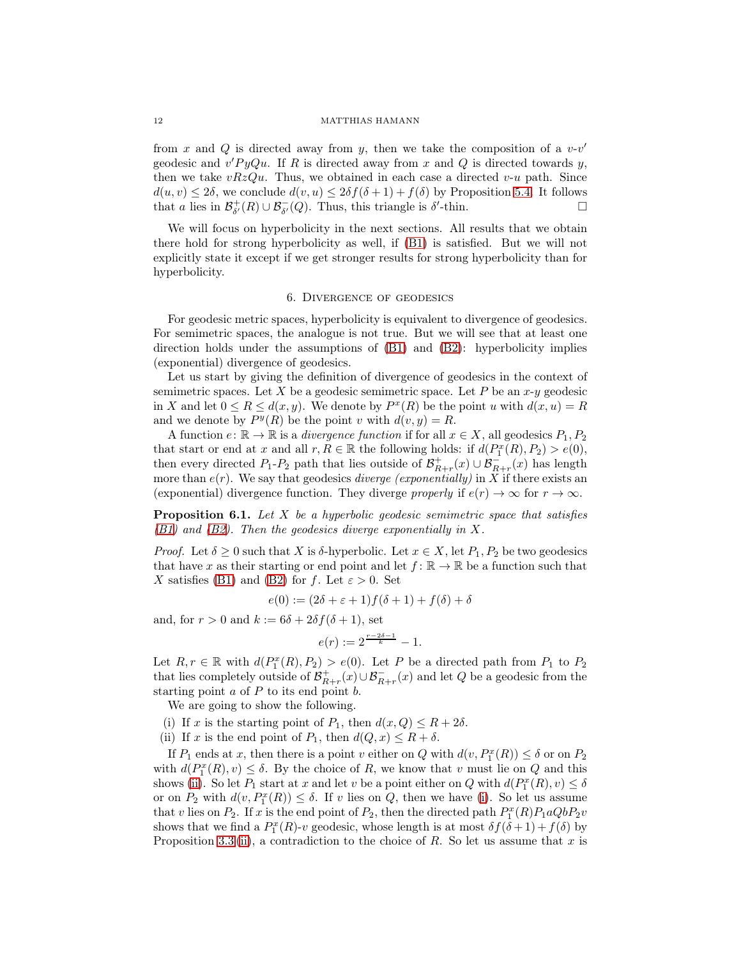from x and Q is directed away from y, then we take the composition of a  $v$ -v' geodesic and  $v'PyQu$ . If R is directed away from x and Q is directed towards y, then we take  $vRzQu$ . Thus, we obtained in each case a directed v-u path. Since  $d(u, v) \le 2\delta$ , we conclude  $d(v, u) \le 2\delta f(\delta + 1) + f(\delta)$  by Proposition [5.4.](#page-10-0) It follows that a lies in  $\mathcal{B}_{st}^+(R) \cup \mathcal{B}_{st}^-(Q)$ . Thus, this triangle is  $\delta'$ -thin. that a lies in  $\mathcal{B}_{\delta'}^+(R) \cup \mathcal{B}_{\delta'}^-(Q)$ . Thus, this triangle is  $\delta'$ -thin.

We will focus on hyperbolicity in the next sections. All results that we obtain there hold for strong hyperbolicity as well, if [\(B1\)](#page-6-0) is satisfied. But we will not explicitly state it except if we get stronger results for strong hyperbolicity than for hyperbolicity.

## 6. Divergence of geodesics

<span id="page-11-0"></span>For geodesic metric spaces, hyperbolicity is equivalent to divergence of geodesics. For semimetric spaces, the analogue is not true. But we will see that at least one direction holds under the assumptions of [\(B1\)](#page-6-0) and [\(B2\)](#page-6-1): hyperbolicity implies (exponential) divergence of geodesics.

Let us start by giving the definition of divergence of geodesics in the context of semimetric spaces. Let X be a geodesic semimetric space. Let P be an  $x-y$  geodesic in X and let  $0 \le R \le d(x, y)$ . We denote by  $P^x(R)$  be the point u with  $d(x, u) = R$ and we denote by  $P^y(R)$  be the point v with  $d(v, y) = R$ .

A function  $e: \mathbb{R} \to \mathbb{R}$  is a *divergence function* if for all  $x \in X$ , all geodesics  $P_1, P_2$ that start or end at x and all  $r, R \in \mathbb{R}$  the following holds: if  $d(P_1^x(R), P_2) > e(0)$ , then every directed  $P_1 - P_2$  path that lies outside of  $\mathcal{B}_{R+r}^+(x) \cup \mathcal{B}_{R+r}^-(x)$  has length more than  $e(r)$ . We say that geodesics *diverge (exponentially)* in X if there exists an (exponential) divergence function. They diverge *properly* if  $e(r) \to \infty$  for  $r \to \infty$ .

<span id="page-11-3"></span>Proposition 6.1. *Let* X *be a hyperbolic geodesic semimetric space that satisfies [\(B1\)](#page-6-0) and [\(B2\)](#page-6-1). Then the geodesics diverge exponentially in* X*.*

*Proof.* Let  $\delta \geq 0$  such that X is  $\delta$ -hyperbolic. Let  $x \in X$ , let  $P_1, P_2$  be two geodesics that have x as their starting or end point and let  $f: \mathbb{R} \to \mathbb{R}$  be a function such that X satisfies [\(B1\)](#page-6-0) and [\(B2\)](#page-6-1) for f. Let  $\varepsilon > 0$ . Set

$$
e(0) := (2\delta + \varepsilon + 1)f(\delta + 1) + f(\delta) + \delta
$$

and, for  $r > 0$  and  $k := 6\delta + 2\delta f(\delta + 1)$ , set

$$
e(r) := 2^{\frac{r-2\delta-1}{k}} - 1.
$$

Let  $R, r \in \mathbb{R}$  with  $d(P_1^x(R), P_2) > e(0)$ . Let P be a directed path from  $P_1$  to  $P_2$ that lies completely outside of  $\mathcal{B}_{R+r}^+(x) \cup \mathcal{B}_{R+r}^-(x)$  and let  $Q$  be a geodesic from the starting point  $a$  of  $P$  to its end point  $b$ .

<span id="page-11-2"></span>We are going to show the following.

- <span id="page-11-1"></span>(i) If x is the starting point of  $P_1$ , then  $d(x, Q) \leq R + 2\delta$ .
- (ii) If x is the end point of  $P_1$ , then  $d(Q, x) \leq R + \delta$ .

If  $P_1$  ends at x, then there is a point v either on Q with  $d(v, P_1^x(R)) \leq \delta$  or on  $P_2$ with  $d(P_1^x(R), v) \leq \delta$ . By the choice of R, we know that v must lie on Q and this shows [\(ii\)](#page-11-1). So let  $P_1$  start at x and let v be a point either on Q with  $d(P_1^x(R), v) \leq \delta$ or on  $P_2$  with  $d(v, P_1^x(R)) \leq \delta$ . If v lies on Q, then we have [\(i\)](#page-11-2). So let us assume that v lies on  $P_2$ . If x is the end point of  $P_2$ , then the directed path  $P_1^x(R)P_1aQbP_2v$ shows that we find a  $P_1^x(R)-v$  geodesic, whose length is at most  $\delta f(\delta+1)+f(\delta)$  by Proposition [3.3](#page-7-2) [\(ii\)](#page-7-1), a contradiction to the choice of R. So let us assume that x is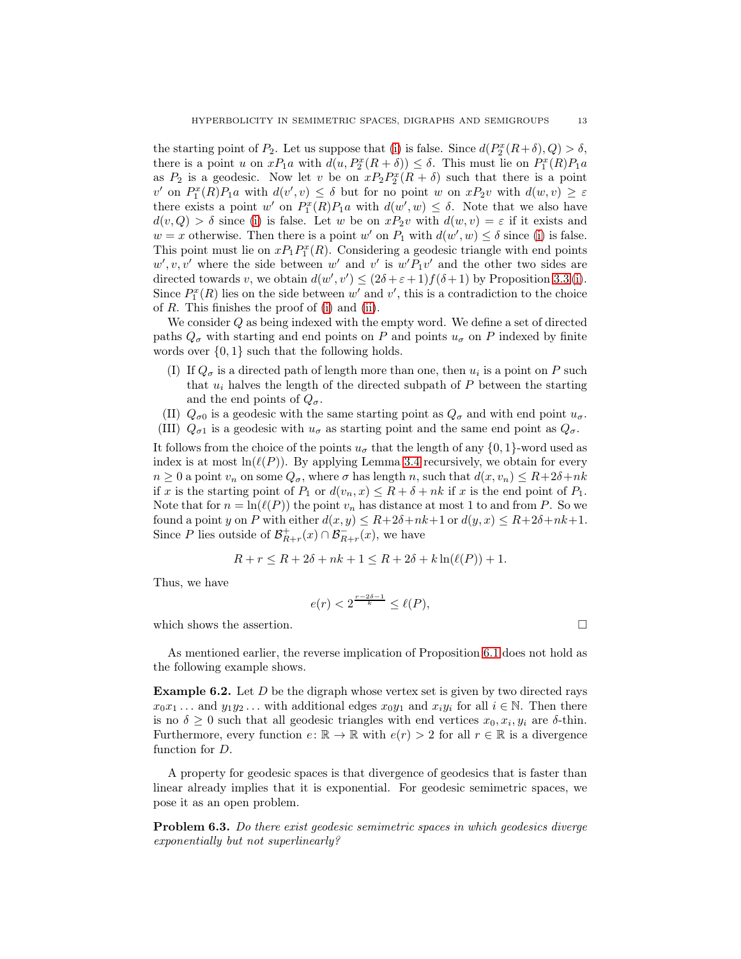the starting point of  $P_2$ . Let us suppose that [\(i\)](#page-11-2) is false. Since  $d(P_2^x(R+\delta), Q) > \delta$ , there is a point u on  $xP_1a$  with  $d(u, P_2^x(R + \delta)) \leq \delta$ . This must lie on  $P_1^x(R)P_1a$ as  $P_2$  is a geodesic. Now let v be on  $xP_2P_2^x(R + \delta)$  such that there is a point v' on  $P_1^x(R)P_1a$  with  $d(v', v) \leq \delta$  but for no point w on  $xP_2v$  with  $d(w, v) \geq \varepsilon$ there exists a point w' on  $P_1^x(R)P_1a$  with  $d(w', w) \leq \delta$ . Note that we also have  $d(v, Q) > \delta$  since [\(i\)](#page-11-2) is false. Let w be on  $xP_2v$  with  $d(w, v) = \varepsilon$  if it exists and  $w = x$  otherwise. Then there is a point w' on  $P_1$  with  $d(w', w) \le \delta$  since [\(i\)](#page-11-2) is false. This point must lie on  $xP_1P_1^x(R)$ . Considering a geodesic triangle with end points  $w', v, v'$  where the side between  $w'$  and  $v'$  is  $w'P_1v'$  and the other two sides are directed towards v, we obtain  $d(w', v') \leq (2\delta + \varepsilon + 1)f(\delta + 1)$  by Proposition [3.3](#page-7-2) [\(i\)](#page-7-0). Since  $P_1^x(R)$  lies on the side between w' and v', this is a contradiction to the choice of R. This finishes the proof of [\(i\)](#page-11-2) and [\(ii\)](#page-11-1).

We consider Q as being indexed with the empty word. We define a set of directed paths  $Q_{\sigma}$  with starting and end points on P and points  $u_{\sigma}$  on P indexed by finite words over  $\{0, 1\}$  such that the following holds.

- (I) If  $Q_{\sigma}$  is a directed path of length more than one, then  $u_i$  is a point on P such that  $u_i$  halves the length of the directed subpath of  $P$  between the starting and the end points of  $Q_{\sigma}$ .
- (II)  $Q_{\sigma 0}$  is a geodesic with the same starting point as  $Q_{\sigma}$  and with end point  $u_{\sigma}$ .
- (III)  $Q_{\sigma 1}$  is a geodesic with  $u_{\sigma}$  as starting point and the same end point as  $Q_{\sigma}$ .

It follows from the choice of the points  $u_{\sigma}$  that the length of any  $\{0, 1\}$ -word used as index is at most  $\ln(\ell(P))$ . By applying Lemma [3.4](#page-7-3) recursively, we obtain for every  $n \geq 0$  a point  $v_n$  on some  $Q_{\sigma}$ , where  $\sigma$  has length n, such that  $d(x, v_n) \leq R + 2\delta + nk$ if x is the starting point of  $P_1$  or  $d(v_n, x) \le R + \delta + nk$  if x is the end point of  $P_1$ . Note that for  $n = \ln(\ell(P))$  the point  $v_n$  has distance at most 1 to and from P. So we found a point y on P with either  $d(x, y) \le R + 2\delta + nk + 1$  or  $d(y, x) \le R + 2\delta + nk + 1$ . Since P lies outside of  $\mathcal{B}_{R+r}^+(x) \cap \mathcal{B}_{R+r}^-(x)$ , we have

$$
R + r \le R + 2\delta + nk + 1 \le R + 2\delta + k\ln(\ell(P)) + 1.
$$

Thus, we have

$$
e(r) < 2^{\frac{r-2\delta-1}{k}} \le \ell(P),
$$

which shows the assertion.  $\Box$ 

As mentioned earlier, the reverse implication of Proposition [6.1](#page-11-3) does not hold as the following example shows.

<span id="page-12-0"></span>**Example 6.2.** Let  $D$  be the digraph whose vertex set is given by two directed rays  $x_0x_1 \ldots$  and  $y_1y_2 \ldots$  with additional edges  $x_0y_1$  and  $x_iy_i$  for all  $i \in \mathbb{N}$ . Then there is no  $\delta \geq 0$  such that all geodesic triangles with end vertices  $x_0, x_i, y_i$  are  $\delta$ -thin. Furthermore, every function  $e: \mathbb{R} \to \mathbb{R}$  with  $e(r) > 2$  for all  $r \in \mathbb{R}$  is a divergence function for D.

A property for geodesic spaces is that divergence of geodesics that is faster than linear already implies that it is exponential. For geodesic semimetric spaces, we pose it as an open problem.

Problem 6.3. *Do there exist geodesic semimetric spaces in which geodesics diverge exponentially but not superlinearly?*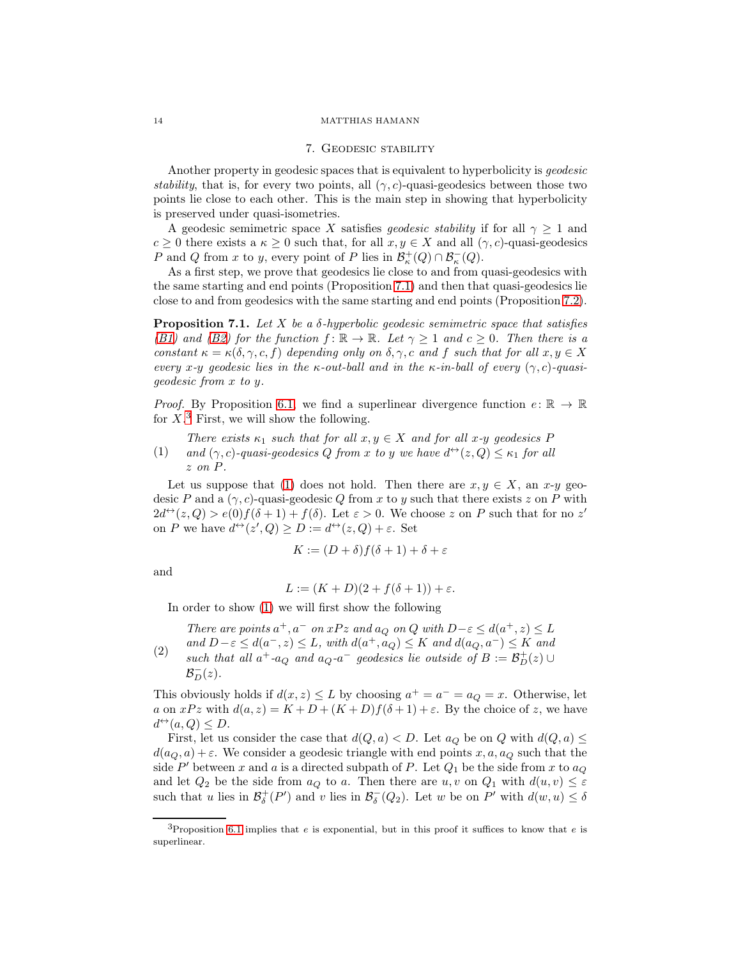#### 7. Geodesic stability

<span id="page-13-0"></span>Another property in geodesic spaces that is equivalent to hyperbolicity is *geodesic stability*, that is, for every two points, all  $(\gamma, c)$ -quasi-geodesics between those two points lie close to each other. This is the main step in showing that hyperbolicity is preserved under quasi-isometries.

A geodesic semimetric space X satisfies *geodesic stability* if for all  $\gamma \geq 1$  and  $c \geq 0$  there exists a  $\kappa \geq 0$  such that, for all  $x, y \in X$  and all  $(\gamma, c)$ -quasi-geodesics P and Q from x to y, every point of P lies in  $\mathcal{B}_{\kappa}^+(Q) \cap \mathcal{B}_{\kappa}^-(Q)$ .

As a first step, we prove that geodesics lie close to and from quasi-geodesics with the same starting and end points (Proposition [7.1\)](#page-13-1) and then that quasi-geodesics lie close to and from geodesics with the same starting and end points (Proposition [7.2\)](#page-15-0).

<span id="page-13-1"></span>Proposition 7.1. *Let* X *be a* δ*-hyperbolic geodesic semimetric space that satisfies [\(B1\)](#page-6-0)* and *(B2)* for the function  $f: \mathbb{R} \to \mathbb{R}$ *. Let*  $\gamma \geq 1$  *and*  $c \geq 0$ *. Then there is a constant*  $\kappa = \kappa(\delta, \gamma, c, f)$  *depending only on*  $\delta, \gamma, c$  *and*  $f$  *such that for all*  $x, y \in X$ *every*  $x$ -*y geodesic lies in the*  $\kappa$ -*out-ball and in the*  $\kappa$ -*in-ball of every*  $(\gamma, c)$ -*quasigeodesic from* x *to* y*.*

*Proof.* By Proposition [6.1,](#page-11-3) we find a superlinear divergence function  $e: \mathbb{R} \to \mathbb{R}$ for  $X$ <sup>[3](#page-13-2)</sup> First, we will show the following.

<span id="page-13-3"></span>(1) *There exists*  $\kappa_1$  *such that for all*  $x, y \in X$  *and for all*  $x$ *-y geodesics* P *and*  $(\gamma, c)$ -quasi-geodesics Q from x to y we have  $d^{\leftrightarrow}(z, Q) \leq \kappa_1$  for all z *on* P*.*

Let us suppose that [\(1\)](#page-13-3) does not hold. Then there are  $x, y \in X$ , an  $x$ -y geodesic P and a  $(\gamma, c)$ -quasi-geodesic Q from x to y such that there exists z on P with  $2d^{\leftrightarrow}(z,Q) > e(0)f(\delta+1) + f(\delta)$ . Let  $\varepsilon > 0$ . We choose z on P such that for no z' on P we have  $d^{\leftrightarrow}(z', Q) \ge D := d^{\leftrightarrow}(z, Q) + \varepsilon$ . Set

$$
K := (D + \delta)f(\delta + 1) + \delta + \varepsilon
$$

and

$$
L := (K+D)(2+f(\delta+1))+\varepsilon.
$$

In order to show [\(1\)](#page-13-3) we will first show the following

<span id="page-13-4"></span>(2) *There are points*  $a^+, a^-$  *on*  $xPz$  *and*  $a_Q$  *on*  $Q$  *with*  $D-\varepsilon \leq d(a^+, z) \leq L$  $and D-\varepsilon \leq d(a^-, z) \leq L$ , with  $d(a^+, a_Q) \leq K$  and  $d(a_Q, a^-) \leq K$  and *such that all*  $a^+$ - $a_Q$  *and*  $a_Q$ - $a^-$  *geodesics lie outside of*  $B := \mathcal{B}_D^+(z) \cup$  $\mathcal{B}_D^-(z)$ .

This obviously holds if  $d(x, z) \leq L$  by choosing  $a^+ = a^- = a_Q = x$ . Otherwise, let a on  $xPz$  with  $d(a, z) = K + D + (K + D)f(\delta + 1) + \varepsilon$ . By the choice of z, we have  $d^{\leftrightarrow}(a, Q) \leq D.$ 

First, let us consider the case that  $d(Q, a) < D$ . Let  $a_Q$  be on Q with  $d(Q, a) \le$  $d(a_Q, a) + \varepsilon$ . We consider a geodesic triangle with end points x, a, a<sub>Q</sub> such that the side  $P'$  between x and a is a directed subpath of P. Let  $Q_1$  be the side from x to  $a_Q$ and let  $Q_2$  be the side from  $a_Q$  to a. Then there are  $u, v$  on  $Q_1$  with  $d(u, v) \leq \varepsilon$ such that u lies in  $\mathcal{B}^+_{\delta}(P')$  and v lies in  $\mathcal{B}^-_{\delta}(Q_2)$ . Let w be on P' with  $d(w, u) \leq \delta$ 

<span id="page-13-2"></span><sup>&</sup>lt;sup>3</sup>Proposition [6.1](#page-11-3) implies that e is exponential, but in this proof it suffices to know that e is superlinear.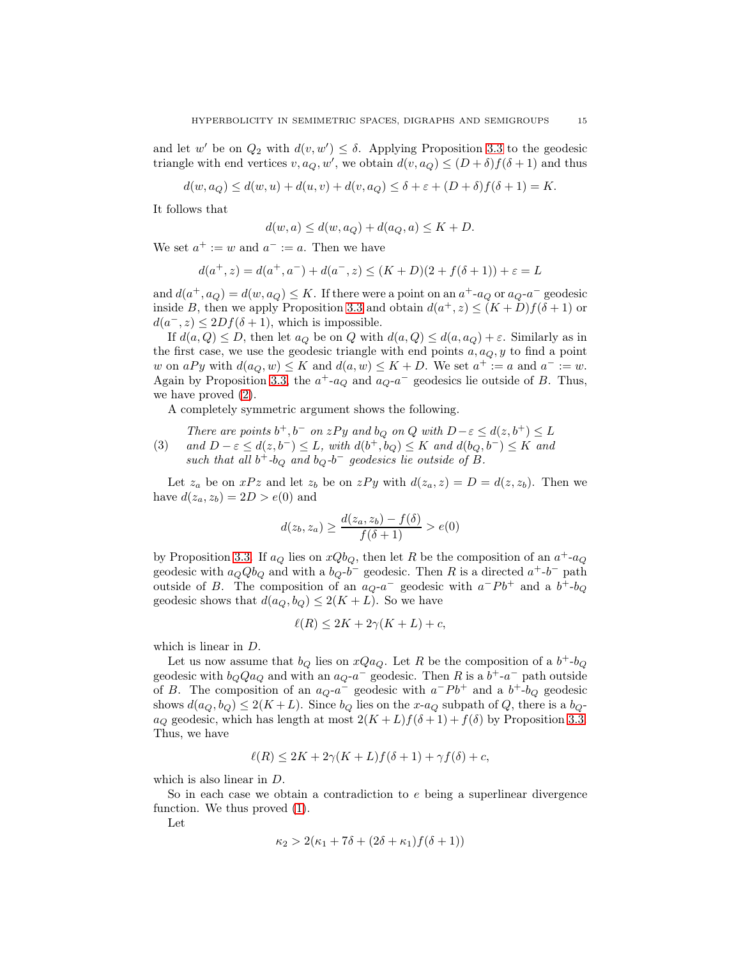and let w' be on  $Q_2$  with  $d(v, w') \leq \delta$ . Applying Proposition [3.3](#page-7-2) to the geodesic triangle with end vertices  $v, a_Q, w'$ , we obtain  $d(v, a_Q) \leq (D + \delta) f(\delta + 1)$  and thus

$$
d(w, a_Q) \le d(w, u) + d(u, v) + d(v, a_Q) \le \delta + \varepsilon + (D + \delta) f(\delta + 1) = K.
$$

It follows that

$$
d(w, a) \le d(w, a_Q) + d(a_Q, a) \le K + D.
$$

We set  $a^+ := w$  and  $a^- := a$ . Then we have

$$
d(a^+,z) = d(a^+,a^-) + d(a^-,z) \le (K+D)(2+f(\delta+1)) + \varepsilon = L
$$

and  $d(a^+, a_Q) = d(w, a_Q) \leq K$ . If there were a point on an  $a^+$ -a<sub>Q</sub> or  $a_Q$ -a<sup>-</sup> geodesic inside B, then we apply Proposition [3.3](#page-7-2) and obtain  $d(a^+, z) \le (K+D)f(\delta+1)$  or  $d(a^-, z) \leq 2Df(\delta + 1)$ , which is impossible.

If  $d(a, Q) \leq D$ , then let  $a_Q$  be on Q with  $d(a, Q) \leq d(a, a_Q) + \varepsilon$ . Similarly as in the first case, we use the geodesic triangle with end points  $a, a_Q, y$  to find a point w on  $aPy$  with  $d(a_Q, w) \le K$  and  $d(a, w) \le K + D$ . We set  $a^+ := a$  and  $a^- := w$ . Again by Proposition [3.3,](#page-7-2) the  $a^+$ -a<sub>Q</sub> and  $a_{Q}$ -a<sup>-</sup> geodesics lie outside of B. Thus, we have proved [\(2\)](#page-13-4).

A completely symmetric argument shows the following.

(3) *There are points*  $b^+, b^-$  *on*  $zPy$  *and*  $b_Q$  *on*  $Q$  *with*  $D-\varepsilon \leq d(z, b^+) \leq L$ *and*  $D - \varepsilon \le d(z, b^{-}) \le L$ , with  $d(b^{+}, b_{Q}) \le K$  *and*  $d(b_{Q}, b^{-}) \le K$  *and such that all*  $b^+$ - $b_Q$  *and*  $b_Q$ - $b^-$  *geodesics lie outside of*  $B$ *.* 

Let  $z_a$  be on  $xPz$  and let  $z_b$  be on  $zPy$  with  $d(z_a, z) = D = d(z, z_b)$ . Then we have  $d(z_a, z_b) = 2D > e(0)$  and

$$
d(z_b, z_a) \ge \frac{d(z_a, z_b) - f(\delta)}{f(\delta + 1)} > e(0)
$$

by Proposition [3.3.](#page-7-2) If  $a_Q$  lies on  $xQb_Q$ , then let R be the composition of an  $a^+$ - $a_Q$ geodesic with  $a_QQb_Q$  and with a  $b_Q$ - $b^-$  geodesic. Then R is a directed  $a^+$ - $b^-$  path outside of B. The composition of an  $a_Q$ -a<sup>-</sup> geodesic with  $a^-Pb^+$  and a  $b^+$ -b<sub>Q</sub> geodesic shows that  $d(a_Q, b_Q) \leq 2(K + L)$ . So we have

$$
\ell(R) \le 2K + 2\gamma(K+L) + c,
$$

which is linear in D.

Let us now assume that  $b_Q$  lies on  $xQa_Q$ . Let R be the composition of a  $b^+$ - $b_Q$ geodesic with  $b_Q Q a_Q$  and with an  $a_Q$ -a<sup>-</sup> geodesic. Then R is a  $b^+$ -a<sup>-</sup> path outside of B. The composition of an  $a_Q$ - $a^-$  geodesic with  $a^-Pb^+$  and a  $b^+$ - $b_Q$  geodesic shows  $d(a_Q, b_Q) \leq 2(K+L)$ . Since  $b_Q$  lies on the x-a<sub>Q</sub> subpath of Q, there is a  $b_Q$  $a_Q$  geodesic, which has length at most  $2(K+L)f(\delta+1)+f(\delta)$  by Proposition [3.3.](#page-7-2) Thus, we have

$$
\ell(R) \le 2K + 2\gamma(K+L)f(\delta+1) + \gamma f(\delta) + c,
$$

which is also linear in D.

So in each case we obtain a contradiction to e being a superlinear divergence function. We thus proved [\(1\)](#page-13-3).

Let

$$
\kappa_2 > 2(\kappa_1 + 7\delta + (2\delta + \kappa_1)f(\delta + 1))
$$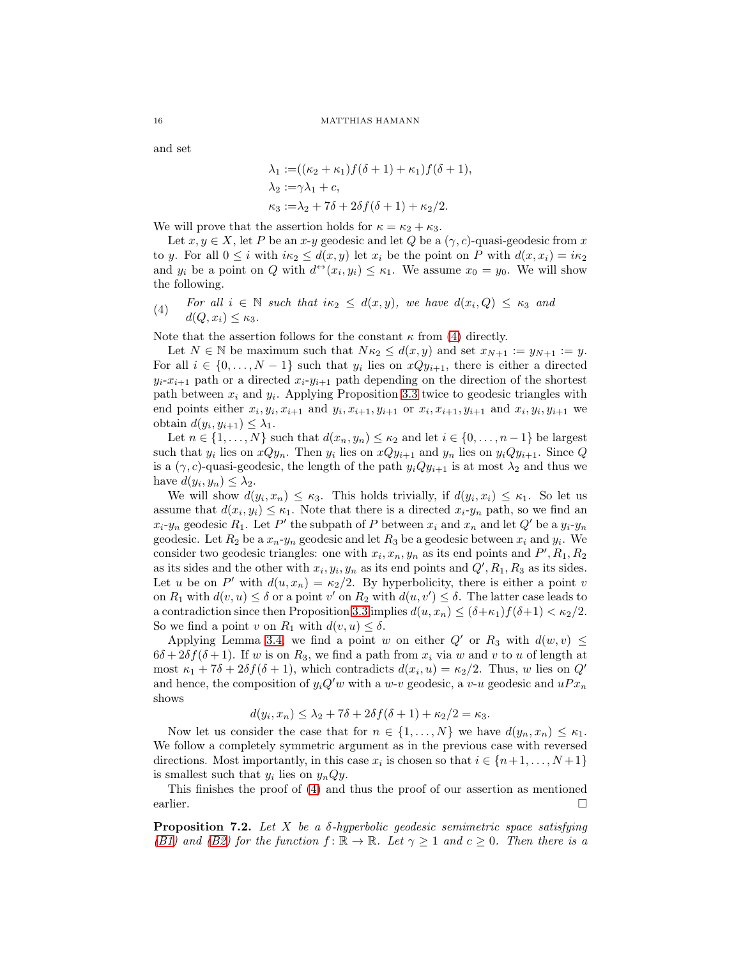and set

$$
\lambda_1 := ((\kappa_2 + \kappa_1) f(\delta + 1) + \kappa_1) f(\delta + 1), \n\lambda_2 := \gamma \lambda_1 + c, \n\kappa_3 := \lambda_2 + 7\delta + 2\delta f(\delta + 1) + \kappa_2/2.
$$

We will prove that the assertion holds for  $\kappa = \kappa_2 + \kappa_3$ .

Let  $x, y \in X$ , let P be an  $x-y$  geodesic and let Q be a  $(\gamma, c)$ -quasi-geodesic from x to y. For all  $0 \leq i$  with  $i\kappa_2 \leq d(x, y)$  let  $x_i$  be the point on P with  $d(x, x_i) = i\kappa_2$ and  $y_i$  be a point on Q with  $d^{\leftrightarrow}(x_i, y_i) \leq \kappa_1$ . We assume  $x_0 = y_0$ . We will show the following.

<span id="page-15-1"></span>(4) *For all*  $i \in \mathbb{N}$  *such that*  $i\kappa_2 \leq d(x, y)$ *, we have*  $d(x_i, Q) \leq \kappa_3$  *and*  $d(Q, x_i) \leq \kappa_3.$ 

Note that the assertion follows for the constant  $\kappa$  from [\(4\)](#page-15-1) directly.

Let  $N \in \mathbb{N}$  be maximum such that  $N\kappa_2 \leq d(x,y)$  and set  $x_{N+1} := y_{N+1} := y$ . For all  $i \in \{0, \ldots, N-1\}$  such that  $y_i$  lies on  $xQy_{i+1}$ , there is either a directed  $y_i-x_{i+1}$  path or a directed  $x_i-y_{i+1}$  path depending on the direction of the shortest path between  $x_i$  and  $y_i$ . Applying Proposition [3.3](#page-7-2) twice to geodesic triangles with end points either  $x_i, y_i, x_{i+1}$  and  $y_i, x_{i+1}, y_{i+1}$  or  $x_i, x_{i+1}, y_{i+1}$  and  $x_i, y_i, y_{i+1}$  we obtain  $d(y_i, y_{i+1}) \leq \lambda_1$ .

Let  $n \in \{1, ..., N\}$  such that  $d(x_n, y_n) \leq \kappa_2$  and let  $i \in \{0, ..., n-1\}$  be largest such that  $y_i$  lies on  $xQy_n$ . Then  $y_i$  lies on  $xQy_{i+1}$  and  $y_n$  lies on  $y_iQy_{i+1}$ . Since  $Q$ is a  $(\gamma, c)$ -quasi-geodesic, the length of the path  $y_iQy_{i+1}$  is at most  $\lambda_2$  and thus we have  $d(y_i, y_n) \leq \lambda_2$ .

We will show  $d(y_i, x_n) \leq \kappa_3$ . This holds trivially, if  $d(y_i, x_i) \leq \kappa_1$ . So let us assume that  $d(x_i, y_i) \leq \kappa_1$ . Note that there is a directed  $x_i$ - $y_n$  path, so we find an  $x_i$ -y<sub>n</sub> geodesic  $R_1$ . Let P' the subpath of P between  $x_i$  and  $x_n$  and let Q' be a  $y_i$ -y<sub>n</sub> geodesic. Let  $R_2$  be a  $x_n$ - $y_n$  geodesic and let  $R_3$  be a geodesic between  $x_i$  and  $y_i$ . We consider two geodesic triangles: one with  $x_i, x_n, y_n$  as its end points and  $P', R_1, R_2$ as its sides and the other with  $x_i, y_i, y_n$  as its end points and  $Q', R_1, R_3$  as its sides. Let u be on P' with  $d(u, x_n) = \kappa_2/2$ . By hyperbolicity, there is either a point v on  $R_1$  with  $d(v, u) \leq \delta$  or a point v' on  $R_2$  with  $d(u, v') \leq \delta$ . The latter case leads to a contradiction since then Proposition [3.3](#page-7-2) implies  $d(u, x_n) \leq (\delta + \kappa_1)f(\delta + 1) < \kappa_2/2$ . So we find a point v on  $R_1$  with  $d(v, u) \leq \delta$ .

Applying Lemma [3.4,](#page-7-3) we find a point w on either  $Q'$  or  $R_3$  with  $d(w, v) \leq$  $6\delta + 2\delta f(\delta + 1)$ . If w is on  $R_3$ , we find a path from  $x_i$  via w and v to u of length at most  $\kappa_1 + 7\delta + 2\delta f(\delta + 1)$ , which contradicts  $d(x_i, u) = \kappa_2/2$ . Thus, w lies on  $Q'$ and hence, the composition of  $y_iQ'w$  with a w-v geodesic, a v-u geodesic and  $uPx_n$ shows

$$
d(y_i, x_n) \leq \lambda_2 + 7\delta + 2\delta f(\delta + 1) + \kappa_2/2 = \kappa_3.
$$

Now let us consider the case that for  $n \in \{1, ..., N\}$  we have  $d(y_n, x_n) \leq \kappa_1$ . We follow a completely symmetric argument as in the previous case with reversed directions. Most importantly, in this case  $x_i$  is chosen so that  $i \in \{n+1, \ldots, N+1\}$ is smallest such that  $y_i$  lies on  $y_nQy$ .

This finishes the proof of [\(4\)](#page-15-1) and thus the proof of our assertion as mentioned earlier.

<span id="page-15-0"></span>Proposition 7.2. *Let* X *be a* δ*-hyperbolic geodesic semimetric space satisfying [\(B1\)](#page-6-0)* and *(B2)* for the function  $f: \mathbb{R} \to \mathbb{R}$ *. Let*  $\gamma \geq 1$  and  $c \geq 0$ *. Then there is a*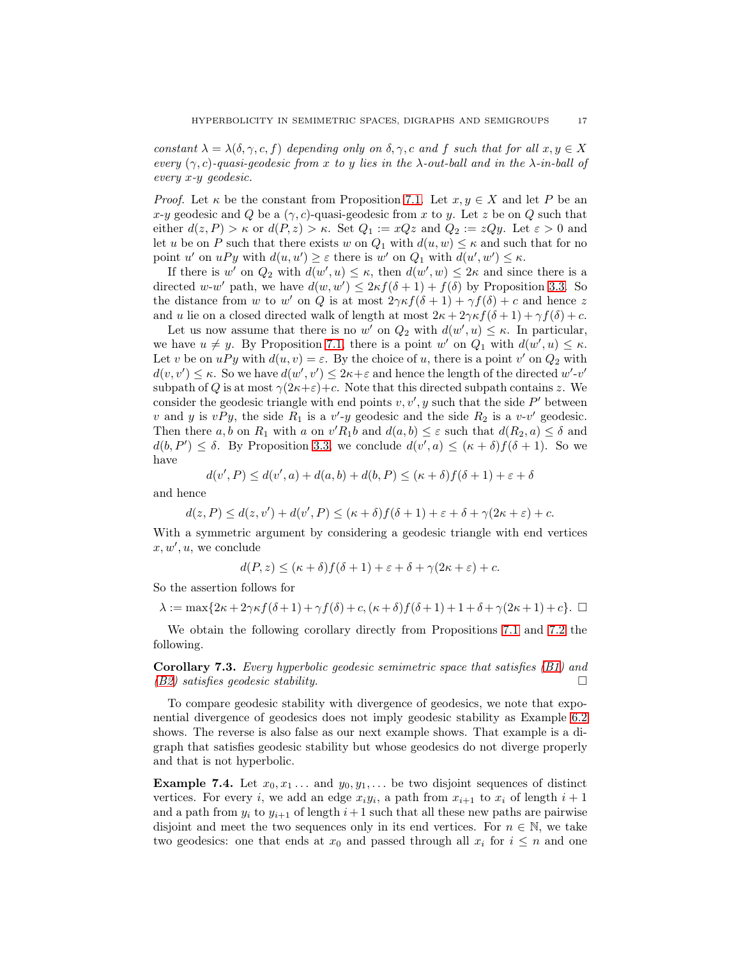*constant*  $\lambda = \lambda(\delta, \gamma, c, f)$  *depending only on*  $\delta, \gamma, c$  *and* f *such that for all*  $x, y \in X$ *every* (γ, c)*-quasi-geodesic from* x *to* y *lies in the* λ*-out-ball and in the* λ*-in-ball of every* x*-*y *geodesic.*

*Proof.* Let  $\kappa$  be the constant from Proposition [7.1.](#page-13-1) Let  $x, y \in X$  and let P be an x-y geodesic and Q be a  $(\gamma, c)$ -quasi-geodesic from x to y. Let z be on Q such that either  $d(z, P) > \kappa$  or  $d(P, z) > \kappa$ . Set  $Q_1 := xQz$  and  $Q_2 := zQy$ . Let  $\varepsilon > 0$  and let u be on P such that there exists w on  $Q_1$  with  $d(u, w) \leq \kappa$  and such that for no point u' on  $uPy$  with  $d(u, u') \geq \varepsilon$  there is w' on  $Q_1$  with  $d(u', w') \leq \kappa$ .

If there is w' on  $Q_2$  with  $d(w', u) \leq \kappa$ , then  $d(w', w) \leq 2\kappa$  and since there is a directed w-w' path, we have  $d(w, w') \leq 2\kappa f(\delta + 1) + f(\delta)$  by Proposition [3.3.](#page-7-2) So the distance from w to w' on Q is at most  $2\gamma \kappa f(\delta + 1) + \gamma f(\delta) + c$  and hence z and u lie on a closed directed walk of length at most  $2\kappa + 2\gamma \kappa f(\delta + 1) + \gamma f(\delta) + c$ .

Let us now assume that there is no w' on  $Q_2$  with  $d(w', u) \leq \kappa$ . In particular, we have  $u \neq y$ . By Proposition [7.1,](#page-13-1) there is a point w' on  $Q_1$  with  $d(w', u) \leq \kappa$ . Let v be on  $uPy$  with  $d(u, v) = \varepsilon$ . By the choice of u, there is a point v' on  $Q_2$  with  $d(v, v') \leq \kappa$ . So we have  $d(w', v') \leq 2\kappa + \varepsilon$  and hence the length of the directed  $w'$ -v' subpath of Q is at most  $\gamma(2\kappa+\varepsilon)+c$ . Note that this directed subpath contains z. We consider the geodesic triangle with end points  $v, v', y$  such that the side  $P'$  between v and y is  $vPy$ , the side  $R_1$  is a v'-y geodesic and the side  $R_2$  is a v-v' geodesic. Then there  $a, b$  on  $R_1$  with a on  $v'R_1b$  and  $d(a, b) \leq \varepsilon$  such that  $d(R_2, a) \leq \delta$  and  $d(b, P') \leq \delta$ . By Proposition [3.3,](#page-7-2) we conclude  $d(v', a) \leq (\kappa + \delta) f(\delta + 1)$ . So we have

$$
d(v', P) \le d(v', a) + d(a, b) + d(b, P) \le (\kappa + \delta) f(\delta + 1) + \varepsilon + \delta
$$

and hence

$$
d(z, P) \le d(z, v') + d(v', P) \le (\kappa + \delta) f(\delta + 1) + \varepsilon + \delta + \gamma (2\kappa + \varepsilon) + c.
$$

With a symmetric argument by considering a geodesic triangle with end vertices  $x, w', u$ , we conclude

$$
d(P, z) \le (\kappa + \delta) f(\delta + 1) + \varepsilon + \delta + \gamma (2\kappa + \varepsilon) + c.
$$

So the assertion follows for

 $\lambda := \max\{2\kappa + 2\gamma\kappa f(\delta + 1) + \gamma f(\delta) + c, (\kappa + \delta)f(\delta + 1) + 1 + \delta + \gamma(2\kappa + 1) + c\}.$ 

We obtain the following corollary directly from Propositions [7.1](#page-13-1) and [7.2](#page-15-0) the following.

<span id="page-16-0"></span>Corollary 7.3. *Every hyperbolic geodesic semimetric space that satisfies [\(B1\)](#page-6-0) and [\(B2\)](#page-6-1) satisfies geodesic stability.*

To compare geodesic stability with divergence of geodesics, we note that exponential divergence of geodesics does not imply geodesic stability as Example [6.2](#page-12-0) shows. The reverse is also false as our next example shows. That example is a digraph that satisfies geodesic stability but whose geodesics do not diverge properly and that is not hyperbolic.

**Example 7.4.** Let  $x_0, x_1, \ldots$  and  $y_0, y_1, \ldots$  be two disjoint sequences of distinct vertices. For every *i*, we add an edge  $x_i y_i$ , a path from  $x_{i+1}$  to  $x_i$  of length  $i+1$ and a path from  $y_i$  to  $y_{i+1}$  of length  $i+1$  such that all these new paths are pairwise disjoint and meet the two sequences only in its end vertices. For  $n \in \mathbb{N}$ , we take two geodesics: one that ends at  $x_0$  and passed through all  $x_i$  for  $i \leq n$  and one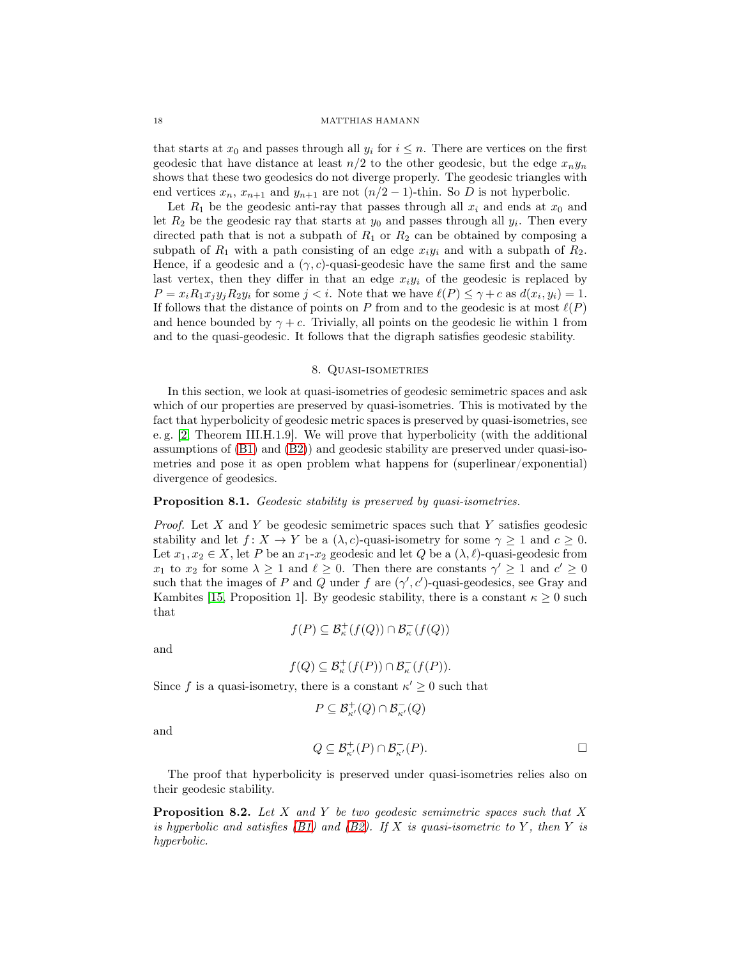that starts at  $x_0$  and passes through all  $y_i$  for  $i \leq n$ . There are vertices on the first geodesic that have distance at least  $n/2$  to the other geodesic, but the edge  $x_n y_n$ shows that these two geodesics do not diverge properly. The geodesic triangles with end vertices  $x_n$ ,  $x_{n+1}$  and  $y_{n+1}$  are not  $(n/2 - 1)$ -thin. So D is not hyperbolic.

Let  $R_1$  be the geodesic anti-ray that passes through all  $x_i$  and ends at  $x_0$  and let  $R_2$  be the geodesic ray that starts at  $y_0$  and passes through all  $y_i$ . Then every directed path that is not a subpath of  $R_1$  or  $R_2$  can be obtained by composing a subpath of  $R_1$  with a path consisting of an edge  $x_iy_i$  and with a subpath of  $R_2$ . Hence, if a geodesic and a  $(\gamma, c)$ -quasi-geodesic have the same first and the same last vertex, then they differ in that an edge  $x_i y_i$  of the geodesic is replaced by  $P = x_i R_1 x_j y_j R_2 y_i$  for some  $j < i$ . Note that we have  $\ell(P) \leq \gamma + c$  as  $d(x_i, y_i) = 1$ . If follows that the distance of points on P from and to the geodesic is at most  $\ell(P)$ and hence bounded by  $\gamma + c$ . Trivially, all points on the geodesic lie within 1 from and to the quasi-geodesic. It follows that the digraph satisfies geodesic stability.

## 8. QUASI-ISOMETRIES

<span id="page-17-0"></span>In this section, we look at quasi-isometries of geodesic semimetric spaces and ask which of our properties are preserved by quasi-isometries. This is motivated by the fact that hyperbolicity of geodesic metric spaces is preserved by quasi-isometries, see e. g. [\[2,](#page-42-1) Theorem III.H.1.9]. We will prove that hyperbolicity (with the additional assumptions of [\(B1\)](#page-6-0) and [\(B2\)](#page-6-1)) and geodesic stability are preserved under quasi-isometries and pose it as open problem what happens for (superlinear/exponential) divergence of geodesics.

## Proposition 8.1. *Geodesic stability is preserved by quasi-isometries.*

*Proof.* Let X and Y be geodesic semimetric spaces such that Y satisfies geodesic stability and let  $f: X \to Y$  be a  $(\lambda, c)$ -quasi-isometry for some  $\gamma \geq 1$  and  $c \geq 0$ . Let  $x_1, x_2 \in X$ , let P be an  $x_1-x_2$  geodesic and let Q be a  $(\lambda, \ell)$ -quasi-geodesic from  $x_1$  to  $x_2$  for some  $\lambda \geq 1$  and  $\ell \geq 0$ . Then there are constants  $\gamma' \geq 1$  and  $c' \geq 0$ such that the images of P and Q under f are  $(\gamma', c')$ -quasi-geodesics, see Gray and Kambites [\[15,](#page-43-11) Proposition 1]. By geodesic stability, there is a constant  $\kappa \geq 0$  such that

$$
f(P) \subseteq \mathcal{B}^+_{\kappa}(f(Q)) \cap \mathcal{B}^-_{\kappa}(f(Q))
$$

and

$$
f(Q) \subseteq \mathcal{B}_{\kappa}^+(f(P)) \cap \mathcal{B}_{\kappa}^-(f(P)).
$$

Since f is a quasi-isometry, there is a constant  $\kappa' \geq 0$  such that

$$
P \subseteq \mathcal{B}_{\kappa'}^+(Q) \cap \mathcal{B}_{\kappa'}^-(Q)
$$

and

$$
Q \subseteq \mathcal{B}_{\kappa'}^+(P) \cap \mathcal{B}_{\kappa'}^-(P). \qquad \qquad \Box
$$

The proof that hyperbolicity is preserved under quasi-isometries relies also on their geodesic stability.

<span id="page-17-1"></span>Proposition 8.2. *Let* X *and* Y *be two geodesic semimetric spaces such that* X *is hyperbolic and satisfies*  $(B1)$  and  $(B2)$ *. If* X *is quasi-isometric to* Y, then Y *is hyperbolic.*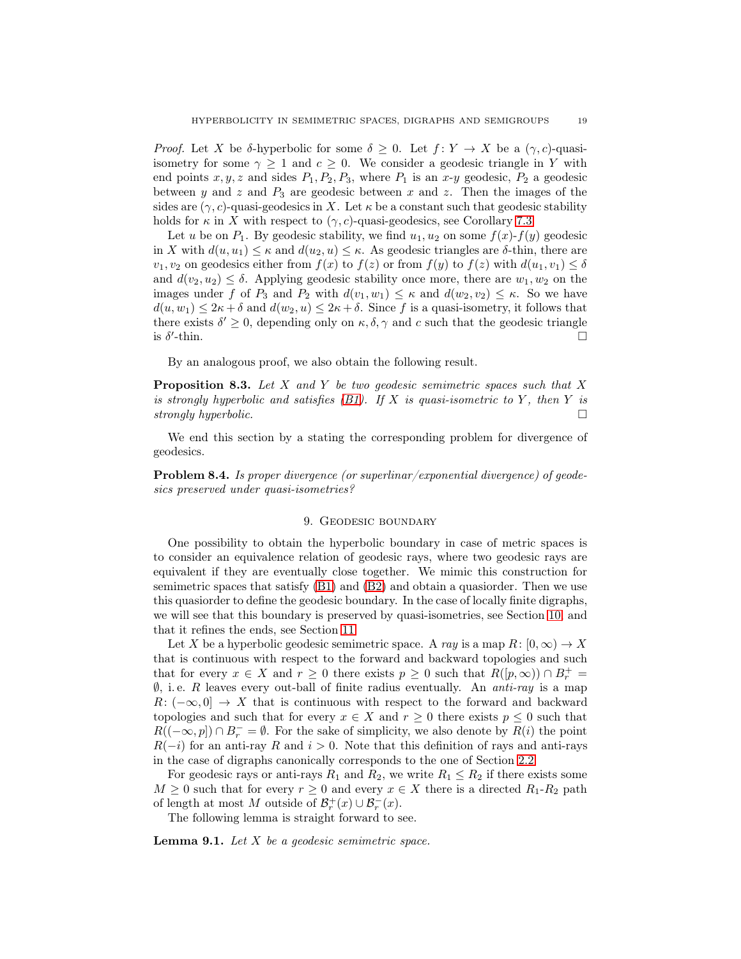*Proof.* Let X be δ-hyperbolic for some  $\delta \geq 0$ . Let  $f: Y \to X$  be a  $(\gamma, c)$ -quasiisometry for some  $\gamma \geq 1$  and  $c \geq 0$ . We consider a geodesic triangle in Y with end points  $x, y, z$  and sides  $P_1, P_2, P_3$ , where  $P_1$  is an  $x-y$  geodesic,  $P_2$  a geodesic between y and z and  $P_3$  are geodesic between x and z. Then the images of the sides are  $(\gamma, c)$ -quasi-geodesics in X. Let  $\kappa$  be a constant such that geodesic stability holds for  $\kappa$  in X with respect to  $(\gamma, c)$ -quasi-geodesics, see Corollary [7.3.](#page-16-0)

Let u be on  $P_1$ . By geodesic stability, we find  $u_1, u_2$  on some  $f(x)$ - $f(y)$  geodesic in X with  $d(u, u_1) \leq \kappa$  and  $d(u_2, u) \leq \kappa$ . As geodesic triangles are  $\delta$ -thin, there are  $v_1, v_2$  on geodesics either from  $f(x)$  to  $f(z)$  or from  $f(y)$  to  $f(z)$  with  $d(u_1, v_1) \leq \delta$ and  $d(v_2, u_2) \leq \delta$ . Applying geodesic stability once more, there are  $w_1, w_2$  on the images under f of  $P_3$  and  $P_2$  with  $d(v_1, w_1) \leq \kappa$  and  $d(w_2, v_2) \leq \kappa$ . So we have  $d(u, w_1) \leq 2\kappa + \delta$  and  $d(w_2, u) \leq 2\kappa + \delta$ . Since f is a quasi-isometry, it follows that there exists  $\delta' \geq 0$ , depending only on  $\kappa, \delta, \gamma$  and c such that the geodesic triangle is  $\delta'$  $\Box$ 

By an analogous proof, we also obtain the following result.

Proposition 8.3. *Let* X *and* Y *be two geodesic semimetric spaces such that* X *is strongly hyperbolic and satisfies [\(B1\)](#page-6-0). If* X *is quasi-isometric to* Y *, then* Y *is strongly hyperbolic.*

We end this section by a stating the corresponding problem for divergence of geodesics.

<span id="page-18-0"></span>Problem 8.4. *Is proper divergence (or superlinar/exponential divergence) of geodesics preserved under quasi-isometries?*

## 9. Geodesic boundary

One possibility to obtain the hyperbolic boundary in case of metric spaces is to consider an equivalence relation of geodesic rays, where two geodesic rays are equivalent if they are eventually close together. We mimic this construction for semimetric spaces that satisfy [\(B1\)](#page-6-0) and [\(B2\)](#page-6-1) and obtain a quasiorder. Then we use this quasiorder to define the geodesic boundary. In the case of locally finite digraphs, we will see that this boundary is preserved by quasi-isometries, see Section [10,](#page-21-0) and that it refines the ends, see Section [11.](#page-23-0)

Let X be a hyperbolic geodesic semimetric space. A ray is a map  $R: [0, \infty) \to X$ that is continuous with respect to the forward and backward topologies and such that for every  $x \in X$  and  $r \geq 0$  there exists  $p \geq 0$  such that  $R([p,\infty)) \cap B_r^+ =$ ∅, i. e. R leaves every out-ball of finite radius eventually. An *anti-ray* is a map  $R: (-\infty, 0] \rightarrow X$  that is continuous with respect to the forward and backward topologies and such that for every  $x \in X$  and  $r \geq 0$  there exists  $p \leq 0$  such that  $R((-\infty, p]) \cap B_r^- = \emptyset$ . For the sake of simplicity, we also denote by  $R(i)$  the point  $R(-i)$  for an anti-ray R and  $i > 0$ . Note that this definition of rays and anti-rays in the case of digraphs canonically corresponds to the one of Section [2.2.](#page-5-3)

For geodesic rays or anti-rays  $R_1$  and  $R_2$ , we write  $R_1 \leq R_2$  if there exists some  $M \geq 0$  such that for every  $r \geq 0$  and every  $x \in X$  there is a directed  $R_1$ - $R_2$  path of length at most M outside of  $\mathcal{B}_r^+(x) \cup \mathcal{B}_r^-(x)$ .

The following lemma is straight forward to see.

<span id="page-18-1"></span>Lemma 9.1. *Let* X *be a geodesic semimetric space.*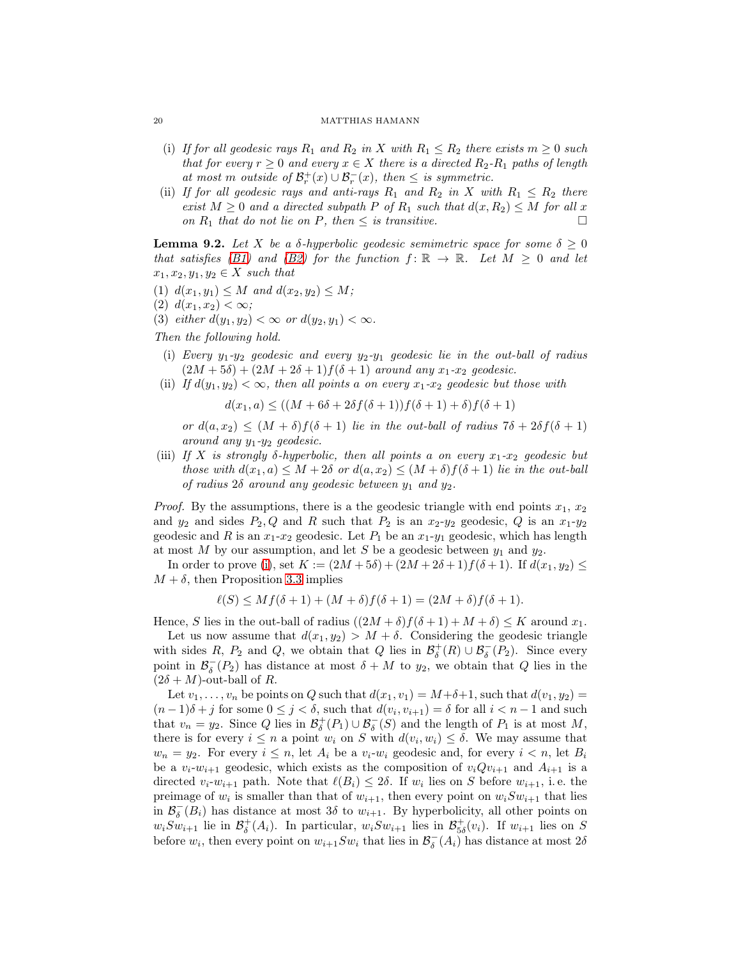- (i) If for all geodesic rays  $R_1$  and  $R_2$  in X with  $R_1 \leq R_2$  there exists  $m \geq 0$  such *that for every*  $r \geq 0$  *and every*  $x \in X$  *there is a directed*  $R_2$ - $R_1$  *paths of length at most m outside of*  $\mathcal{B}_r^+(x) \cup \mathcal{B}_r^-(x)$ *, then*  $\leq$  *is symmetric.*
- <span id="page-19-4"></span>(ii) If for all geodesic rays and anti-rays  $R_1$  and  $R_2$  in X with  $R_1 \leq R_2$  there *exist*  $M \geq 0$  *and a directed subpath* P *of*  $R_1$  *such that*  $d(x, R_2) \leq M$  *for all* x *on*  $R_1$  *that do not lie on*  $P$ *, then*  $\leq$  *is transitive.*

<span id="page-19-3"></span>**Lemma 9.2.** Let X be a  $\delta$ -hyperbolic geodesic semimetric space for some  $\delta \geq 0$ *that satisfies* [\(B1\)](#page-6-0) and [\(B2\)](#page-6-1) for the function  $f: \mathbb{R} \to \mathbb{R}$ . Let  $M \geq 0$  and let  $x_1, x_2, y_1, y_2 \in X$  *such that* 

- (1)  $d(x_1, y_1) \leq M$  *and*  $d(x_2, y_2) \leq M$ ;
- (2)  $d(x_1, x_2) < \infty$ ;
- (3) *either*  $d(y_1, y_2) < \infty$  *or*  $d(y_2, y_1) < \infty$ *.*
- <span id="page-19-0"></span>*Then the following hold.*
- (i) *Every*  $y_1$ - $y_2$  geodesic and every  $y_2$ - $y_1$  geodesic lie in the out-ball of radius  $(2M + 5\delta) + (2M + 2\delta + 1)f(\delta + 1)$  *around any*  $x_1 - x_2$  *geodesic.*
- <span id="page-19-1"></span>(ii) If  $d(y_1, y_2) < \infty$ , then all points a on every  $x_1-x_2$  geodesic but those with

$$
d(x_1, a) \le ((M + 6\delta + 2\delta f(\delta + 1))f(\delta + 1) + \delta)f(\delta + 1)
$$

*or*  $d(a, x_2) \leq (M + \delta) f(\delta + 1)$  *lie in the out-ball of radius*  $7\delta + 2\delta f(\delta + 1)$ *around any* y1*-*y<sup>2</sup> *geodesic.*

<span id="page-19-2"></span>(iii) If X is strongly  $\delta$ -hyperbolic, then all points a on every  $x_1-x_2$  geodesic but *those with*  $d(x_1, a) \leq M + 2\delta$  *or*  $d(a, x_2) \leq (M + \delta) f(\delta + 1)$  *lie in the out-ball of radius* 2δ *around any geodesic between* y<sup>1</sup> *and* y2*.*

*Proof.* By the assumptions, there is a the geodesic triangle with end points  $x_1, x_2$ and  $y_2$  and sides  $P_2, Q$  and R such that  $P_2$  is an  $x_2-y_2$  geodesic, Q is an  $x_1-y_2$ geodesic and R is an  $x_1-x_2$  geodesic. Let  $P_1$  be an  $x_1-y_1$  geodesic, which has length at most  $M$  by our assumption, and let  $S$  be a geodesic between  $y_1$  and  $y_2$ .

In order to prove [\(i\)](#page-19-0), set  $K := (2M + 5\delta) + (2M + 2\delta + 1)f(\delta + 1)$ . If  $d(x_1, y_2) \le$  $M + \delta$ , then Proposition [3.3](#page-7-2) implies

$$
\ell(S) \le Mf(\delta + 1) + (M + \delta)f(\delta + 1) = (2M + \delta)f(\delta + 1).
$$

Hence, S lies in the out-ball of radius  $((2M + \delta) f(\delta + 1) + M + \delta) \leq K$  around  $x_1$ .

Let us now assume that  $d(x_1, y_2) > M + \delta$ . Considering the geodesic triangle with sides R,  $P_2$  and Q, we obtain that Q lies in  $\mathcal{B}_{\delta}^+(R) \cup \mathcal{B}_{\delta}^-(P_2)$ . Since every point in  $\mathcal{B}_{\delta}^{-}(P_2)$  has distance at most  $\delta + M$  to  $y_2$ , we obtain that Q lies in the  $(2\delta + M)$ -out-ball of R.

Let  $v_1, \ldots, v_n$  be points on Q such that  $d(x_1, v_1) = M + \delta + 1$ , such that  $d(v_1, y_2) =$  $(n-1)\delta + j$  for some  $0 \leq j < \delta$ , such that  $d(v_i, v_{i+1}) = \delta$  for all  $i < n-1$  and such that  $v_n = y_2$ . Since Q lies in  $\mathcal{B}_{\delta}^+(P_1) \cup \mathcal{B}_{\delta}^-(S)$  and the length of  $P_1$  is at most  $M$ , there is for every  $i \leq n$  a point  $w_i$  on S with  $d(v_i, w_i) \leq \delta$ . We may assume that  $w_n = y_2$ . For every  $i \leq n$ , let  $A_i$  be a  $v_i-w_i$  geodesic and, for every  $i < n$ , let  $B_i$ be a  $v_i-w_{i+1}$  geodesic, which exists as the composition of  $v_iQv_{i+1}$  and  $A_{i+1}$  is a directed  $v_i-w_{i+1}$  path. Note that  $\ell(B_i) \leq 2\delta$ . If  $w_i$  lies on S before  $w_{i+1}$ , i.e. the preimage of  $w_i$  is smaller than that of  $w_{i+1}$ , then every point on  $w_iSw_{i+1}$  that lies in  $\mathcal{B}_{\delta}^{-}(B_i)$  has distance at most  $3\delta$  to  $w_{i+1}$ . By hyperbolicity, all other points on  $w_iSw_{i+1}$  lie in  $\mathcal{B}_{\delta}^+(A_i)$ . In particular,  $w_iSw_{i+1}$  lies in  $\mathcal{B}_{5\delta}^+(v_i)$ . If  $w_{i+1}$  lies on S before  $w_i$ , then every point on  $w_{i+1}Sw_i$  that lies in  $\mathcal{B}_{\delta}^-(A_i)$  has distance at most  $2\delta$ 

<span id="page-19-5"></span>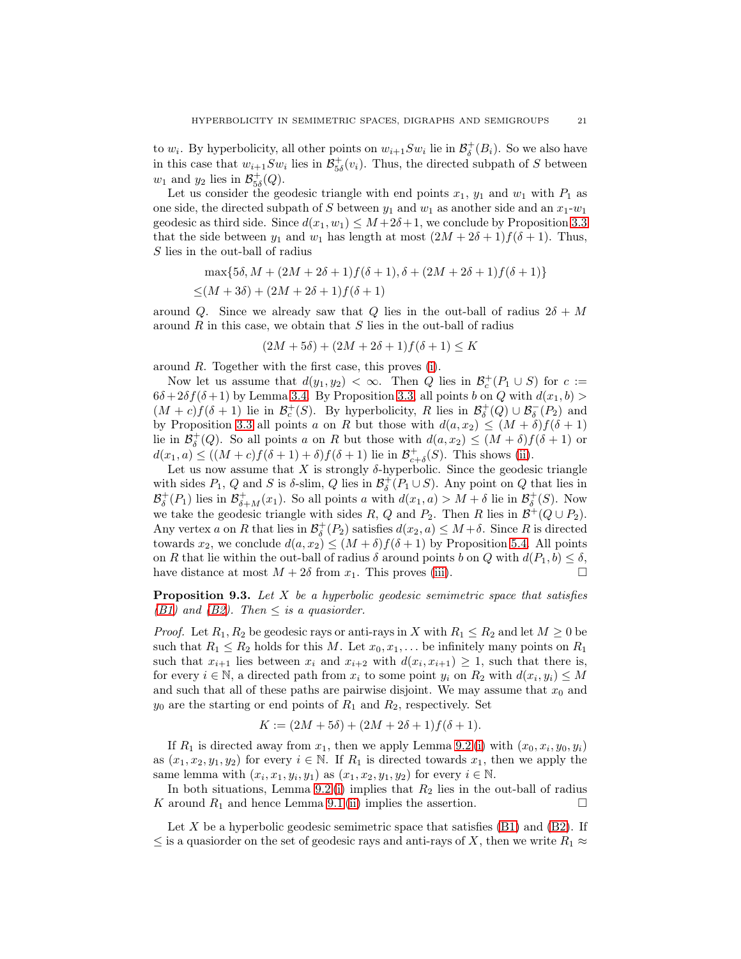to  $w_i$ . By hyperbolicity, all other points on  $w_{i+1}Sw_i$  lie in  $\mathcal{B}^+_{\delta}(B_i)$ . So we also have in this case that  $w_{i+1}Sw_i$  lies in  $\mathcal{B}_{5\delta}^+(v_i)$ . Thus, the directed subpath of S between  $w_1$  and  $y_2$  lies in  $\mathcal{B}^+_{5\delta}(Q)$ .

Let us consider the geodesic triangle with end points  $x_1$ ,  $y_1$  and  $w_1$  with  $P_1$  as one side, the directed subpath of S between  $y_1$  and  $w_1$  as another side and an  $x_1-w_1$ geodesic as third side. Since  $d(x_1, w_1) \leq M + 2\delta + 1$ , we conclude by Proposition [3.3](#page-7-2) that the side between  $y_1$  and  $w_1$  has length at most  $(2M + 2\delta + 1)f(\delta + 1)$ . Thus, S lies in the out-ball of radius

$$
\max\{5\delta, M + (2M + 2\delta + 1)f(\delta + 1), \delta + (2M + 2\delta + 1)f(\delta + 1)\}\
$$
  

$$
\leq (M + 3\delta) + (2M + 2\delta + 1)f(\delta + 1)
$$

around Q. Since we already saw that Q lies in the out-ball of radius  $2\delta + M$ around  $R$  in this case, we obtain that  $S$  lies in the out-ball of radius

$$
(2M+5\delta) + (2M+2\delta+1)f(\delta+1) \leq K
$$

around R. Together with the first case, this proves [\(i\)](#page-19-0).

Now let us assume that  $d(y_1, y_2) < \infty$ . Then Q lies in  $\mathcal{B}_c^+(P_1 \cup S)$  for  $c :=$  $6\delta + 2\delta f(\delta + 1)$  by Lemma [3.4.](#page-7-3) By Proposition [3.3,](#page-7-2) all points b on Q with  $d(x_1, b)$  $(M + c) f(\delta + 1)$  lie in  $\mathcal{B}_c^+(S)$ . By hyperbolicity, R lies in  $\mathcal{B}_\delta^+(Q) \cup \mathcal{B}_\delta^-(P_2)$  and by Proposition [3.3](#page-7-2) all points a on R but those with  $d(a, x_2) \leq (M + \delta) f(\delta + 1)$ lie in  $\mathcal{B}_{\delta}^+(Q)$ . So all points a on R but those with  $d(a, x_2) \leq (M + \delta) f(\delta + 1)$  or  $d(x_1, a) \le ((M + c)f(\delta + 1) + \delta)f(\delta + 1)$  lie in  $\mathcal{B}^+_{c+\delta}(S)$ . This shows [\(ii\)](#page-19-1).

Let us now assume that X is strongly  $\delta$ -hyperbolic. Since the geodesic triangle with sides  $P_1$ , Q and S is  $\delta$ -slim, Q lies in  $\mathcal{B}^+_\delta(P_1 \cup S)$ . Any point on Q that lies in  $\mathcal{B}^+_{\delta}(P_1)$  lies in  $\mathcal{B}^+_{\delta+M}(x_1)$ . So all points a with  $d(x_1, a) > M + \delta$  lie in  $\mathcal{B}^+_{\delta}(S)$ . Now we take the geodesic triangle with sides R, Q and P<sub>2</sub>. Then R lies in  $\mathcal{B}^+(Q \cup P_2)$ . Any vertex a on R that lies in  $\mathcal{B}^+_{\delta}(P_2)$  satisfies  $d(x_2, a) \leq M + \delta$ . Since R is directed towards  $x_2$ , we conclude  $d(a, x_2) \leq (M + \delta) f(\delta + 1)$  by Proposition [5.4.](#page-10-0) All points on R that lie within the out-ball of radius  $\delta$  around points b on Q with  $d(P_1, b) \leq \delta$ , have distance at most  $M + 2\delta$  from  $x_1$ . This proves (iii). have distance at most  $M + 2\delta$  from  $x_1$ . This proves [\(iii\)](#page-19-2).

<span id="page-20-0"></span>Proposition 9.3. *Let* X *be a hyperbolic geodesic semimetric space that satisfies [\(B1\)](#page-6-0)* and *(B2).* Then  $\leq$  *is a quasiorder.* 

*Proof.* Let  $R_1, R_2$  be geodesic rays or anti-rays in X with  $R_1 \leq R_2$  and let  $M \geq 0$  be such that  $R_1 \leq R_2$  holds for this M. Let  $x_0, x_1, \ldots$  be infinitely many points on  $R_1$ such that  $x_{i+1}$  lies between  $x_i$  and  $x_{i+2}$  with  $d(x_i, x_{i+1}) \geq 1$ , such that there is, for every  $i \in \mathbb{N}$ , a directed path from  $x_i$  to some point  $y_i$  on  $R_2$  with  $d(x_i, y_i) \leq M$ and such that all of these paths are pairwise disjoint. We may assume that  $x_0$  and  $y_0$  are the starting or end points of  $R_1$  and  $R_2$ , respectively. Set

$$
K := (2M + 5\delta) + (2M + 2\delta + 1)f(\delta + 1).
$$

If  $R_1$  is directed away from  $x_1$ , then we apply Lemma [9.2](#page-19-3) [\(i\)](#page-19-0) with  $(x_0, x_i, y_0, y_i)$ as  $(x_1, x_2, y_1, y_2)$  for every  $i \in \mathbb{N}$ . If  $R_1$  is directed towards  $x_1$ , then we apply the same lemma with  $(x_i, x_1, y_i, y_1)$  as  $(x_1, x_2, y_1, y_2)$  for every  $i \in \mathbb{N}$ .

In both situations, Lemma [9.2](#page-19-3)(i) implies that  $R_2$  lies in the out-ball of radius K around  $R_1$  and hence Lemma [9.1](#page-18-1) [\(ii\)](#page-19-4) implies the assertion.

Let X be a hyperbolic geodesic semimetric space that satisfies  $(B1)$  and  $(B2)$ . If  $\leq$  is a quasionder on the set of geodesic rays and anti-rays of X, then we write  $R_1 \approx$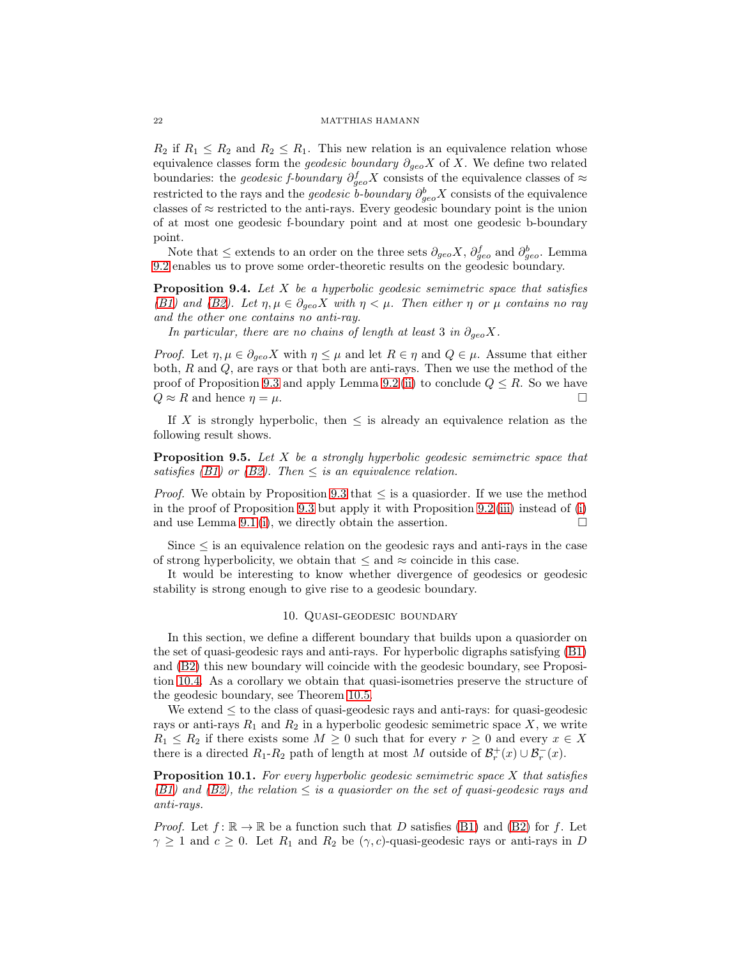$R_2$  if  $R_1 \leq R_2$  and  $R_2 \leq R_1$ . This new relation is an equivalence relation whose equivalence classes form the *geodesic boundary*  $\partial_{geo}X$  of X. We define two related boundaries: the *geodesic f-boundary*  $\partial_{geo}^f X$  consists of the equivalence classes of  $\approx$ restricted to the rays and the *geodesic b-boundary*  $\partial_{geo}^b X$  consists of the equivalence classes of  $\approx$  restricted to the anti-rays. Every geodesic boundary point is the union of at most one geodesic f-boundary point and at most one geodesic b-boundary point.

Note that  $\leq$  extends to an order on the three sets  $\partial_{geo} X$ ,  $\partial_{geo}^f$  and  $\partial_{geo}^b$ . Lemma [9.2](#page-19-3) enables us to prove some order-theoretic results on the geodesic boundary.

<span id="page-21-2"></span>Proposition 9.4. *Let* X *be a hyperbolic geodesic semimetric space that satisfies [\(B1\)](#page-6-0)* and *(B2).* Let  $\eta, \mu \in \partial_{q\epsilon o} X$  with  $\eta < \mu$ . Then either  $\eta$  or  $\mu$  *contains no ray and the other one contains no anti-ray.*

*In particular, there are no chains of length at least* 3 *in*  $\partial_{\alpha} X$ .

*Proof.* Let  $\eta, \mu \in \partial_{\alpha} \in X$  with  $\eta \leq \mu$  and let  $R \in \eta$  and  $Q \in \mu$ . Assume that either both,  $R$  and  $Q$ , are rays or that both are anti-rays. Then we use the method of the proof of Proposition [9.3](#page-20-0) and apply Lemma [9.2](#page-19-3) [\(ii\)](#page-19-1) to conclude  $Q \leq R$ . So we have  $Q \approx R$  and hence  $n = \mu$ .  $Q \approx R$  and hence  $\eta = \mu$ .

If X is strongly hyperbolic, then  $\leq$  is already an equivalence relation as the following result shows.

Proposition 9.5. *Let* X *be a strongly hyperbolic geodesic semimetric space that satisfies* [\(B1\)](#page-6-0) or [\(B2\)](#page-6-1). Then  $\leq$  *is an equivalence relation.* 

*Proof.* We obtain by Proposition [9.3](#page-20-0) that  $\leq$  is a quasioneder. If we use the method in the proof of Proposition [9.3](#page-20-0) but apply it with Proposition [9.2](#page-19-3) [\(iii\)](#page-19-2) instead of [\(i\)](#page-19-0) and use Lemma [9.1](#page-18-1) [\(i\)](#page-19-5), we directly obtain the assertion.  $\Box$ 

Since  $\leq$  is an equivalence relation on the geodesic rays and anti-rays in the case of strong hyperbolicity, we obtain that  $\leq$  and  $\approx$  coincide in this case.

<span id="page-21-0"></span>It would be interesting to know whether divergence of geodesics or geodesic stability is strong enough to give rise to a geodesic boundary.

## 10. Quasi-geodesic boundary

In this section, we define a different boundary that builds upon a quasiorder on the set of quasi-geodesic rays and anti-rays. For hyperbolic digraphs satisfying [\(B1\)](#page-6-0) and [\(B2\)](#page-6-1) this new boundary will coincide with the geodesic boundary, see Proposition [10.4.](#page-23-1) As a corollary we obtain that quasi-isometries preserve the structure of the geodesic boundary, see Theorem [10.5.](#page-23-2)

We extend  $\leq$  to the class of quasi-geodesic rays and anti-rays: for quasi-geodesic rays or anti-rays  $R_1$  and  $R_2$  in a hyperbolic geodesic semimetric space X, we write  $R_1 \leq R_2$  if there exists some  $M \geq 0$  such that for every  $r \geq 0$  and every  $x \in X$ there is a directed  $R_1 - R_2$  path of length at most M outside of  $\mathcal{B}_r^+(x) \cup \mathcal{B}_r^-(x)$ .

<span id="page-21-1"></span>Proposition 10.1. *For every hyperbolic geodesic semimetric space* X *that satisfies*  $(B1)$  and  $(B2)$ *, the relation*  $\leq$  *is a quasiorder on the set of quasi-geodesic rays and anti-rays.*

*Proof.* Let  $f: \mathbb{R} \to \mathbb{R}$  be a function such that D satisfies [\(B1\)](#page-6-0) and [\(B2\)](#page-6-1) for f. Let  $\gamma \geq 1$  and  $c \geq 0$ . Let  $R_1$  and  $R_2$  be  $(\gamma, c)$ -quasi-geodesic rays or anti-rays in D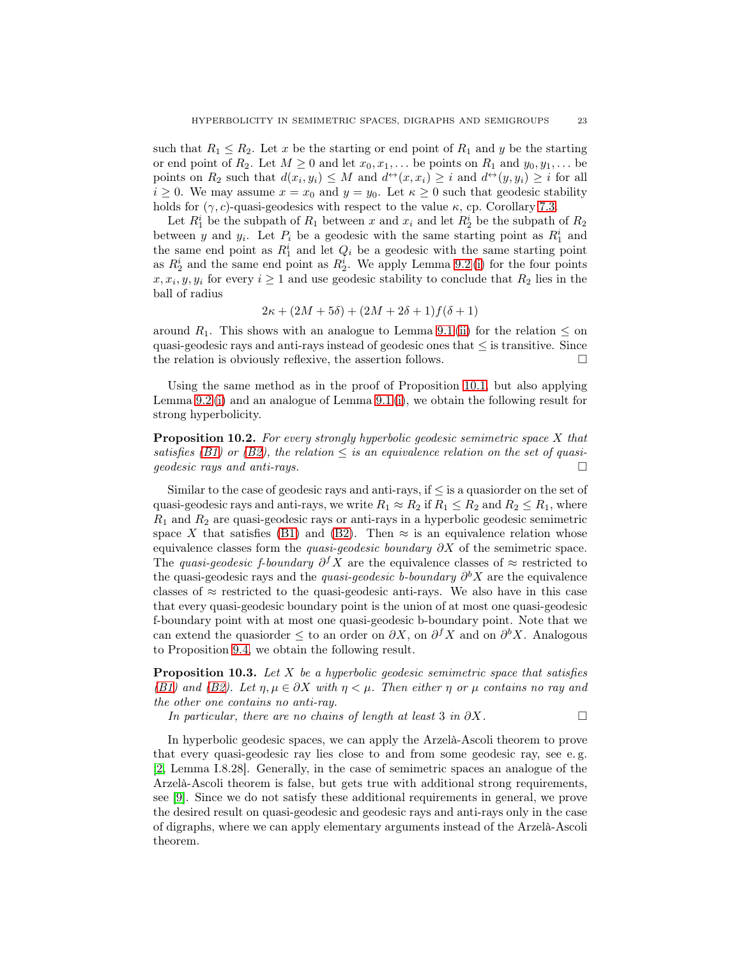such that  $R_1 \leq R_2$ . Let x be the starting or end point of  $R_1$  and y be the starting or end point of  $R_2$ . Let  $M \geq 0$  and let  $x_0, x_1, \ldots$  be points on  $R_1$  and  $y_0, y_1, \ldots$  be points on  $R_2$  such that  $d(x_i, y_i) \leq M$  and  $d^{\leftrightarrow}(x, x_i) \geq i$  and  $d^{\leftrightarrow}(y, y_i) \geq i$  for all  $i \geq 0$ . We may assume  $x = x_0$  and  $y = y_0$ . Let  $\kappa \geq 0$  such that geodesic stability holds for  $(\gamma, c)$ -quasi-geodesics with respect to the value  $\kappa$ , cp. Corollary [7.3.](#page-16-0)

Let  $R_1^i$  be the subpath of  $R_1$  between x and  $x_i$  and let  $R_2^i$  be the subpath of  $R_2$ between y and  $y_i$ . Let  $P_i$  be a geodesic with the same starting point as  $R_1^i$  and the same end point as  $R_1^i$  and let  $Q_i$  be a geodesic with the same starting point as  $R_2^i$  and the same end point as  $R_2^i$ . We apply Lemma [9.2](#page-19-3)(i) for the four points  $x, x_i, y, y_i$  for every  $i \geq 1$  and use geodesic stability to conclude that  $R_2$  lies in the ball of radius

$$
2\kappa + (2M + 5\delta) + (2M + 2\delta + 1)f(\delta + 1)
$$

around  $R_1$ . This shows with an analogue to Lemma [9.1](#page-18-1) [\(ii\)](#page-19-4) for the relation  $\leq$  on quasi-geodesic rays and anti-rays instead of geodesic ones that  $\leq$  is transitive. Since the relation is obviously reflexive the assertion follows the relation is obviously reflexive, the assertion follows.

Using the same method as in the proof of Proposition [10.1,](#page-21-1) but also applying Lemma [9.2](#page-19-3) [\(i\)](#page-19-0) and an analogue of Lemma [9.1](#page-18-1) [\(i\)](#page-19-5), we obtain the following result for strong hyperbolicity.

Proposition 10.2. *For every strongly hyperbolic geodesic semimetric space* X *that satisfies* [\(B1\)](#page-6-0) or [\(B2\)](#page-6-1), the relation  $\leq$  *is an equivalence relation on the set of quasi-*<br>*geodesic rays and anti-rays. geodesic rays and anti-rays.*

Similar to the case of geodesic rays and anti-rays, if  $\leq$  is a quasionder on the set of quasi-geodesic rays and anti-rays, we write  $R_1 \approx R_2$  if  $R_1 \leq R_2$  and  $R_2 \leq R_1$ , where  $R_1$  and  $R_2$  are quasi-geodesic rays or anti-rays in a hyperbolic geodesic semimetric space X that satisfies [\(B1\)](#page-6-0) and [\(B2\)](#page-6-1). Then  $\approx$  is an equivalence relation whose equivalence classes form the *quasi-geodesic boundary* ∂X of the semimetric space. The *quasi-geodesic f-boundary*  $\partial^f X$  are the equivalence classes of  $\approx$  restricted to the quasi-geodesic rays and the *quasi-geodesic* b-boundary  $\partial^{b} X$  are the equivalence classes of  $\approx$  restricted to the quasi-geodesic anti-rays. We also have in this case that every quasi-geodesic boundary point is the union of at most one quasi-geodesic f-boundary point with at most one quasi-geodesic b-boundary point. Note that we can extend the quasiorder  $\leq$  to an order on  $\partial X$ , on  $\partial^f X$  and on  $\partial^b X$ . Analogous to Proposition [9.4,](#page-21-2) we obtain the following result.

<span id="page-22-0"></span>Proposition 10.3. *Let* X *be a hyperbolic geodesic semimetric space that satisfies [\(B1\)](#page-6-0)* and *(B2).* Let  $n, \mu \in \partial X$  with  $n \lt \mu$ . Then either  $n$  or  $\mu$  contains no ray and *the other one contains no anti-ray.*

*In particular, there are no chains of length at least* 3 *in* ∂X.  $\Box$ 

In hyperbolic geodesic spaces, we can apply the Arzelà-Ascoli theorem to prove that every quasi-geodesic ray lies close to and from some geodesic ray, see e. g. [\[2,](#page-42-1) Lemma I.8.28]. Generally, in the case of semimetric spaces an analogue of the Arzelà-Ascoli theorem is false, but gets true with additional strong requirements, see [\[9\]](#page-43-12). Since we do not satisfy these additional requirements in general, we prove the desired result on quasi-geodesic and geodesic rays and anti-rays only in the case of digraphs, where we can apply elementary arguments instead of the Arzelà-Ascoli theorem.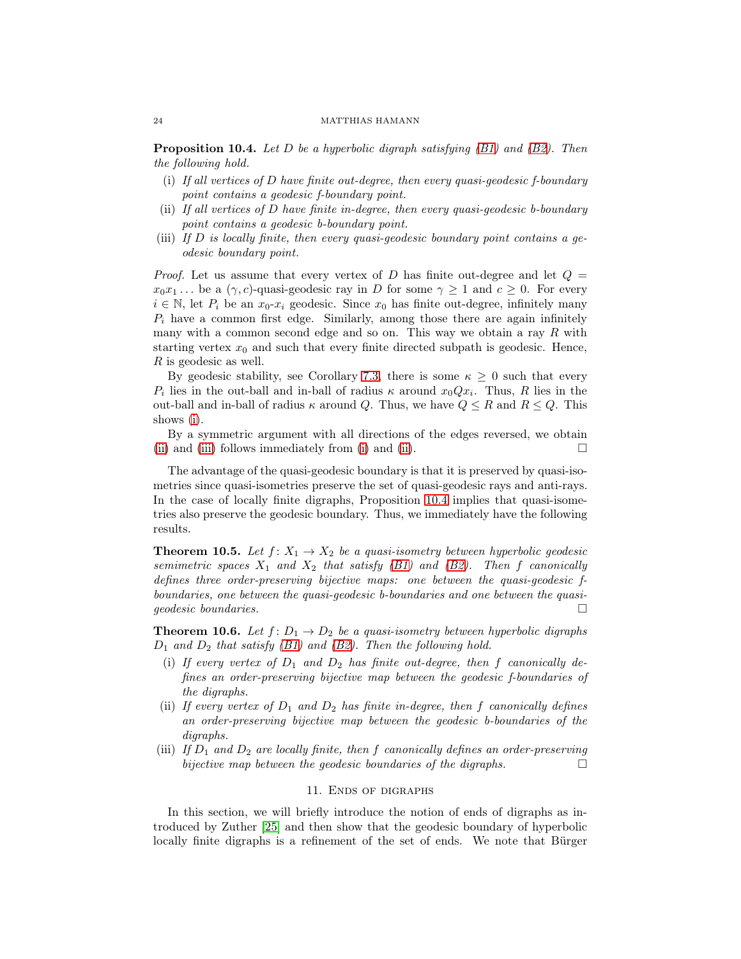<span id="page-23-3"></span><span id="page-23-1"></span>Proposition 10.4. *Let* D *be a hyperbolic digraph satisfying [\(B1\)](#page-6-0) and [\(B2\)](#page-6-1). Then the following hold.*

- (i) *If all vertices of* D *have finite out-degree, then every quasi-geodesic f-boundary point contains a geodesic f-boundary point.*
- <span id="page-23-4"></span>(ii) *If all vertices of* D *have finite in-degree, then every quasi-geodesic b-boundary point contains a geodesic b-boundary point.*
- <span id="page-23-5"></span>(iii) *If* D *is locally finite, then every quasi-geodesic boundary point contains a geodesic boundary point.*

*Proof.* Let us assume that every vertex of D has finite out-degree and let  $Q =$  $x_0x_1...$  be a  $(\gamma, c)$ -quasi-geodesic ray in D for some  $\gamma \geq 1$  and  $c \geq 0$ . For every  $i \in \mathbb{N}$ , let  $P_i$  be an  $x_0$ - $x_i$  geodesic. Since  $x_0$  has finite out-degree, infinitely many  $P_i$  have a common first edge. Similarly, among those there are again infinitely many with a common second edge and so on. This way we obtain a ray  $R$  with starting vertex  $x_0$  and such that every finite directed subpath is geodesic. Hence, R is geodesic as well.

By geodesic stability, see Corollary [7.3,](#page-16-0) there is some  $\kappa \geq 0$  such that every  $P_i$  lies in the out-ball and in-ball of radius  $\kappa$  around  $x_0Qx_i$ . Thus, R lies in the out-ball and in-ball of radius  $\kappa$  around Q. Thus, we have  $Q \leq R$  and  $R \leq Q$ . This shows [\(i\)](#page-23-3).

By a symmetric argument with all directions of the edges reversed, we obtain [\(ii\)](#page-23-4) and [\(iii\)](#page-23-5) follows immediately from [\(i\)](#page-23-3) and [\(ii\)](#page-23-4).  $\Box$ 

The advantage of the quasi-geodesic boundary is that it is preserved by quasi-isometries since quasi-isometries preserve the set of quasi-geodesic rays and anti-rays. In the case of locally finite digraphs, Proposition [10.4](#page-23-1) implies that quasi-isometries also preserve the geodesic boundary. Thus, we immediately have the following results.

<span id="page-23-2"></span>**Theorem 10.5.** *Let*  $f: X_1 \to X_2$  *be a quasi-isometry between hyperbolic geodesic semimetric spaces*  $X_1$  *and*  $X_2$  *that satisfy (B1) and (B2). Then f canonically defines three order-preserving bijective maps: one between the quasi-geodesic fboundaries, one between the quasi-geodesic b-boundaries and one between the quasigeodesic boundaries.*

<span id="page-23-6"></span>**Theorem 10.6.** *Let*  $f: D_1 \rightarrow D_2$  *be a quasi-isometry between hyperbolic digraphs* D<sup>1</sup> *and* D<sup>2</sup> *that satisfy [\(B1\)](#page-6-0) and [\(B2\)](#page-6-1). Then the following hold.*

- (i) If every vertex of  $D_1$  and  $D_2$  has finite out-degree, then  $f$  canonically de*fines an order-preserving bijective map between the geodesic f-boundaries of the digraphs.*
- (ii) If every vertex of  $D_1$  and  $D_2$  has finite in-degree, then f canonically defines *an order-preserving bijective map between the geodesic b-boundaries of the digraphs.*
- <span id="page-23-0"></span>(iii) If  $D_1$  and  $D_2$  are locally finite, then f canonically defines an order-preserving *bijective map between the geodesic boundaries of the digraphs.*

## 11. Ends of digraphs

In this section, we will briefly introduce the notion of ends of digraphs as introduced by Zuther [\[25\]](#page-43-13) and then show that the geodesic boundary of hyperbolic locally finite digraphs is a refinement of the set of ends. We note that Bürger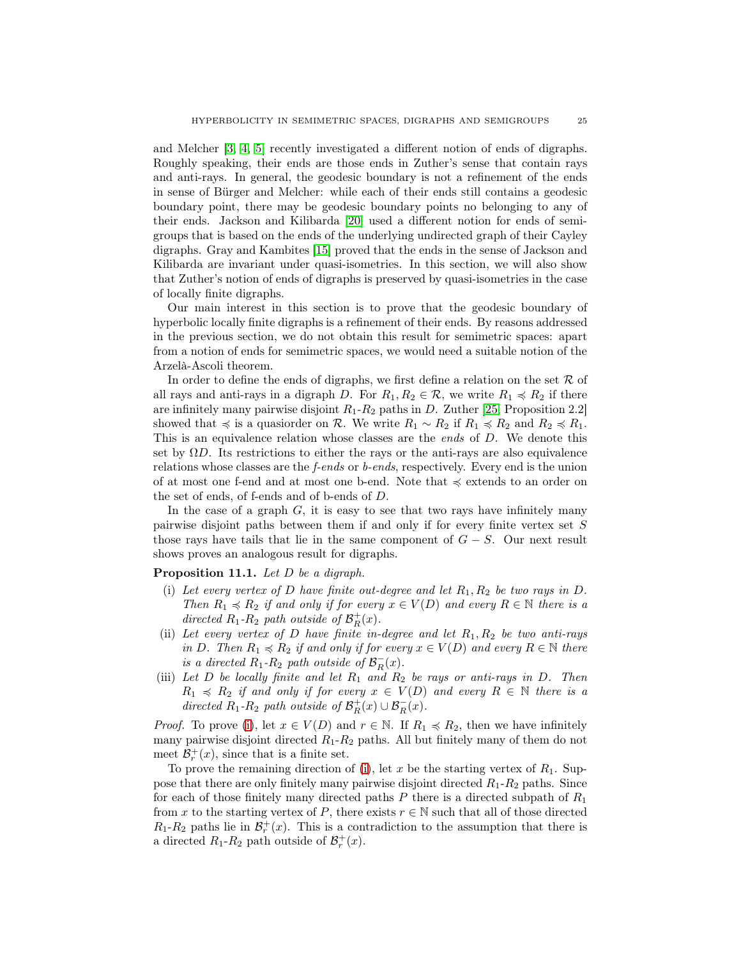and Melcher [\[3,](#page-42-4) [4,](#page-42-5) [5\]](#page-42-6) recently investigated a different notion of ends of digraphs. Roughly speaking, their ends are those ends in Zuther's sense that contain rays and anti-rays. In general, the geodesic boundary is not a refinement of the ends in sense of Bürger and Melcher: while each of their ends still contains a geodesic boundary point, there may be geodesic boundary points no belonging to any of their ends. Jackson and Kilibarda [\[20\]](#page-43-16) used a different notion for ends of semigroups that is based on the ends of the underlying undirected graph of their Cayley digraphs. Gray and Kambites [\[15\]](#page-43-11) proved that the ends in the sense of Jackson and Kilibarda are invariant under quasi-isometries. In this section, we will also show that Zuther's notion of ends of digraphs is preserved by quasi-isometries in the case of locally finite digraphs.

Our main interest in this section is to prove that the geodesic boundary of hyperbolic locally finite digraphs is a refinement of their ends. By reasons addressed in the previous section, we do not obtain this result for semimetric spaces: apart from a notion of ends for semimetric spaces, we would need a suitable notion of the Arzelà-Ascoli theorem.

In order to define the ends of digraphs, we first define a relation on the set  $R$  of all rays and anti-rays in a digraph D. For  $R_1, R_2 \in \mathcal{R}$ , we write  $R_1 \preccurlyeq R_2$  if there are infinitely many pairwise disjoint  $R_1-R_2$  paths in D. Zuther [\[25,](#page-43-13) Proposition 2.2] showed that  $\preccurlyeq$  is a quasionder on R. We write  $R_1 \sim R_2$  if  $R_1 \preccurlyeq R_2$  and  $R_2 \preccurlyeq R_1$ . This is an equivalence relation whose classes are the *ends* of D. We denote this set by  $\Omega D$ . Its restrictions to either the rays or the anti-rays are also equivalence relations whose classes are the *f-ends* or *b-ends*, respectively. Every end is the union of at most one f-end and at most one b-end. Note that  $\preccurlyeq$  extends to an order on the set of ends, of f-ends and of b-ends of D.

In the case of a graph  $G$ , it is easy to see that two rays have infinitely many pairwise disjoint paths between them if and only if for every finite vertex set S those rays have tails that lie in the same component of  $G - S$ . Our next result shows proves an analogous result for digraphs.

<span id="page-24-3"></span><span id="page-24-0"></span>Proposition 11.1. *Let* D *be a digraph.*

- (i) Let every vertex of D have finite out-degree and let  $R_1, R_2$  be two rays in D. *Then*  $R_1 \preccurlyeq R_2$  *if and only if for every*  $x \in V(D)$  *and every*  $R \in \mathbb{N}$  *there is a* directed  $R_1$ - $R_2$  path outside of  $\mathcal{B}_R^+(x)$ .
- <span id="page-24-1"></span>(ii) *Let every vertex of* D *have finite in-degree and let* R1, R<sup>2</sup> *be two anti-rays in* D. Then  $R_1 \preccurlyeq R_2$  *if and only if for every*  $x \in V(D)$  *and every*  $R \in \mathbb{N}$  *there is a directed*  $R_1$ - $R_2$  *path outside of*  $\mathcal{B}_R^- (x)$ *.*
- <span id="page-24-2"></span>(iii) *Let* D *be locally finite and let* R<sup>1</sup> *and* R<sup>2</sup> *be rays or anti-rays in* D*. Then*  $R_1 \preccurlyeq R_2$  *if and only if for every*  $x \in V(D)$  *and every*  $R \in \mathbb{N}$  *there is a directed*  $R_1$ - $R_2$  *path outside of*  $\mathcal{B}_R^+(x) \cup \mathcal{B}_R^-(x)$ *.*

*Proof.* To prove [\(i\)](#page-24-0), let  $x \in V(D)$  and  $r \in \mathbb{N}$ . If  $R_1 \preccurlyeq R_2$ , then we have infinitely many pairwise disjoint directed  $R_1 - R_2$  paths. All but finitely many of them do not meet  $\mathcal{B}_r^+(x)$ , since that is a finite set.

To prove the remaining direction of [\(i\)](#page-24-0), let x be the starting vertex of  $R_1$ . Suppose that there are only finitely many pairwise disjoint directed  $R_1-R_2$  paths. Since for each of those finitely many directed paths  $P$  there is a directed subpath of  $R_1$ from x to the starting vertex of P, there exists  $r \in \mathbb{N}$  such that all of those directed  $R_1 - R_2$  paths lie in  $\mathcal{B}_r^+(x)$ . This is a contradiction to the assumption that there is a directed  $R_1 - R_2$  path outside of  $\mathcal{B}_r^+(x)$ .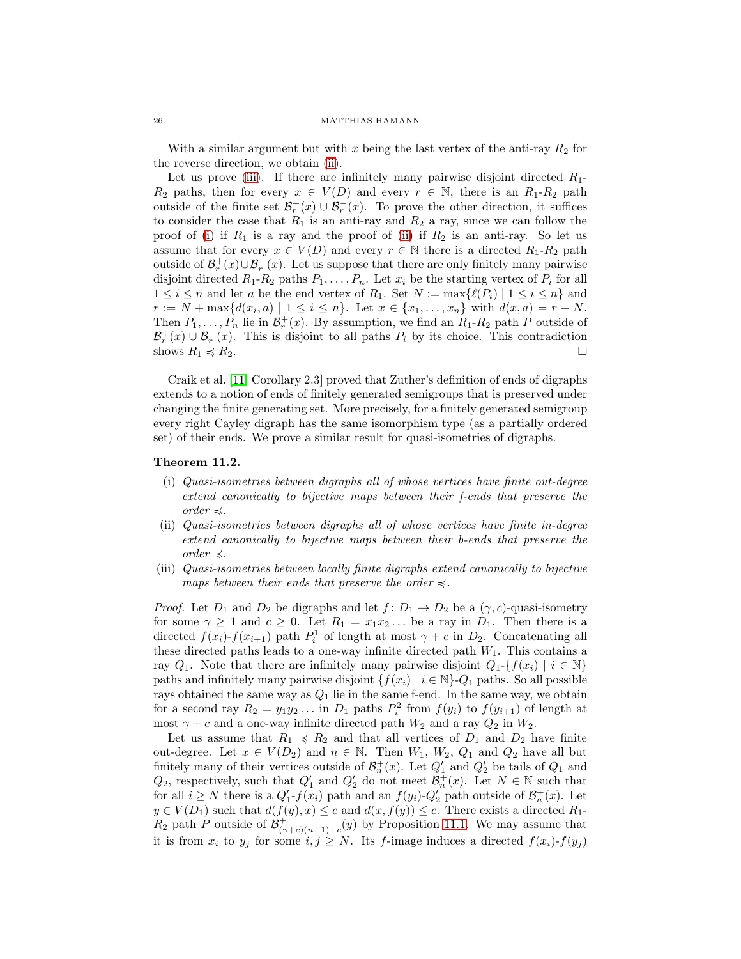With a similar argument but with x being the last vertex of the anti-ray  $R_2$  for the reverse direction, we obtain [\(ii\)](#page-24-1).

Let us prove [\(iii\)](#page-24-2). If there are infinitely many pairwise disjoint directed  $R_1$ - $R_2$  paths, then for every  $x \in V(D)$  and every  $r \in \mathbb{N}$ , there is an  $R_1-R_2$  path outside of the finite set  $\mathcal{B}_r^+(x) \cup \mathcal{B}_r^-(x)$ . To prove the other direction, it suffices to consider the case that  $R_1$  is an anti-ray and  $R_2$  a ray, since we can follow the proof of [\(i\)](#page-24-0) if  $R_1$  is a ray and the proof of [\(ii\)](#page-24-1) if  $R_2$  is an anti-ray. So let us assume that for every  $x \in V(D)$  and every  $r \in \mathbb{N}$  there is a directed  $R_1-R_2$  path outside of  $\mathcal{B}_r^+(x) \cup \mathcal{B}_r^-(x)$ . Let us suppose that there are only finitely many pairwise disjoint directed  $R_1-R_2$  paths  $P_1, \ldots, P_n$ . Let  $x_i$  be the starting vertex of  $P_i$  for all  $1 \leq i \leq n$  and let a be the end vertex of  $R_1$ . Set  $N := \max\{\ell(P_i) | 1 \leq i \leq n\}$  and  $r := N + \max\{d(x_i, a) \mid 1 \leq i \leq n\}.$  Let  $x \in \{x_1, \ldots, x_n\}$  with  $d(x, a) = r - N.$ Then  $P_1, \ldots, P_n$  lie in  $\mathcal{B}_r^+(x)$ . By assumption, we find an  $R_1-R_2$  path P outside of  $\mathcal{B}_r^+(x) \cup \mathcal{B}_r^-(x)$ . This is disjoint to all paths  $P_i$  by its choice. This contradiction shows  $R_1 \preccurlyeq R_2$ .

Craik et al. [\[11,](#page-43-17) Corollary 2.3] proved that Zuther's definition of ends of digraphs extends to a notion of ends of finitely generated semigroups that is preserved under changing the finite generating set. More precisely, for a finitely generated semigroup every right Cayley digraph has the same isomorphism type (as a partially ordered set) of their ends. We prove a similar result for quasi-isometries of digraphs.

## <span id="page-25-0"></span>Theorem 11.2.

- (i) *Quasi-isometries between digraphs all of whose vertices have finite out-degree extend canonically to bijective maps between their f-ends that preserve the order*  $\preccurlyeq$ *.*
- <span id="page-25-1"></span>(ii) *Quasi-isometries between digraphs all of whose vertices have finite in-degree extend canonically to bijective maps between their b-ends that preserve the order*  $\preccurlyeq$ *.*
- <span id="page-25-2"></span>(iii) *Quasi-isometries between locally finite digraphs extend canonically to bijective maps between their ends that preserve the order*  $\leq$ .

*Proof.* Let  $D_1$  and  $D_2$  be digraphs and let  $f: D_1 \to D_2$  be a  $(\gamma, c)$ -quasi-isometry for some  $\gamma \geq 1$  and  $c \geq 0$ . Let  $R_1 = x_1 x_2 ...$  be a ray in  $D_1$ . Then there is a directed  $f(x_i)$ - $f(x_{i+1})$  path  $P_i^1$  of length at most  $\gamma + c$  in  $D_2$ . Concatenating all these directed paths leads to a one-way infinite directed path  $W_1$ . This contains a ray  $Q_1$ . Note that there are infinitely many pairwise disjoint  $Q_1$ -{ $f(x_i) | i \in \mathbb{N}$ } paths and infinitely many pairwise disjoint  $\{f(x_i) | i \in \mathbb{N}\}\text{-}Q_1$  paths. So all possible rays obtained the same way as  $Q_1$  lie in the same f-end. In the same way, we obtain for a second ray  $R_2 = y_1 y_2 \dots$  in  $D_1$  paths  $P_i^2$  from  $f(y_i)$  to  $f(y_{i+1})$  of length at most  $\gamma + c$  and a one-way infinite directed path  $W_2$  and a ray  $Q_2$  in  $W_2$ .

Let us assume that  $R_1 \preccurlyeq R_2$  and that all vertices of  $D_1$  and  $D_2$  have finite out-degree. Let  $x \in V(D_2)$  and  $n \in \mathbb{N}$ . Then  $W_1, W_2, Q_1$  and  $Q_2$  have all but finitely many of their vertices outside of  $\mathcal{B}_n^+(x)$ . Let  $Q'_1$  and  $Q'_2$  be tails of  $Q_1$  and  $Q_2$ , respectively, such that  $Q'_1$  and  $Q'_2$  do not meet  $\mathcal{B}_n^+(x)$ . Let  $N \in \mathbb{N}$  such that for all  $i \geq N$  there is a  $Q'_1$ - $f(x_i)$  path and an  $f(y_i)$ - $Q'_2$  path outside of  $\mathcal{B}_n^+(x)$ . Let  $y \in V(D_1)$  such that  $d(f(y), x) \leq c$  and  $d(x, f(y)) \leq c$ . There exists a directed  $R_1$ - $R_2$  path P outside of  $\mathcal{B}^+_{(\gamma+c)(n+1)+c}(y)$  by Proposition [11.1.](#page-24-3) We may assume that it is from  $x_i$  to  $y_j$  for some  $i, j \geq N$ . Its f-image induces a directed  $f(x_i)$ - $f(y_j)$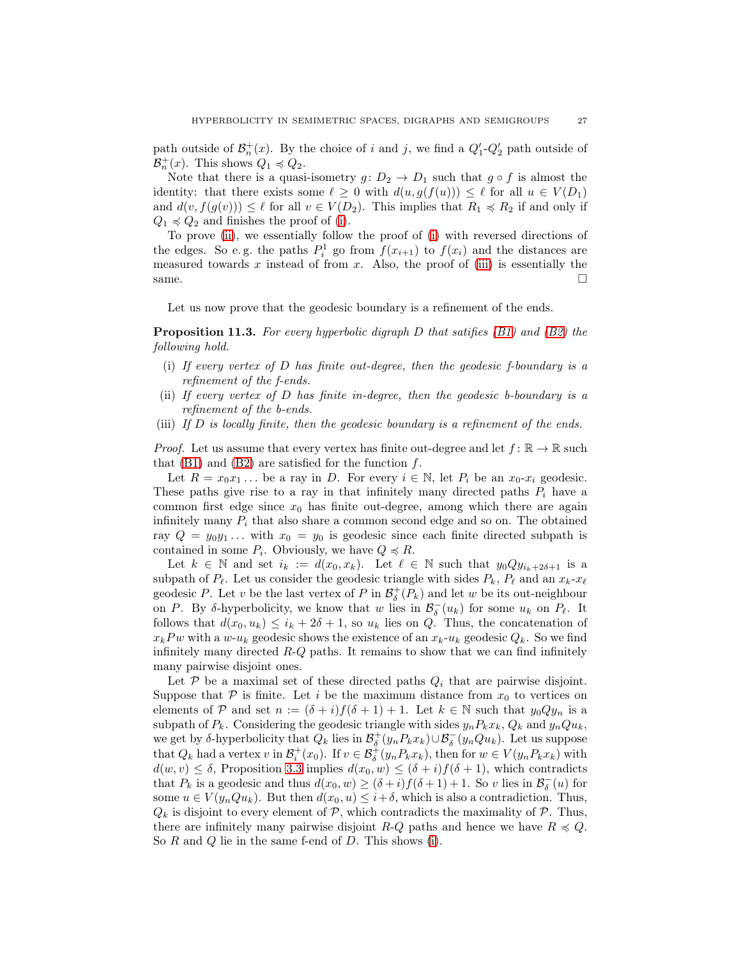path outside of  $\mathcal{B}_n^+(x)$ . By the choice of i and j, we find a  $Q'_1 - Q'_2$  path outside of  $\mathcal{B}_n^+(x)$ . This shows  $Q_1 \preccurlyeq Q_2$ .

Note that there is a quasi-isometry  $g: D_2 \to D_1$  such that  $g \circ f$  is almost the identity: that there exists some  $\ell \geq 0$  with  $d(u, g(f(u))) \leq \ell$  for all  $u \in V(D_1)$ and  $d(v, f(g(v))) \leq \ell$  for all  $v \in V(D_2)$ . This implies that  $R_1 \preccurlyeq R_2$  if and only if  $Q_1 \preccurlyeq Q_2$  and finishes the proof of [\(i\)](#page-25-0).

To prove [\(ii\)](#page-25-1), we essentially follow the proof of [\(i\)](#page-25-0) with reversed directions of the edges. So e.g. the paths  $P_i^1$  go from  $f(x_{i+1})$  to  $f(x_i)$  and the distances are measured towards x instead of from x. Also, the proof of [\(iii\)](#page-25-2) is essentially the same.

Let us now prove that the geodesic boundary is a refinement of the ends.

<span id="page-26-3"></span>Proposition 11.3. *For every hyperbolic digraph* D *that satifies [\(B1\)](#page-6-0) and [\(B2\)](#page-6-1) the following hold.*

- <span id="page-26-0"></span>(i) *If every vertex of* D *has finite out-degree, then the geodesic f-boundary is a refinement of the f-ends.*
- <span id="page-26-1"></span>(ii) *If every vertex of* D *has finite in-degree, then the geodesic b-boundary is a refinement of the b-ends.*
- <span id="page-26-2"></span>(iii) *If* D *is locally finite, then the geodesic boundary is a refinement of the ends.*

*Proof.* Let us assume that every vertex has finite out-degree and let  $f: \mathbb{R} \to \mathbb{R}$  such that  $(B1)$  and  $(B2)$  are satisfied for the function f.

Let  $R = x_0 x_1 \dots$  be a ray in D. For every  $i \in \mathbb{N}$ , let  $P_i$  be an  $x_0$ - $x_i$  geodesic. These paths give rise to a ray in that infinitely many directed paths  $P_i$  have a common first edge since  $x_0$  has finite out-degree, among which there are again infinitely many  $P_i$  that also share a common second edge and so on. The obtained ray  $Q = y_0 y_1 \ldots$  with  $x_0 = y_0$  is geodesic since each finite directed subpath is contained in some  $P_i$ . Obviously, we have  $Q \preccurlyeq R$ .

Let  $k \in \mathbb{N}$  and set  $i_k := d(x_0, x_k)$ . Let  $\ell \in \mathbb{N}$  such that  $y_0Qy_{i_k+2\delta+1}$  is a subpath of  $P_\ell$ . Let us consider the geodesic triangle with sides  $P_k$ ,  $P_\ell$  and an  $x_k$ - $x_\ell$ geodesic P. Let v be the last vertex of P in  $\mathcal{B}^+_{\delta}(P_k)$  and let w be its out-neighbour on P. By δ-hyperbolicity, we know that w lies in  $\mathcal{B}_{\delta}(u_k)$  for some  $u_k$  on  $P_{\ell}$ . It follows that  $d(x_0, u_k) \leq i_k + 2\delta + 1$ , so  $u_k$  lies on Q. Thus, the concatenation of  $x_k P w$  with a w-u<sub>k</sub> geodesic shows the existence of an  $x_k$ -u<sub>k</sub> geodesic  $Q_k$ . So we find infinitely many directed  $R-Q$  paths. It remains to show that we can find infinitely many pairwise disjoint ones.

Let  $P$  be a maximal set of these directed paths  $Q_i$  that are pairwise disjoint. Suppose that  $\mathcal P$  is finite. Let i be the maximum distance from  $x_0$  to vertices on elements of P and set  $n := (\delta + i)f(\delta + 1) + 1$ . Let  $k \in \mathbb{N}$  such that  $y_0Qy_n$  is a subpath of  $P_k$ . Considering the geodesic triangle with sides  $y_nP_kx_k$ ,  $Q_k$  and  $y_nQu_k$ , we get by  $\delta$ -hyperbolicity that  $Q_k$  lies in  $\mathcal{B}^+_{\delta}(y_n P_k x_k) \cup \mathcal{B}^-_{\delta}(y_n Q u_k)$ . Let us suppose that  $Q_k$  had a vertex v in  $\mathcal{B}_i^+(x_0)$ . If  $v \in \mathcal{B}_\delta^+(y_nP_kx_k)$ , then for  $w \in V(y_nP_kx_k)$  with  $d(w, v) \leq \delta$ , Proposition [3.3](#page-7-2) implies  $d(x_0, w) \leq (\delta + i) f(\delta + 1)$ , which contradicts that  $P_k$  is a geodesic and thus  $d(x_0, w) \ge (\delta + i) f(\delta + 1) + 1$ . So v lies in  $\mathcal{B}_{\delta}(u)$  for some  $u \in V(y_nQu_k)$ . But then  $d(x_0, u) \leq i + \delta$ , which is also a contradiction. Thus,  $Q_k$  is disjoint to every element of  $P$ , which contradicts the maximality of  $P$ . Thus, there are infinitely many pairwise disjoint R-Q paths and hence we have  $R \preccurlyeq Q$ . So  $R$  and  $Q$  lie in the same f-end of  $D$ . This shows [\(i\)](#page-26-0).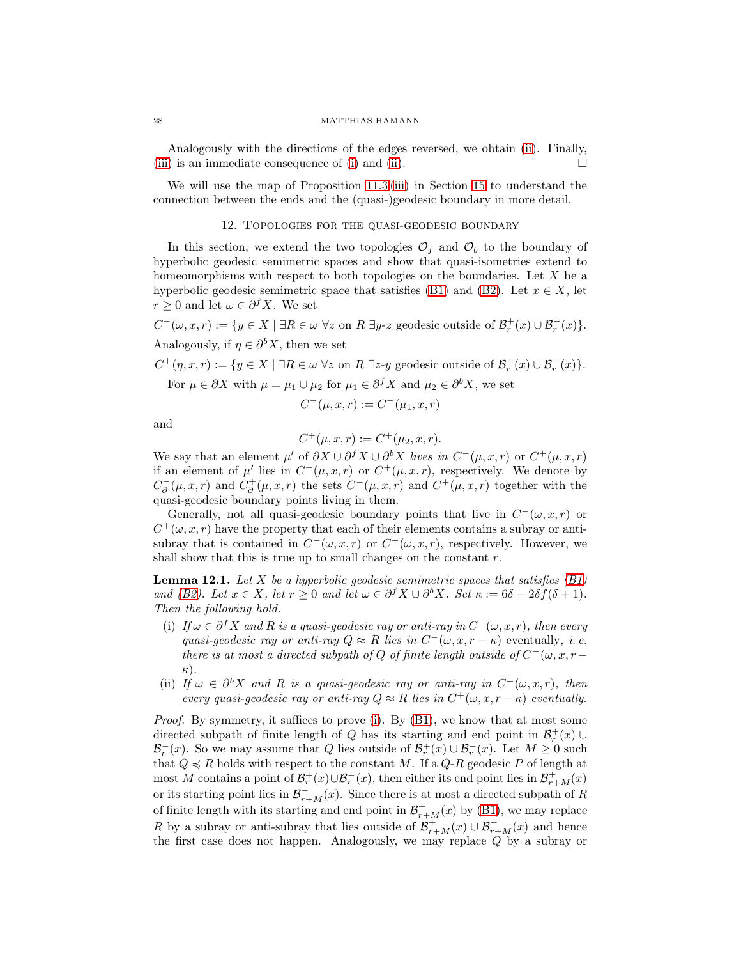Analogously with the directions of the edges reversed, we obtain [\(ii\)](#page-26-1). Finally, [\(iii\)](#page-26-2) is an immediate consequence of [\(i\)](#page-26-0) and [\(ii\)](#page-26-1).  $\Box$ 

<span id="page-27-0"></span>We will use the map of Proposition [11.3](#page-26-3) [\(iii\)](#page-26-2) in Section [15](#page-37-0) to understand the connection between the ends and the (quasi-)geodesic boundary in more detail.

## 12. Topologies for the quasi-geodesic boundary

In this section, we extend the two topologies  $\mathcal{O}_f$  and  $\mathcal{O}_b$  to the boundary of hyperbolic geodesic semimetric spaces and show that quasi-isometries extend to homeomorphisms with respect to both topologies on the boundaries. Let X be a hyperbolic geodesic semimetric space that satisfies [\(B1\)](#page-6-0) and [\(B2\)](#page-6-1). Let  $x \in X$ , let  $r \geq 0$  and let  $\omega \in \partial^f X$ . We set

 $C^-(\omega, x, r) := \{ y \in X \mid \exists R \in \omega \,\,\forall z \text{ on } R \,\,\exists y\text{-}z \text{ geodesic outside of } \mathcal{B}_r^+(x) \cup \mathcal{B}_r^-(x) \}.$ Analogously, if  $\eta \in \partial^b X$ , then we set

 $C^+(\eta, x, r) := \{ y \in X \mid \exists R \in \omega \; \forall z \text{ on } R \exists z \text{-}y \text{ geodesic outside of } \mathcal{B}_r^+(x) \cup \mathcal{B}_r^-(x) \}.$ 

For  $\mu \in \partial X$  with  $\mu = \mu_1 \cup \mu_2$  for  $\mu_1 \in \partial^f X$  and  $\mu_2 \in \partial^b X$ , we set

$$
C^-(\mu, x, r) := C^-(\mu_1, x, r)
$$

and

$$
C^+(\mu, x, r) := C^+(\mu_2, x, r).
$$

We say that an element  $\mu'$  of  $\partial X \cup \partial^f X \cup \partial^b X$  *lives in*  $C^-(\mu, x, r)$  or  $C^+(\mu, x, r)$ if an element of  $\mu'$  lies in  $C^-(\mu,x,r)$  or  $C^+(\mu,x,r)$ , respectively. We denote by  $C_{\partial}^{-}(\mu, x, r)$  and  $C_{\partial}^{+}(\mu, x, r)$  the sets  $C^{-}(\mu, x, r)$  and  $C^{+}(\mu, x, r)$  together with the quasi-geodesic boundary points living in them.

Generally, not all quasi-geodesic boundary points that live in  $C^-(\omega, x, r)$  or  $C^+(\omega, x, r)$  have the property that each of their elements contains a subray or antisubray that is contained in  $C^-(\omega, x, r)$  or  $C^+(\omega, x, r)$ , respectively. However, we shall show that this is true up to small changes on the constant  $r$ .

Lemma 12.1. *Let* X *be a hyperbolic geodesic semimetric spaces that satisfies [\(B1\)](#page-6-0) and* [\(B2\)](#page-6-1)*.* Let  $x \in X$ *, let*  $r \geq 0$  *and let*  $\omega \in \partial^f X \cup \partial^b X$ *. Set*  $\kappa := 6\delta + 2\delta f(\delta + 1)$ *. Then the following hold.*

- <span id="page-27-1"></span>(i) If  $\omega \in \partial^f X$  and R is a quasi-geodesic ray or anti-ray in  $C^-(\omega, x, r)$ , then every *quasi-geodesic ray or anti-ray*  $Q \approx R$  *lies in*  $C^-(\omega, x, r - \kappa)$  eventually, *i.e. there is at most a directed subpath of*  $Q$  *of finite length outside of*  $C^-(\omega, x, r-\omega)$ κ)*.*
- (ii) *If*  $\omega \in \partial^b X$  *and R is a quasi-geodesic ray or anti-ray in*  $C^+(\omega, x, r)$ *, then every quasi-geodesic ray or anti-ray*  $Q \approx R$  *lies in*  $C^+(\omega, x, r - \kappa)$  *eventually.*

*Proof.* By symmetry, it suffices to prove [\(i\)](#page-27-1). By [\(B1\)](#page-6-0), we know that at most some directed subpath of finite length of Q has its starting and end point in  $\mathcal{B}_r^+(x) \cup$  $\mathcal{B}_r^-(x)$ . So we may assume that Q lies outside of  $\mathcal{B}_r^+(x) \cup \mathcal{B}_r^-(x)$ . Let  $M \geq 0$  such that  $Q \preccurlyeq R$  holds with respect to the constant M. If a  $Q-R$  geodesic P of length at most M contains a point of  $\mathcal{B}_r^+(x) \cup \mathcal{B}_r^-(x)$ , then either its end point lies in  $\mathcal{B}_{r+M}^+(x)$ or its starting point lies in  $\mathcal{B}_{r+M}^- (x)$ . Since there is at most a directed subpath of R of finite length with its starting and end point in  $\mathcal{B}_{r+M}^{-}(x)$  by [\(B1\)](#page-6-0), we may replace R by a subray or anti-subray that lies outside of  $\mathcal{B}^+_{r+M}(x) \cup \mathcal{B}^-_{r+M}(x)$  and hence the first case does not happen. Analogously, we may replace Q by a subray or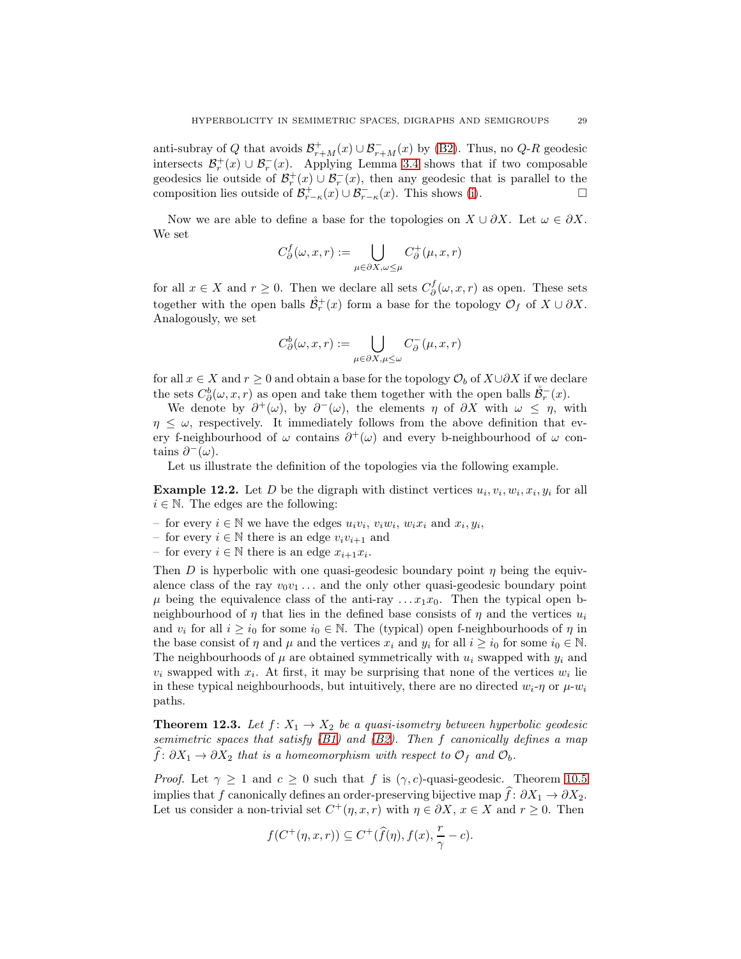anti-subray of Q that avoids  $\mathcal{B}_{r+M}^+(x) \cup \mathcal{B}_{r+M}^-(x)$  by [\(B2\)](#page-6-1). Thus, no Q-R geodesic intersects  $\mathcal{B}_r^+(x) \cup \mathcal{B}_r^-(x)$ . Applying Lemma [3.4](#page-7-3) shows that if two composable geodesics lie outside of  $\mathcal{B}_r^+(x) \cup \mathcal{B}_r^-(x)$ , then any geodesic that is parallel to the composition lies outside of  $\mathcal{B}_{r-\kappa}^+(x) \cup \mathcal{B}_{r-\kappa}^-(x)$ . This shows [\(i\)](#page-27-1).

Now we are able to define a base for the topologies on  $X \cup \partial X$ . Let  $\omega \in \partial X$ . We set

$$
C^f_\partial(\omega, x, r) := \bigcup_{\mu \in \partial X, \omega \leq \mu} C^+_\partial(\mu, x, r)
$$

for all  $x \in X$  and  $r \geq 0$ . Then we declare all sets  $C_{\partial}^{f}(\omega, x, r)$  as open. These sets together with the open balls  $\mathring{\mathcal{B}}_r^+(x)$  form a base for the topology  $\mathcal{O}_f$  of  $X \cup \partial X$ . Analogously, we set

$$
C^b_\partial(\omega, x, r):=\bigcup_{\mu\in \partial X, \mu\leq \omega}C^-_\partial(\mu, x, r)
$$

for all  $x \in X$  and  $r \geq 0$  and obtain a base for the topology  $\mathcal{O}_b$  of  $X \cup \partial X$  if we declare the sets  $C^b_{\partial}(\omega, x, r)$  as open and take them together with the open balls  $\mathring{\mathcal{B}}_r^-(x)$ .

We denote by  $\partial^+(\omega)$ , by  $\partial^-(\omega)$ , the elements  $\eta$  of  $\partial X$  with  $\omega \leq \eta$ , with  $\eta \leq \omega$ , respectively. It immediately follows from the above definition that every f-neighbourhood of  $\omega$  contains  $\partial^+(\omega)$  and every b-neighbourhood of  $\omega$  contains  $\partial^-(\omega)$ .

Let us illustrate the definition of the topologies via the following example.

<span id="page-28-0"></span>**Example 12.2.** Let D be the digraph with distinct vertices  $u_i, v_i, w_i, x_i, y_i$  for all  $i \in \mathbb{N}$ . The edges are the following:

- for every  $i \in \mathbb{N}$  we have the edges  $u_i v_i$ ,  $v_i w_i$ ,  $w_i x_i$  and  $x_i$ ,  $y_i$ ,
- for every  $i \in \mathbb{N}$  there is an edge  $v_i v_{i+1}$  and
- for every  $i \in \mathbb{N}$  there is an edge  $x_{i+1}x_i$ .

Then D is hyperbolic with one quasi-geodesic boundary point  $\eta$  being the equivalence class of the ray  $v_0v_1 \ldots$  and the only other quasi-geodesic boundary point  $\mu$  being the equivalence class of the anti-ray ...  $x_1x_0$ . Then the typical open bneighbourhood of  $\eta$  that lies in the defined base consists of  $\eta$  and the vertices  $u_i$ and  $v_i$  for all  $i \geq i_0$  for some  $i_0 \in \mathbb{N}$ . The (typical) open f-neighbourhoods of  $\eta$  in the base consist of  $\eta$  and  $\mu$  and the vertices  $x_i$  and  $y_i$  for all  $i \geq i_0$  for some  $i_0 \in \mathbb{N}$ . The neighbourhoods of  $\mu$  are obtained symmetrically with  $u_i$  swapped with  $y_i$  and  $v_i$  swapped with  $x_i$ . At first, it may be surprising that none of the vertices  $w_i$  lie in these typical neighbourhoods, but intuitively, there are no directed  $w_i$ - $\eta$  or  $\mu$ - $w_i$ paths.

<span id="page-28-1"></span>**Theorem 12.3.** *Let*  $f: X_1 \to X_2$  *be a quasi-isometry between hyperbolic geodesic semimetric spaces that satisfy [\(B1\)](#page-6-0) and [\(B2\)](#page-6-1). Then* f *canonically defines a map*  $\widehat{f}: \partial X_1 \to \partial X_2$  *that is a homeomorphism with respect to*  $\mathcal{O}_f$  *and*  $\mathcal{O}_b$ *.* 

*Proof.* Let  $\gamma \geq 1$  and  $c \geq 0$  such that f is  $(\gamma, c)$ -quasi-geodesic. Theorem [10.5](#page-23-2) implies that f canonically defines an order-preserving bijective map  $\hat{f}: \partial X_1 \to \partial X_2$ . Let us consider a non-trivial set  $C^+(\eta, x, r)$  with  $\eta \in \partial X$ ,  $x \in X$  and  $r \geq 0$ . Then

$$
f(C^+(\eta, x, r)) \subseteq C^+(\widehat{f}(\eta), f(x), \frac{r}{\gamma} - c).
$$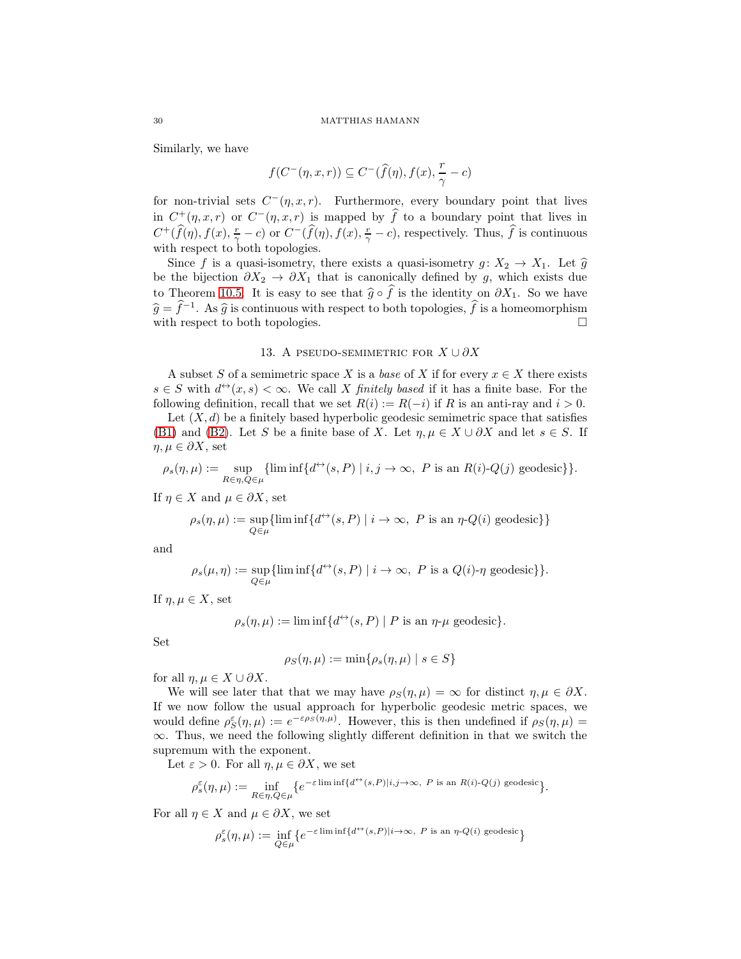Similarly, we have

$$
f(C^-(\eta, x, r)) \subseteq C^-(\widehat{f}(\eta), f(x), \frac{r}{\gamma} - c)
$$

for non-trivial sets  $C^-(\eta, x, r)$ . Furthermore, every boundary point that lives in  $C^+(\eta, x, r)$  or  $C^-(\eta, x, r)$  is mapped by  $\widehat{f}$  to a boundary point that lives in  $C^+(\widehat{f}(\eta), f(x), \frac{r}{\gamma} - c)$  or  $C^-(\widehat{f}(\eta), f(x), \frac{r}{\gamma} - c)$ , respectively. Thus,  $\widehat{f}$  is continuous with respect to both topologies.

Since f is a quasi-isometry, there exists a quasi-isometry  $g: X_2 \to X_1$ . Let  $\hat{g}$ be the bijection  $\partial X_2 \to \partial X_1$  that is canonically defined by g, which exists due to Theorem [10.5.](#page-23-2) It is easy to see that  $\hat{g} \circ \hat{f}$  is the identity on  $\partial X_1$ . So we have  $\widehat{g} = \widehat{f}^{-1}$ . As  $\widehat{g}$  is continuous with respect to both topologies,  $\widehat{f}$  is a homeomorphism with respect to both topologies.

## 13. A PSEUDO-SEMIMETRIC FOR  $X \cup \partial X$

<span id="page-29-0"></span>A subset S of a semimetric space X is a *base* of X if for every  $x \in X$  there exists  $s \in S$  with  $d^{\leftrightarrow}(x, s) < \infty$ . We call X *finitely based* if it has a finite base. For the following definition, recall that we set  $R(i) := R(-i)$  if R is an anti-ray and  $i > 0$ .

Let  $(X, d)$  be a finitely based hyperbolic geodesic semimetric space that satisfies [\(B1\)](#page-6-0) and [\(B2\)](#page-6-1). Let S be a finite base of X. Let  $\eta, \mu \in X \cup \partial X$  and let  $s \in S$ . If  $\eta, \mu \in \partial X$ , set

$$
\rho_s(\eta,\mu) := \sup_{R \in \eta, Q \in \mu} \{ \liminf \{ d^{\leftrightarrow}(s,P) \mid i,j \to \infty, \ P \text{ is an } R(i)\text{-}Q(j) \text{ geodesic} \} \}.
$$

If  $\eta \in X$  and  $\mu \in \partial X$ , set

$$
\rho_s(\eta,\mu) := \sup_{Q \in \mu} \{ \liminf \{ d^{\leftrightarrow}(s,P) \mid i \to \infty, \ P \text{ is an } \eta \text{-} Q(i) \text{ geodesic} \} \}
$$

and

$$
\rho_s(\mu,\eta):=\sup_{Q\in\mu}\{\liminf\{d^{\leftrightarrow}(s,P)\mid i\rightarrow\infty,\ P\text{ is a }Q(i)\text{-}\eta\text{ geodesic}\}\}.
$$

If  $\eta, \mu \in X$ , set

$$
\rho_s(\eta,\mu) := \liminf \{ d^{\leftrightarrow}(s,P) \mid P \text{ is an } \eta \text{-} \mu \text{ geodesic} \}.
$$

Set

$$
\rho_S(\eta,\mu) := \min\{\rho_s(\eta,\mu) \mid s \in S\}
$$

for all  $\eta, \mu \in X \cup \partial X$ .

We will see later that that we may have  $\rho_S(\eta, \mu) = \infty$  for distinct  $\eta, \mu \in \partial X$ . If we now follow the usual approach for hyperbolic geodesic metric spaces, we would define  $\rho_S^{\varepsilon}(\eta,\mu) := e^{-\varepsilon \rho_S(\eta,\mu)}$ . However, this is then undefined if  $\rho_S(\eta,\mu) =$  $\infty$ . Thus, we need the following slightly different definition in that we switch the supremum with the exponent.

Let  $\varepsilon > 0$ . For all  $\eta, \mu \in \partial X$ , we set

$$
\rho_s^{\varepsilon}(\eta,\mu):=\inf_{R\in\eta,Q\in\mu}\bigl\{e^{-\varepsilon\liminf\{d^{\leftrightarrow}(s,P)|i,j\to\infty,\;P\;\text{is an}\;R(i)-Q(j)\;\text{geodesic}}}\bigr\}.
$$

For all  $\eta \in X$  and  $\mu \in \partial X$ , we set

$$
\rho_s^\varepsilon(\eta,\mu):=\inf_{Q\in\mu}\big\{e^{-\varepsilon\liminf\{d^{\leftrightarrow}(s,P)|i\to\infty,\;P\;\text{is an}\;\eta\text{-}Q(i)\;\text{geodesic}}\big\}}
$$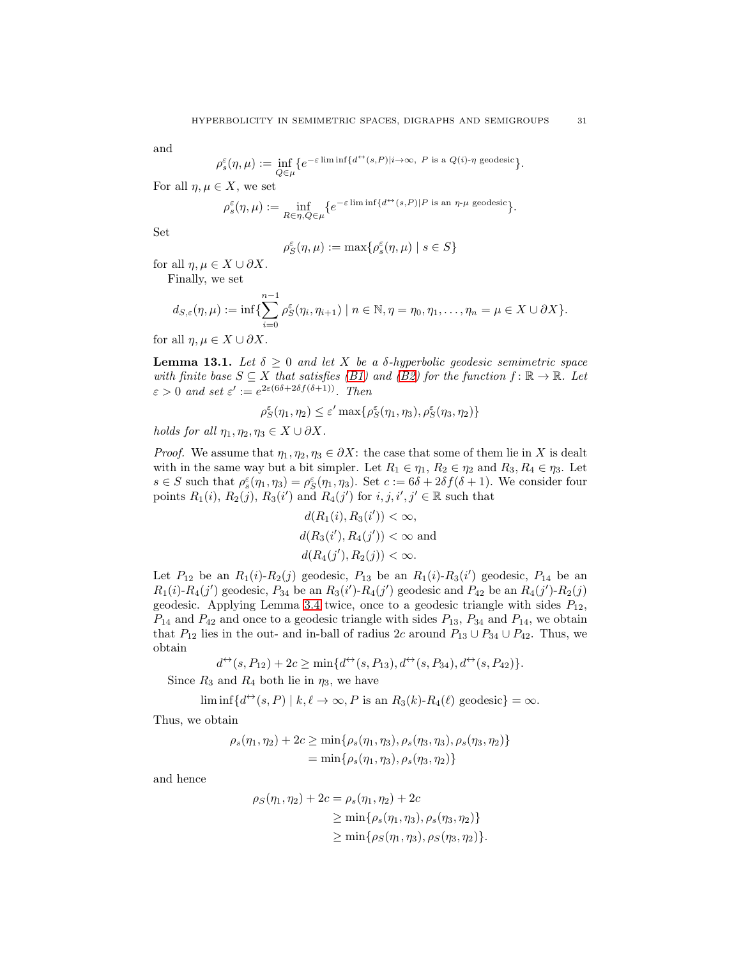and

$$
\rho_s^{\varepsilon}(\eta,\mu):=\inf_{Q\in\mu}\big\{e^{-\varepsilon\liminf\{d^{\leftrightarrow}(s,P)|i\to\infty,\;P\;\text{is a }Q(i)\text{-}\eta\;\text{geodesic}}\big\}.
$$

For all  $\eta, \mu \in X$ , we set

$$
\rho_s^{\varepsilon}(\eta,\mu) := \inf_{R \in \eta, Q \in \mu} \{e^{-\varepsilon \liminf \{d^{\leftrightarrow}(s,P) \mid P \text{ is an } \eta \text{-} \mu \text{ geodesic}}\}}.
$$

Set

$$
\rho_S^{\varepsilon}(\eta,\mu) := \max \{ \rho_s^{\varepsilon}(\eta,\mu) \mid s \in S \}
$$

for all  $\eta, \mu \in X \cup \partial X$ .

Finally, we set

$$
d_{S,\varepsilon}(\eta,\mu):=\inf\{\sum_{i=0}^{n-1}\rho_S^{\varepsilon}(\eta_i,\eta_{i+1})\mid n\in\mathbb{N},\eta=\eta_0,\eta_1,\ldots,\eta_n=\mu\in X\cup\partial X\}.
$$

for all  $\eta, \mu \in X \cup \partial X$ .

<span id="page-30-0"></span>**Lemma 13.1.** Let  $\delta \geq 0$  and let X be a  $\delta$ -hyperbolic geodesic semimetric space *with finite base*  $S \subseteq X$  *that satisfies (B1)* and *(B2)* for the function  $f : \mathbb{R} \to \mathbb{R}$ *. Let*  $\varepsilon > 0$  and set  $\varepsilon' := e^{2\varepsilon(6\delta + 2\delta f(\delta + 1))}$ . Then

 $\rho_S^{\varepsilon}(\eta_1, \eta_2) \leq \varepsilon' \max\{\rho_S^{\varepsilon}(\eta_1, \eta_3), \rho_S^{\varepsilon}(\eta_3, \eta_2)\}\$ 

*holds for all*  $\eta_1, \eta_2, \eta_3 \in X \cup \partial X$ .

*Proof.* We assume that  $\eta_1, \eta_2, \eta_3 \in \partial X$ : the case that some of them lie in X is dealt with in the same way but a bit simpler. Let  $R_1 \in \eta_1$ ,  $R_2 \in \eta_2$  and  $R_3$ ,  $R_4 \in \eta_3$ . Let  $s \in S$  such that  $\rho_s^{\varepsilon}(\eta_1, \eta_3) = \rho_S^{\varepsilon}(\eta_1, \eta_3)$ . Set  $c := 6\delta + 2\delta f(\delta + 1)$ . We consider four points  $R_1(i)$ ,  $R_2(j)$ ,  $R_3(i')$  and  $R_4(j')$  for  $i, j, i', j' \in \mathbb{R}$  such that

$$
d(R_1(i), R_3(i')) < \infty,
$$
  
\n
$$
d(R_3(i'), R_4(j')) < \infty \text{ and }
$$
  
\n
$$
d(R_4(j'), R_2(j)) < \infty.
$$

Let  $P_{12}$  be an  $R_1(i)$ - $R_2(j)$  geodesic,  $P_{13}$  be an  $R_1(i)$ - $R_3(i')$  geodesic,  $P_{14}$  be an  $R_1(i)$ - $R_4(j')$  geodesic,  $P_{34}$  be an  $R_3(i')$ - $R_4(j')$  geodesic and  $P_{42}$  be an  $R_4(j')$ - $R_2(j)$ geodesic. Applying Lemma [3.4](#page-7-3) twice, once to a geodesic triangle with sides  $P_{12}$ ,  $P_{14}$  and  $P_{42}$  and once to a geodesic triangle with sides  $P_{13}$ ,  $P_{34}$  and  $P_{14}$ , we obtain that  $P_{12}$  lies in the out- and in-ball of radius 2c around  $P_{13} \cup P_{34} \cup P_{42}$ . Thus, we obtain

$$
d^{\leftrightarrow}(s, P_{12}) + 2c \ge \min\{d^{\leftrightarrow}(s, P_{13}), d^{\leftrightarrow}(s, P_{34}), d^{\leftrightarrow}(s, P_{42})\}.
$$

Since  $R_3$  and  $R_4$  both lie in  $\eta_3$ , we have

$$
\liminf \{ d^{\leftrightarrow}(s, P) \mid k, \ell \to \infty, P \text{ is an } R_3(k) \text{-} R_4(\ell) \text{ geodesic} \} = \infty.
$$

Thus, we obtain

$$
\rho_s(\eta_1, \eta_2) + 2c \ge \min\{\rho_s(\eta_1, \eta_3), \rho_s(\eta_3, \eta_3), \rho_s(\eta_3, \eta_2)\}
$$
  
=  $\min\{\rho_s(\eta_1, \eta_3), \rho_s(\eta_3, \eta_2)\}$ 

and hence

$$
\rho_S(\eta_1, \eta_2) + 2c = \rho_s(\eta_1, \eta_2) + 2c
$$
  
\n
$$
\geq \min\{\rho_s(\eta_1, \eta_3), \rho_s(\eta_3, \eta_2)\}
$$
  
\n
$$
\geq \min\{\rho_S(\eta_1, \eta_3), \rho_S(\eta_3, \eta_2)\}.
$$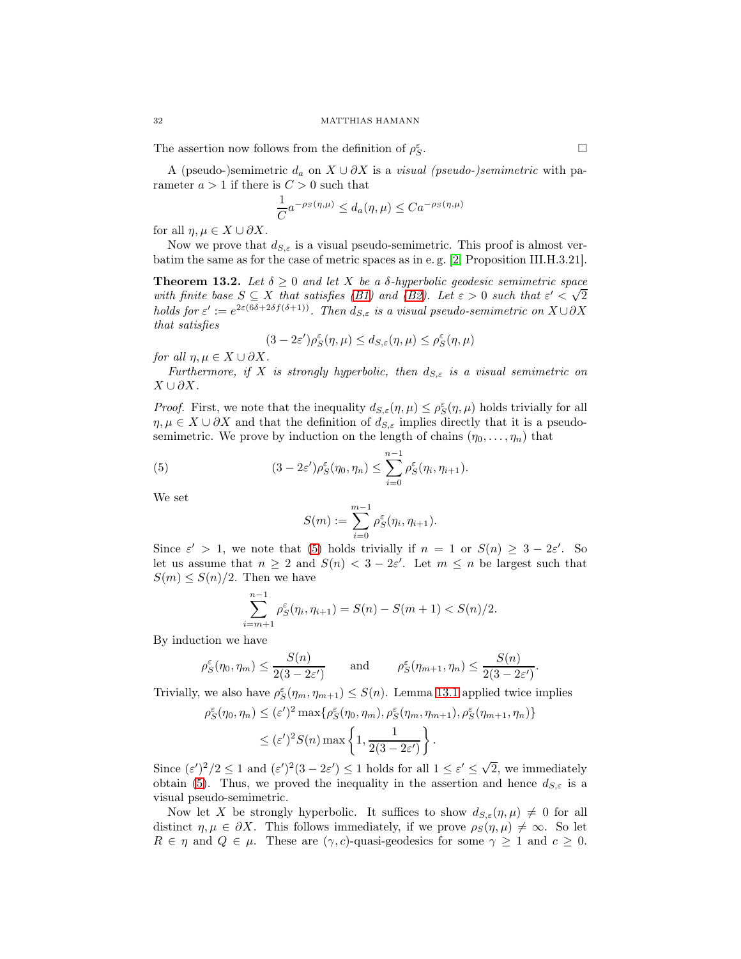The assertion now follows from the definition of  $\rho_S^\varepsilon$ 

A (pseudo-)semimetric  $d_a$  on  $X \cup \partial X$  is a *visual (pseudo-)semimetric* with parameter  $a > 1$  if there is  $C > 0$  such that

$$
\frac{1}{C}a^{-\rho_S(\eta,\mu)} \le d_a(\eta,\mu) \le Ca^{-\rho_S(\eta,\mu)}
$$

for all  $\eta, \mu \in X \cup \partial X$ .

Now we prove that  $d_{S,\varepsilon}$  is a visual pseudo-semimetric. This proof is almost verbatim the same as for the case of metric spaces as in e. g. [\[2,](#page-42-1) Proposition III.H.3.21].

<span id="page-31-1"></span>**Theorem 13.2.** Let  $\delta \geq 0$  and let X be a  $\delta$ -hyperbolic geodesic semimetric space *with finite base*  $S \subseteq X$  *that satisfies [\(B1\)](#page-6-0)* and *(B2). Let*  $\varepsilon > 0$  *such that*  $\varepsilon' < \sqrt{2}$ *holds for*  $\varepsilon' := e^{2\varepsilon(6\delta + 2\delta f(\delta + 1))}$ *. Then*  $d_{S,\varepsilon}$  *is a visual pseudo-semimetric on*  $X \cup \partial X$ *that satisfies*

$$
(3-2\varepsilon')\rho_S^{\varepsilon}(\eta,\mu) \leq d_{S,\varepsilon}(\eta,\mu) \leq \rho_S^{\varepsilon}(\eta,\mu)
$$

*for all*  $\eta, \mu \in X \cup \partial X$ *.* 

*Furthermore, if* X *is strongly hyperbolic, then*  $d_{S,\varepsilon}$  *is a visual semimetric on*  $X \cup \partial X$ .

*Proof.* First, we note that the inequality  $d_{S,\varepsilon}(\eta,\mu) \leq \rho_S^{\varepsilon}(\eta,\mu)$  holds trivially for all  $\eta, \mu \in X \cup \partial X$  and that the definition of  $d_{S,\varepsilon}$  implies directly that it is a pseudosemimetric. We prove by induction on the length of chains  $(\eta_0, \ldots, \eta_n)$  that

(5) 
$$
(3 - 2\varepsilon')\rho_S^{\varepsilon}(\eta_0, \eta_n) \leq \sum_{i=0}^{n-1} \rho_S^{\varepsilon}(\eta_i, \eta_{i+1}).
$$

We set

<span id="page-31-0"></span>
$$
S(m) := \sum_{i=0}^{m-1} \rho_S^{\varepsilon}(\eta_i, \eta_{i+1}).
$$

Since  $\varepsilon' > 1$ , we note that [\(5\)](#page-31-0) holds trivially if  $n = 1$  or  $S(n) \geq 3 - 2\varepsilon'$ . So let us assume that  $n \geq 2$  and  $S(n) < 3 - 2\varepsilon'$ . Let  $m \leq n$  be largest such that  $S(m) \leq S(n)/2$ . Then we have

$$
\sum_{i=m+1}^{n-1} \rho_S^{\varepsilon}(\eta_i, \eta_{i+1}) = S(n) - S(m+1) < S(n)/2.
$$

By induction we have

$$
\rho_S^{\varepsilon}(\eta_0, \eta_m) \le \frac{S(n)}{2(3 - 2\varepsilon')} \quad \text{and} \quad \rho_S^{\varepsilon}(\eta_{m+1}, \eta_n) \le \frac{S(n)}{2(3 - 2\varepsilon')}
$$

Trivially, we also have  $\rho_S^{\varepsilon}(\eta_m, \eta_{m+1}) \leq S(n)$ . Lemma [13.1](#page-30-0) applied twice implies

$$
\rho_S^{\varepsilon}(\eta_0, \eta_n) \le (\varepsilon')^2 \max \{ \rho_S^{\varepsilon}(\eta_0, \eta_m), \rho_S^{\varepsilon}(\eta_m, \eta_{m+1}), \rho_S^{\varepsilon}(\eta_{m+1}, \eta_n) \}
$$
  

$$
\le (\varepsilon')^2 S(n) \max \{ 1, \frac{1}{2(3 - 2\varepsilon')} \}.
$$

Since  $(\varepsilon')^2/2 \leq 1$  and  $(\varepsilon')^2(3-2\varepsilon') \leq 1$  holds for all  $1 \leq \varepsilon' \leq \sqrt{2}$ , we immediately obtain [\(5\)](#page-31-0). Thus, we proved the inequality in the assertion and hence  $d_{S,\varepsilon}$  is a visual pseudo-semimetric.

Now let X be strongly hyperbolic. It suffices to show  $d_{S,\varepsilon}(\eta,\mu) \neq 0$  for all distinct  $\eta, \mu \in \partial X$ . This follows immediately, if we prove  $\rho_S(\eta, \mu) \neq \infty$ . So let  $R \in \eta$  and  $Q \in \mu$ . These are  $(\gamma, c)$ -quasi-geodesics for some  $\gamma \geq 1$  and  $c \geq 0$ .

.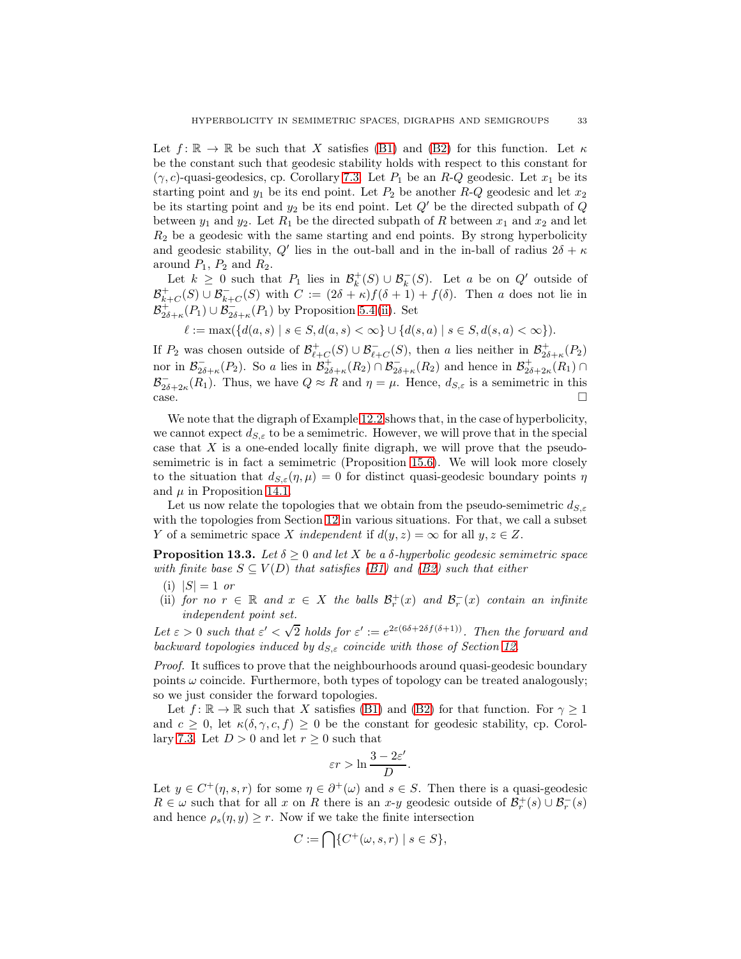Let  $f: \mathbb{R} \to \mathbb{R}$  be such that X satisfies [\(B1\)](#page-6-0) and [\(B2\)](#page-6-1) for this function. Let  $\kappa$ be the constant such that geodesic stability holds with respect to this constant for  $(\gamma, c)$ -quasi-geodesics, cp. Corollary [7.3.](#page-16-0) Let  $P_1$  be an R-Q geodesic. Let  $x_1$  be its starting point and  $y_1$  be its end point. Let  $P_2$  be another  $R-Q$  geodesic and let  $x_2$ be its starting point and  $y_2$  be its end point. Let  $Q'$  be the directed subpath of Q between  $y_1$  and  $y_2$ . Let  $R_1$  be the directed subpath of R between  $x_1$  and  $x_2$  and let  $R<sub>2</sub>$  be a geodesic with the same starting and end points. By strong hyperbolicity and geodesic stability, Q' lies in the out-ball and in the in-ball of radius  $2\delta + \kappa$ around  $P_1$ ,  $P_2$  and  $R_2$ .

Let  $k \geq 0$  such that  $P_1$  lies in  $\mathcal{B}_k^+(S) \cup \mathcal{B}_k^-(S)$ . Let a be on  $Q'$  outside of  $\mathcal{B}_{k+C}^+(S) \cup \mathcal{B}_{k+C}^-(S)$  with  $C := (2\delta + \kappa)f(\delta + 1) + f(\delta)$ . Then a does not lie in  $\mathcal{B}^+_{2\delta+\kappa}(P_1) \cup \mathcal{B}^-_{2\delta+\kappa}(P_1)$  by Proposition [5.4](#page-10-0) [\(ii\)](#page-10-2). Set

$$
\ell := \max(\{d(a, s) \mid s \in S, d(a, s) < \infty\} \cup \{d(s, a) \mid s \in S, d(s, a) < \infty\}).
$$

If  $P_2$  was chosen outside of  $\mathcal{B}^+_{\ell+C}(S) \cup \mathcal{B}^-_{\ell+C}(S)$ , then a lies neither in  $\mathcal{B}^+_{2\delta+\kappa}(P_2)$ nor in  $\mathcal{B}_{2\delta+\kappa}^-(P_2)$ . So a lies in  $\mathcal{B}_{2\delta+\kappa}^+(R_2) \cap \mathcal{B}_{2\delta+\kappa}^-(R_2)$  and hence in  $\mathcal{B}_{2\delta+2\kappa}^+(R_1) \cap$  $\mathcal{B}_{2\delta+2\kappa}^{-}(R_1)$ . Thus, we have  $Q \approx R$  and  $\eta = \mu$ . Hence,  $d_{S,\varepsilon}$  is a semimetric in this  $\Box$ 

We note that the digraph of Example [12.2](#page-28-0) shows that, in the case of hyperbolicity, we cannot expect  $d_{S,\varepsilon}$  to be a semimetric. However, we will prove that in the special case that X is a one-ended locally finite digraph, we will prove that the pseudosemimetric is in fact a semimetric (Proposition [15.6\)](#page-40-0). We will look more closely to the situation that  $d_{S,\varepsilon}(\eta,\mu) = 0$  for distinct quasi-geodesic boundary points  $\eta$ and  $\mu$  in Proposition [14.1.](#page-34-1)

Let us now relate the topologies that we obtain from the pseudo-semimetric  $d_{S,\varepsilon}$ with the topologies from Section [12](#page-27-0) in various situations. For that, we call a subset Y of a semimetric space X *independent* if  $d(y, z) = \infty$  for all  $y, z \in Z$ .

<span id="page-32-2"></span>**Proposition 13.3.** Let  $\delta \geq 0$  and let X be a  $\delta$ -hyperbolic geodesic semimetric space *with finite base*  $S \subseteq V(D)$  *that satisfies [\(B1\)](#page-6-0) and [\(B2\)](#page-6-1) such that either* 

- <span id="page-32-1"></span><span id="page-32-0"></span> $(i)$   $|S| = 1$  *or*
- (ii) *for no*  $r \in \mathbb{R}$  *and*  $x \in X$  *the balls*  $\mathcal{B}_r^+(x)$  *and*  $\mathcal{B}_r^-(x)$  *contain an infinite independent point set.*

Let  $\varepsilon > 0$  such that  $\varepsilon' < \sqrt{2}$  holds for  $\varepsilon' := e^{2\varepsilon(6\delta + 2\delta f(\delta + 1))}$ . Then the forward and *backward topologies induced by*  $d_{S,\varepsilon}$  *coincide with those of Section [12.](#page-27-0)* 

*Proof.* It suffices to prove that the neighbourhoods around quasi-geodesic boundary points  $\omega$  coincide. Furthermore, both types of topology can be treated analogously; so we just consider the forward topologies.

Let  $f: \mathbb{R} \to \mathbb{R}$  such that X satisfies [\(B1\)](#page-6-0) and [\(B2\)](#page-6-1) for that function. For  $\gamma \geq 1$ and  $c \geq 0$ , let  $\kappa(\delta, \gamma, c, f) \geq 0$  be the constant for geodesic stability, cp. Corol-lary [7.3.](#page-16-0) Let  $D > 0$  and let  $r \geq 0$  such that

$$
\varepsilon r > \ln \frac{3 - 2\varepsilon'}{D}.
$$

Let  $y \in C^+(\eta, s, r)$  for some  $\eta \in \partial^+(\omega)$  and  $s \in S$ . Then there is a quasi-geodesic  $R \in \omega$  such that for all x on R there is an x-y geodesic outside of  $\mathcal{B}_r^+(s) \cup \mathcal{B}_r^-(s)$ and hence  $\rho_s(\eta, y) \geq r$ . Now if we take the finite intersection

$$
C := \bigcap \{ C^+(\omega, s, r) \mid s \in S \},
$$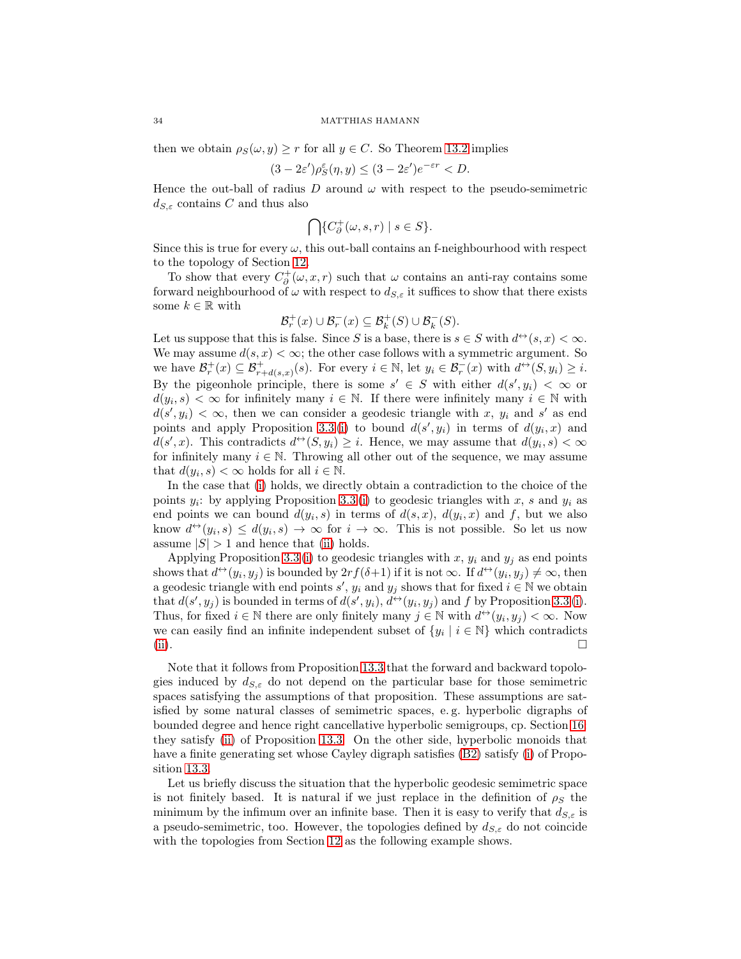then we obtain  $\rho_S(\omega, y) \ge r$  for all  $y \in C$ . So Theorem [13.2](#page-31-1) implies

$$
(3 - 2\varepsilon')\rho_S^{\varepsilon}(\eta, y) \le (3 - 2\varepsilon')e^{-\varepsilon r} < D.
$$

Hence the out-ball of radius D around  $\omega$  with respect to the pseudo-semimetric  $d_{S,\varepsilon}$  contains C and thus also

$$
\bigcap\{C_\partial^+(\omega,s,r)\mid s\in S\}.
$$

Since this is true for every  $\omega$ , this out-ball contains an f-neighbourhood with respect to the topology of Section [12.](#page-27-0)

To show that every  $C^+_{\partial}(\omega, x, r)$  such that  $\omega$  contains an anti-ray contains some forward neighbourhood of  $\omega$  with respect to  $d_{S,\varepsilon}$  it suffices to show that there exists some  $k \in \mathbb{R}$  with

$$
\mathcal{B}_r^+(x) \cup \mathcal{B}_r^-(x) \subseteq \mathcal{B}_k^+(S) \cup \mathcal{B}_k^-(S).
$$

Let us suppose that this is false. Since S is a base, there is  $s \in S$  with  $d^{\leftrightarrow}(s, x) < \infty$ . We may assume  $d(s, x) < \infty$ ; the other case follows with a symmetric argument. So we have  $\mathcal{B}_r^+(x) \subseteq \mathcal{B}_{r+d(s,x)}^+(s)$ . For every  $i \in \mathbb{N}$ , let  $y_i \in \mathcal{B}_r^-(x)$  with  $d^{\leftrightarrow}(S, y_i) \geq i$ . By the pigeonhole principle, there is some  $s' \in S$  with either  $d(s', y_i) < \infty$  or  $d(y_i, s) < \infty$  for infinitely many  $i \in \mathbb{N}$ . If there were infinitely many  $i \in \mathbb{N}$  with  $d(s', y_i) < \infty$ , then we can consider a geodesic triangle with x,  $y_i$  and s' as end points and apply Proposition [3.3](#page-7-2)(i) to bound  $d(s', y_i)$  in terms of  $d(y_i, x)$  and  $d(s',x)$ . This contradicts  $d^{\leftrightarrow}(S, y_i) \geq i$ . Hence, we may assume that  $d(y_i, s) < \infty$ for infinitely many  $i \in \mathbb{N}$ . Throwing all other out of the sequence, we may assume that  $d(y_i, s) < \infty$  holds for all  $i \in \mathbb{N}$ .

In the case that [\(i\)](#page-32-0) holds, we directly obtain a contradiction to the choice of the points  $y_i$ : by applying Proposition [3.3](#page-7-2)(i) to geodesic triangles with x, s and  $y_i$  as end points we can bound  $d(y_i, s)$  in terms of  $d(s, x)$ ,  $d(y_i, x)$  and f, but we also know  $d^{\leftrightarrow}(y_i, s) \leq d(y_i, s) \rightarrow \infty$  for  $i \rightarrow \infty$ . This is not possible. So let us now assume  $|S| > 1$  and hence that [\(ii\)](#page-32-1) holds.

Applying Proposition [3.3](#page-7-2) [\(i\)](#page-7-0) to geodesic triangles with x,  $y_i$  and  $y_j$  as end points shows that  $d \leftrightarrow (y_i, y_j)$  is bounded by  $2rf(\delta+1)$  if it is not  $\infty$ . If  $d \leftrightarrow (y_i, y_j) \neq \infty$ , then a geodesic triangle with end points  $s'$ ,  $y_i$  and  $y_j$  shows that for fixed  $i \in \mathbb{N}$  we obtain that  $d(s', y_j)$  is bounded in terms of  $d(s', y_i)$ ,  $d \rightarrow (y_i, y_j)$  and f by Proposition [3.3](#page-7-2) [\(i\)](#page-7-0). Thus, for fixed  $i \in \mathbb{N}$  there are only finitely many  $j \in \mathbb{N}$  with  $d^{\leftrightarrow}(y_i, y_j) < \infty$ . Now we can easily find an infinite independent subset of  $\{y_i \mid i \in \mathbb{N}\}\$  which contradicts [\(ii\)](#page-32-1).

Note that it follows from Proposition [13.3](#page-32-2) that the forward and backward topologies induced by  $d_{S,\varepsilon}$  do not depend on the particular base for those semimetric spaces satisfying the assumptions of that proposition. These assumptions are satisfied by some natural classes of semimetric spaces, e. g. hyperbolic digraphs of bounded degree and hence right cancellative hyperbolic semigroups, cp. Section [16:](#page-41-0) they satisfy [\(ii\)](#page-32-1) of Proposition [13.3.](#page-32-2) On the other side, hyperbolic monoids that have a finite generating set whose Cayley digraph satisfies [\(B2\)](#page-6-1) satisfy [\(i\)](#page-32-0) of Proposition [13.3.](#page-32-2)

Let us briefly discuss the situation that the hyperbolic geodesic semimetric space is not finitely based. It is natural if we just replace in the definition of  $\rho_S$  the minimum by the infimum over an infinite base. Then it is easy to verify that  $d_{S,\varepsilon}$  is a pseudo-semimetric, too. However, the topologies defined by  $d_{S,\varepsilon}$  do not coincide with the topologies from Section [12](#page-27-0) as the following example shows.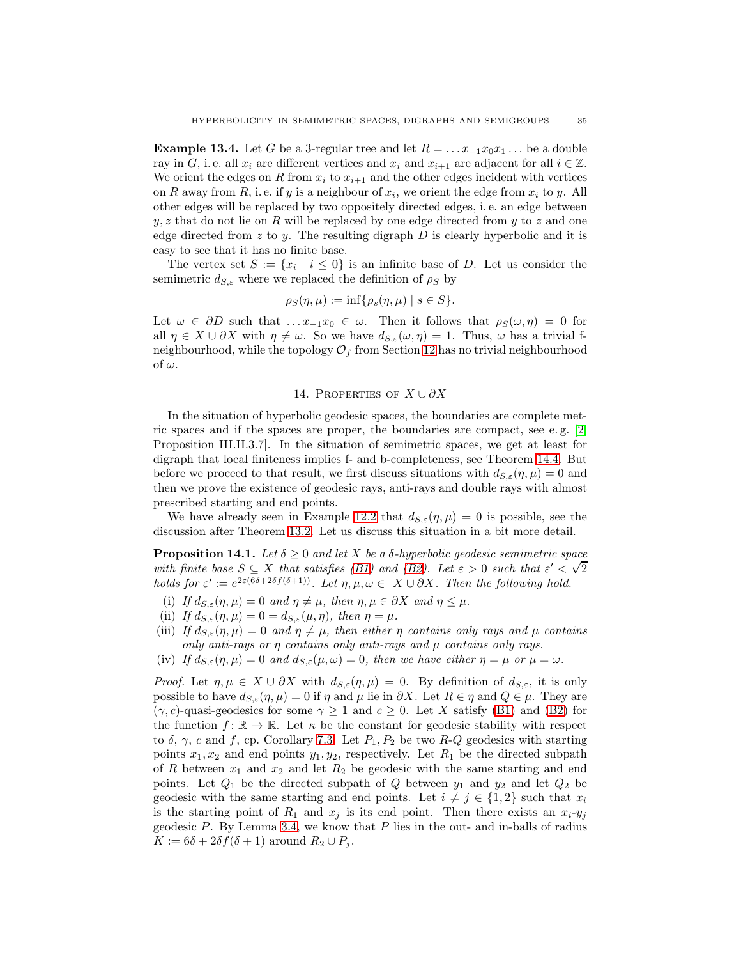**Example 13.4.** Let G be a 3-regular tree and let  $R = \ldots x_{-1}x_0x_1\ldots$  be a double ray in G, i. e. all  $x_i$  are different vertices and  $x_i$  and  $x_{i+1}$  are adjacent for all  $i \in \mathbb{Z}$ . We orient the edges on R from  $x_i$  to  $x_{i+1}$  and the other edges incident with vertices on R away from R, i. e. if y is a neighbour of  $x_i$ , we orient the edge from  $x_i$  to y. All other edges will be replaced by two oppositely directed edges, i. e. an edge between  $y, z$  that do not lie on R will be replaced by one edge directed from y to z and one edge directed from  $z$  to  $y$ . The resulting digraph  $D$  is clearly hyperbolic and it is easy to see that it has no finite base.

The vertex set  $S := \{x_i \mid i \leq 0\}$  is an infinite base of D. Let us consider the semimetric  $d_{S,\varepsilon}$  where we replaced the definition of  $\rho_S$  by

$$
\rho_S(\eta,\mu) := \inf \{ \rho_s(\eta,\mu) \mid s \in S \}.
$$

Let  $\omega \in \partial D$  such that  $\dots x_{-1}x_0 \in \omega$ . Then it follows that  $\rho_S(\omega, \eta) = 0$  for all  $\eta \in X \cup \partial X$  with  $\eta \neq \omega$ . So we have  $d_{S,\varepsilon}(\omega, \eta) = 1$ . Thus,  $\omega$  has a trivial fneighbourhood, while the topology  $\mathcal{O}_f$  from Section [12](#page-27-0) has no trivial neighbourhood of  $\omega$ .

## 14. PROPERTIES OF  $X \cup \partial X$

<span id="page-34-0"></span>In the situation of hyperbolic geodesic spaces, the boundaries are complete metric spaces and if the spaces are proper, the boundaries are compact, see e.g.  $[2,$ Proposition III.H.3.7]. In the situation of semimetric spaces, we get at least for digraph that local finiteness implies f- and b-completeness, see Theorem [14.4.](#page-36-0) But before we proceed to that result, we first discuss situations with  $d_{S,\varepsilon}(\eta,\mu) = 0$  and then we prove the existence of geodesic rays, anti-rays and double rays with almost prescribed starting and end points.

We have already seen in Example [12.2](#page-28-0) that  $d_{S,\varepsilon}(\eta,\mu) = 0$  is possible, see the discussion after Theorem [13.2.](#page-31-1) Let us discuss this situation in a bit more detail.

<span id="page-34-1"></span>**Proposition 14.1.** *Let*  $\delta \geq 0$  *and let* X *be a*  $\delta$ -*hyperbolic geodesic semimetric space with finite base*  $S \subseteq X$  *that satisfies (B1)* and *(B2). Let*  $\varepsilon > 0$  *such that*  $\varepsilon' < \sqrt{2}$ *holds for*  $\varepsilon' := e^{2\varepsilon(6\delta + 2\delta f(\delta + 1))}$ *. Let*  $\eta, \mu, \omega \in X \cup \partial X$ *. Then the following hold.* 

- <span id="page-34-3"></span><span id="page-34-2"></span>(i) If  $d_{S,\varepsilon}(\eta,\mu) = 0$  and  $\eta \neq \mu$ , then  $\eta, \mu \in \partial X$  and  $\eta \leq \mu$ .
- <span id="page-34-4"></span>(ii) If  $d_{S,\varepsilon}(\eta,\mu) = 0 = d_{S,\varepsilon}(\mu,\eta)$ , then  $\eta = \mu$ .
- (iii) *If*  $d_{S,\varepsilon}(\eta,\mu) = 0$  *and*  $\eta \neq \mu$ , then either  $\eta$  *contains only rays and*  $\mu$  *contains only anti-rays or* η *contains only anti-rays and* µ *contains only rays.*
- <span id="page-34-5"></span>(iv) *If*  $d_{S,\varepsilon}(\eta,\mu) = 0$  *and*  $d_{S,\varepsilon}(\mu,\omega) = 0$ *, then we have either*  $\eta = \mu$  *or*  $\mu = \omega$ *.*

*Proof.* Let  $\eta, \mu \in X \cup \partial X$  with  $d_{S,\varepsilon}(\eta,\mu) = 0$ . By definition of  $d_{S,\varepsilon}$ , it is only possible to have  $d_{S,\varepsilon}(\eta,\mu) = 0$  if  $\eta$  and  $\mu$  lie in  $\partial X$ . Let  $R \in \eta$  and  $Q \in \mu$ . They are  $(\gamma, c)$ -quasi-geodesics for some  $\gamma \geq 1$  and  $c \geq 0$ . Let X satisfy [\(B1\)](#page-6-0) and [\(B2\)](#page-6-1) for the function  $f: \mathbb{R} \to \mathbb{R}$ . Let  $\kappa$  be the constant for geodesic stability with respect to  $\delta$ ,  $\gamma$ , c and f, cp. Corollary [7.3.](#page-16-0) Let  $P_1, P_2$  be two R-Q geodesics with starting points  $x_1, x_2$  and end points  $y_1, y_2$ , respectively. Let  $R_1$  be the directed subpath of R between  $x_1$  and  $x_2$  and let  $R_2$  be geodesic with the same starting and end points. Let  $Q_1$  be the directed subpath of  $Q$  between  $y_1$  and  $y_2$  and let  $Q_2$  be geodesic with the same starting and end points. Let  $i \neq j \in \{1,2\}$  such that  $x_i$ is the starting point of  $R_1$  and  $x_j$  is its end point. Then there exists an  $x_i-y_j$ geodesic P. By Lemma [3.4,](#page-7-3) we know that P lies in the out- and in-balls of radius  $K := 6\delta + 2\delta f(\delta + 1)$  around  $R_2 \cup P_i$ .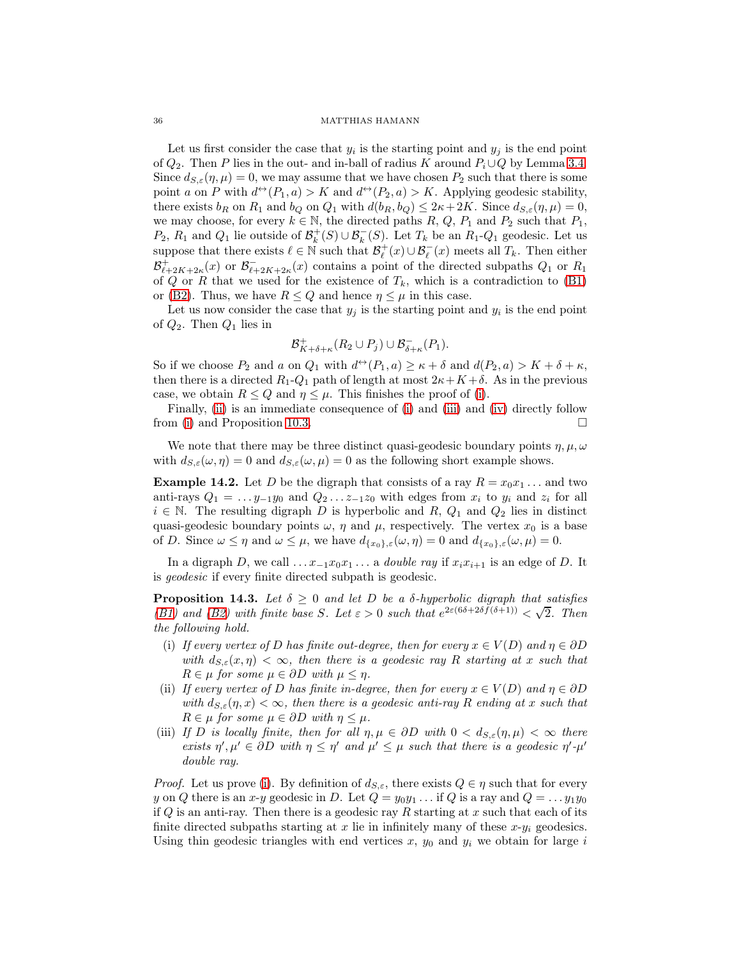Let us first consider the case that  $y_i$  is the starting point and  $y_j$  is the end point of  $Q_2$ . Then P lies in the out- and in-ball of radius K around  $P_i \cup Q$  by Lemma [3.4.](#page-7-3) Since  $d_{S,\varepsilon}(\eta,\mu) = 0$ , we may assume that we have chosen  $P_2$  such that there is some point a on P with  $d^{\leftrightarrow}(P_1, a) > K$  and  $d^{\leftrightarrow}(P_2, a) > K$ . Applying geodesic stability, there exists  $b_R$  on  $R_1$  and  $b_Q$  on  $Q_1$  with  $d(b_R, b_Q) \leq 2\kappa + 2K$ . Since  $d_{S,\varepsilon}(\eta, \mu) = 0$ , we may choose, for every  $k \in \mathbb{N}$ , the directed paths R, Q,  $P_1$  and  $P_2$  such that  $P_1$ ,  $P_2$ ,  $R_1$  and  $Q_1$  lie outside of  $\mathcal{B}_k^+(S) \cup \mathcal{B}_k^-(S)$ . Let  $T_k$  be an  $R_1$ - $Q_1$  geodesic. Let us suppose that there exists  $\ell \in \mathbb{N}$  such that  $\mathcal{B}_{\ell}^+(x) \cup \mathcal{B}_{\ell}^-(x)$  meets all  $T_k$ . Then either  $\mathcal{B}_{\ell+2K+2\kappa}^+(x)$  or  $\mathcal{B}_{\ell+2K+2\kappa}^-(x)$  contains a point of the directed subpaths  $Q_1$  or  $R_1$ of Q or R that we used for the existence of  $T_k$ , which is a contradiction to [\(B1\)](#page-6-0) or [\(B2\)](#page-6-1). Thus, we have  $R \leq Q$  and hence  $\eta \leq \mu$  in this case.

Let us now consider the case that  $y_j$  is the starting point and  $y_i$  is the end point of  $Q_2$ . Then  $Q_1$  lies in

$$
\mathcal{B}_{K+\delta+\kappa}^+(R_2\cup P_j)\cup \mathcal{B}_{\delta+\kappa}^-(P_1).
$$

So if we choose  $P_2$  and a on  $Q_1$  with  $d^{\leftrightarrow}(P_1, a) \geq \kappa + \delta$  and  $d(P_2, a) > K + \delta + \kappa$ , then there is a directed  $R_1$ - $Q_1$  path of length at most  $2\kappa + K + \delta$ . As in the previous case, we obtain  $R \leq Q$  and  $\eta \leq \mu$ . This finishes the proof of [\(i\)](#page-34-2).

Finally, [\(ii\)](#page-34-3) is an immediate consequence of [\(i\)](#page-34-2) and [\(iii\)](#page-34-4) and [\(iv\)](#page-34-5) directly follow from [\(i\)](#page-34-2) and Proposition [10.3.](#page-22-0)  $\Box$ 

We note that there may be three distinct quasi-geodesic boundary points  $\eta$ ,  $\mu$ ,  $\omega$ with  $d_{S,\varepsilon}(\omega,\eta) = 0$  and  $d_{S,\varepsilon}(\omega,\mu) = 0$  as the following short example shows.

**Example 14.2.** Let D be the digraph that consists of a ray  $R = x_0 x_1 \dots$  and two anti-rays  $Q_1 = \ldots y_{-1}y_0$  and  $Q_2 \ldots z_{-1}z_0$  with edges from  $x_i$  to  $y_i$  and  $z_i$  for all  $i \in \mathbb{N}$ . The resulting digraph D is hyperbolic and R,  $Q_1$  and  $Q_2$  lies in distinct quasi-geodesic boundary points  $\omega$ ,  $\eta$  and  $\mu$ , respectively. The vertex  $x_0$  is a base of D. Since  $\omega \leq \eta$  and  $\omega \leq \mu$ , we have  $d_{\{x_0\},\varepsilon}(\omega,\eta) = 0$  and  $d_{\{x_0\},\varepsilon}(\omega,\mu) = 0$ .

In a digraph D, we call  $\dots x_{-1}x_0x_1\dots$  a *double ray* if  $x_ix_{i+1}$  is an edge of D. It is *geodesic* if every finite directed subpath is geodesic.

<span id="page-35-3"></span>**Proposition 14.3.** *Let*  $\delta \geq 0$  *and let* D *be a*  $\delta$ *-hyperbolic digraph that satisfies* [\(B1\)](#page-6-0) and [\(B2\)](#page-6-1) with finite base S. Let  $\varepsilon > 0$  such that  $e^{2\varepsilon(6\delta + 2\delta f(\delta+1))} < \sqrt{2}$ . Then *the following hold.*

- <span id="page-35-0"></span>(i) If every vertex of D has finite out-degree, then for every  $x \in V(D)$  and  $\eta \in \partial D$ *with*  $d_{S,\varepsilon}(x,\eta) < \infty$ , then there is a geodesic ray R starting at x such that  $R \in \mu$  *for some*  $\mu \in \partial D$  *with*  $\mu \leq \eta$ *.*
- <span id="page-35-1"></span>(ii) *If every vertex of* D *has finite in-degree, then for every*  $x \in V(D)$  *and*  $\eta \in \partial D$ *with*  $d_{S,\varepsilon}(\eta,x) < \infty$ , then there is a geodesic anti-ray R ending at x such that  $R \in \mu$  *for some*  $\mu \in \partial D$  *with*  $\eta \leq \mu$ *.*
- <span id="page-35-2"></span>(iii) *If D* is locally finite, then for all  $\eta, \mu \in \partial D$  with  $0 < d_{S,\varepsilon}(\eta, \mu) < \infty$  there *exists*  $\eta', \mu' \in \partial D$  *with*  $\eta \leq \eta'$  *and*  $\mu' \leq \mu$  *such that there is a geodesic*  $\eta' \cdot \mu'$ *double ray.*

*Proof.* Let us prove [\(i\)](#page-35-0). By definition of  $d_{S,\varepsilon}$ , there exists  $Q \in \eta$  such that for every y on Q there is an x-y geodesic in D. Let  $Q = y_0y_1 \dots$  if Q is a ray and  $Q = \dots y_1y_0$ if  $Q$  is an anti-ray. Then there is a geodesic ray  $R$  starting at  $x$  such that each of its finite directed subpaths starting at x lie in infinitely many of these  $x-y_i$  geodesics. Using thin geodesic triangles with end vertices  $x, y_0$  and  $y_i$  we obtain for large i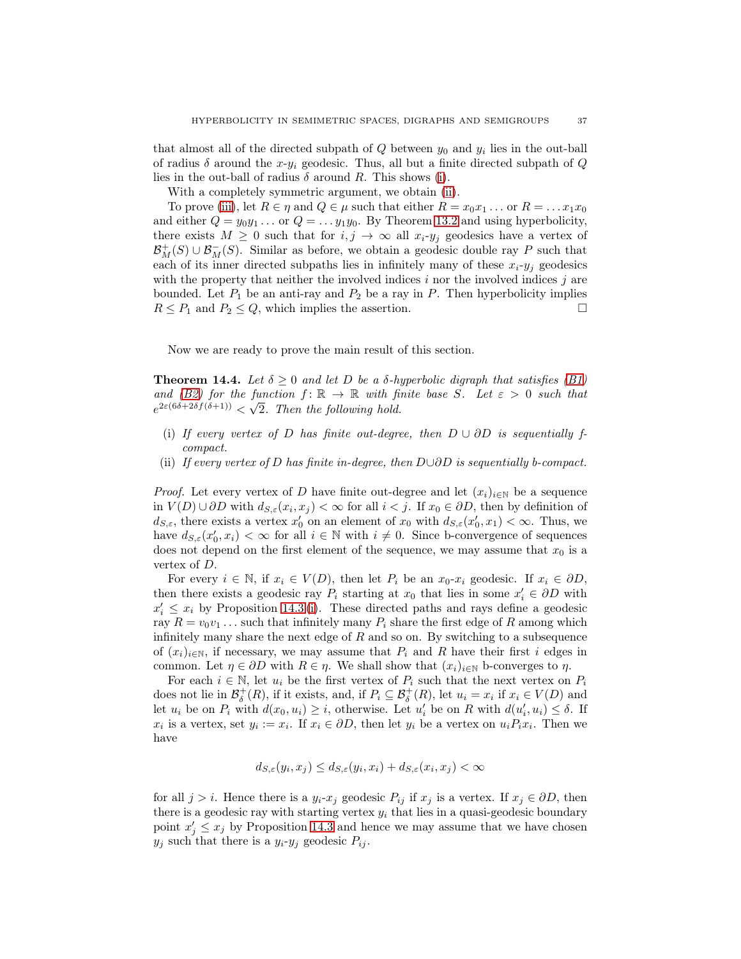that almost all of the directed subpath of  $Q$  between  $y_0$  and  $y_i$  lies in the out-ball of radius  $\delta$  around the x-y<sub>i</sub> geodesic. Thus, all but a finite directed subpath of Q lies in the out-ball of radius  $\delta$  around R. This shows [\(i\)](#page-35-0).

With a completely symmetric argument, we obtain [\(ii\)](#page-35-1).

To prove [\(iii\)](#page-35-2), let  $R \in \eta$  and  $Q \in \mu$  such that either  $R = x_0 x_1 \dots$  or  $R = \dots x_1 x_0$ and either  $Q = y_0y_1 \ldots$  or  $Q = \ldots y_1y_0$ . By Theorem [13.2](#page-31-1) and using hyperbolicity, there exists  $M \geq 0$  such that for  $i, j \to \infty$  all  $x_i-y_j$  geodesics have a vertex of  $\mathcal{B}_M^+(S) \cup \mathcal{B}_M^-(S)$ . Similar as before, we obtain a geodesic double ray P such that each of its inner directed subpaths lies in infinitely many of these  $x_i-y_j$  geodesics with the property that neither the involved indices  $i$  nor the involved indices  $j$  are bounded. Let  $P_1$  be an anti-ray and  $P_2$  be a ray in P. Then hyperbolicity implies  $R \leq P_1$  and  $P_2 \leq Q$ , which implies the assertion.

Now we are ready to prove the main result of this section.

<span id="page-36-0"></span>**Theorem 14.4.** Let  $\delta \geq 0$  and let D be a  $\delta$ -hyperbolic digraph that satisfies [\(B1\)](#page-6-0) *and* [\(B2\)](#page-6-1) for the function  $f: \mathbb{R} \to \mathbb{R}$  with finite base S. Let  $\varepsilon > 0$  such that  $e^{2\varepsilon(6\delta+2\delta f(\delta+1))} < \sqrt{2}$ . Then the following hold.

- (i) If every vertex of D has finite out-degree, then  $D \cup \partial D$  is sequentially f*compact.*
- <span id="page-36-1"></span>(ii) *If every vertex of* D *has finite in-degree, then* D∪∂D *is sequentially b-compact.*

*Proof.* Let every vertex of D have finite out-degree and let  $(x_i)_{i\in\mathbb{N}}$  be a sequence in  $V(D) \cup \partial D$  with  $d_{S,\varepsilon}(x_i, x_j) < \infty$  for all  $i < j$ . If  $x_0 \in \partial D$ , then by definition of  $d_{S,\varepsilon}$ , there exists a vertex  $x'_0$  on an element of  $x_0$  with  $d_{S,\varepsilon}(x'_0,x_1) < \infty$ . Thus, we have  $d_{S,\varepsilon}(x_0', x_i) < \infty$  for all  $i \in \mathbb{N}$  with  $i \neq 0$ . Since b-convergence of sequences does not depend on the first element of the sequence, we may assume that  $x_0$  is a vertex of D.

For every  $i \in \mathbb{N}$ , if  $x_i \in V(D)$ , then let  $P_i$  be an  $x_0$ - $x_i$  geodesic. If  $x_i \in \partial D$ , then there exists a geodesic ray  $P_i$  starting at  $x_0$  that lies in some  $x'_i \in \partial D$  with  $x'_i \leq x_i$  by Proposition [14.3](#page-35-3)(i). These directed paths and rays define a geodesic ray  $R = v_0v_1 \dots$  such that infinitely many  $P_i$  share the first edge of R among which infinitely many share the next edge of  $R$  and so on. By switching to a subsequence of  $(x_i)_{i\in\mathbb{N}}$ , if necessary, we may assume that  $P_i$  and R have their first i edges in common. Let  $\eta \in \partial D$  with  $R \in \eta$ . We shall show that  $(x_i)_{i \in \mathbb{N}}$  b-converges to  $\eta$ .

For each  $i \in \mathbb{N}$ , let  $u_i$  be the first vertex of  $P_i$  such that the next vertex on  $P_i$ does not lie in  $\mathcal{B}_{\delta}^+(R)$ , if it exists, and, if  $P_i \subseteq \mathcal{B}_{\delta}^+(R)$ , let  $u_i = x_i$  if  $x_i \in V(D)$  and let  $u_i$  be on  $P_i$  with  $d(x_0, u_i) \geq i$ , otherwise. Let  $u'_i$  be on  $R$  with  $d(u'_i, u_i) \leq \delta$ . If  $x_i$  is a vertex, set  $y_i := x_i$ . If  $x_i \in \partial D$ , then let  $y_i$  be a vertex on  $u_i P_i x_i$ . Then we have

$$
d_{S,\varepsilon}(y_i, x_j) \le d_{S,\varepsilon}(y_i, x_i) + d_{S,\varepsilon}(x_i, x_j) < \infty
$$

for all  $j > i$ . Hence there is a  $y_i-x_j$  geodesic  $P_{ij}$  if  $x_j$  is a vertex. If  $x_j \in \partial D$ , then there is a geodesic ray with starting vertex  $y_i$  that lies in a quasi-geodesic boundary point  $x'_j \leq x_j$  by Proposition [14.3](#page-35-3) and hence we may assume that we have chosen  $y_j$  such that there is a  $y_i-y_j$  geodesic  $P_{ij}$ .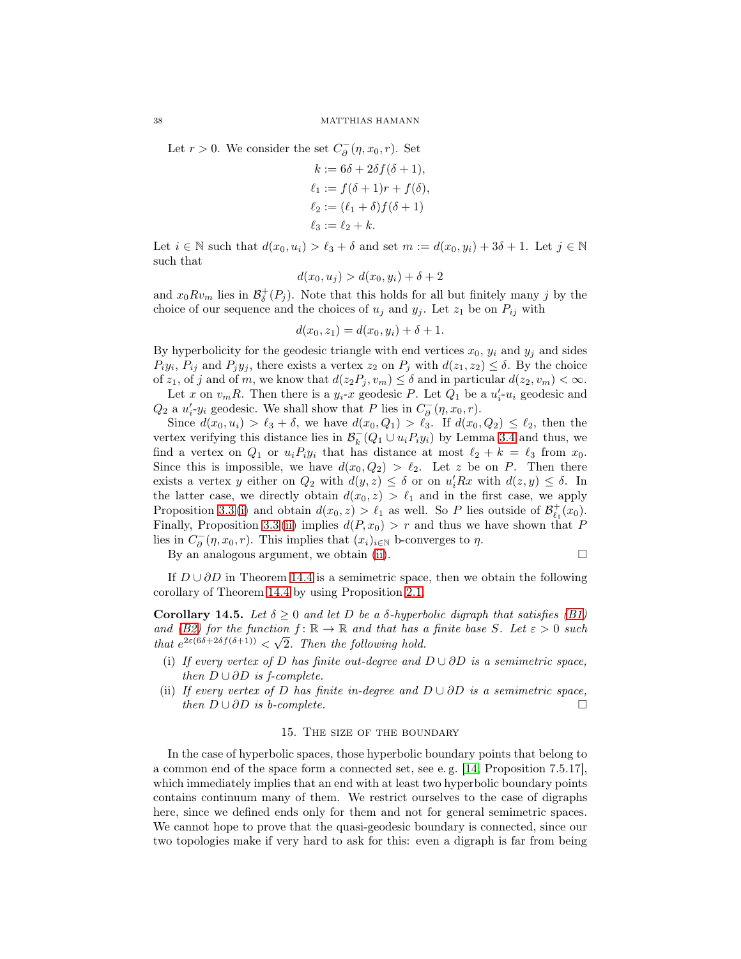Let  $r > 0$ . We consider the set  $C_{\partial}^{-}(\eta, x_0, r)$ . Set

$$
k := 6\delta + 2\delta f(\delta + 1),
$$
  
\n
$$
\ell_1 := f(\delta + 1)r + f(\delta),
$$
  
\n
$$
\ell_2 := (\ell_1 + \delta) f(\delta + 1)
$$
  
\n
$$
\ell_3 := \ell_2 + k.
$$

Let  $i \in \mathbb{N}$  such that  $d(x_0, u_i) > \ell_3 + \delta$  and set  $m := d(x_0, y_i) + 3\delta + 1$ . Let  $j \in \mathbb{N}$ such that

$$
d(x_0, u_j) > d(x_0, y_i) + \delta + 2
$$

and  $x_0 R v_m$  lies in  $\mathcal{B}_{\delta}^+(P_j)$ . Note that this holds for all but finitely many j by the choice of our sequence and the choices of  $u_j$  and  $y_j$ . Let  $z_1$  be on  $P_{ij}$  with

$$
d(x_0, z_1) = d(x_0, y_i) + \delta + 1.
$$

By hyperbolicity for the geodesic triangle with end vertices  $x_0$ ,  $y_i$  and  $y_j$  and sides  $P_i y_i$ ,  $P_{ij}$  and  $P_j y_j$ , there exists a vertex  $z_2$  on  $P_j$  with  $d(z_1, z_2) \leq \delta$ . By the choice of  $z_1$ , of j and of m, we know that  $d(z_2P_j, v_m) \leq \delta$  and in particular  $d(z_2, v_m) < \infty$ .

Let x on  $v_m R$ . Then there is a  $y_i$ -x geodesic P. Let  $Q_1$  be a  $u'_i$ - $u_i$  geodesic and  $Q_2$  a  $u'_i \cdot y_i$  geodesic. We shall show that P lies in  $C_{\partial}^-(\eta, x_0, r)$ .

Since  $d(x_0, u_i) > \ell_3 + \delta$ , we have  $d(x_0, Q_1) > \ell_3$ . If  $d(x_0, Q_2) \leq \ell_2$ , then the vertex verifying this distance lies in  $\mathcal{B}_k^-(Q_1 \cup u_i P_i y_i)$  by Lemma [3.4](#page-7-3) and thus, we find a vertex on  $Q_1$  or  $u_i P_i y_i$  that has distance at most  $\ell_2 + k = \ell_3$  from  $x_0$ . Since this is impossible, we have  $d(x_0, Q_2) > \ell_2$ . Let z be on P. Then there exists a vertex y either on  $Q_2$  with  $d(y, z) \leq \delta$  or on  $u'_iRx$  with  $d(z, y) \leq \delta$ . In the latter case, we directly obtain  $d(x_0, z) > \ell_1$  and in the first case, we apply Proposition [3.3](#page-7-2) [\(i\)](#page-7-0) and obtain  $d(x_0, z) > \ell_1$  as well. So P lies outside of  $\mathcal{B}^+_{\ell_1}(x_0)$ . Finally, Proposition [3.3](#page-7-2) [\(ii\)](#page-7-1) implies  $d(P, x_0) > r$  and thus we have shown that P lies in  $C_{\partial}^-(\eta, x_0, r)$ . This implies that  $(x_i)_{i \in \mathbb{N}}$  b-converges to  $\eta$ .

By an analogous argument, we obtain [\(ii\)](#page-36-1).

$$
\Box
$$

If  $D \cup \partial D$  in Theorem [14.4](#page-36-0) is a semimetric space, then we obtain the following corollary of Theorem [14.4](#page-36-0) by using Proposition [2.1.](#page-4-1)

**Corollary 14.5.** Let  $\delta \geq 0$  and let D be a  $\delta$ -hyperbolic digraph that satisfies [\(B1\)](#page-6-0) *and* [\(B2\)](#page-6-1) for the function  $f: \mathbb{R} \to \mathbb{R}$  and that has a finite base S. Let  $\varepsilon > 0$  such *that*  $e^{2\varepsilon(6\delta+2\delta f(\delta+1))} < \sqrt{2}$ . Then the following hold.

- (i) *If every vertex of* D *has finite out-degree and* D ∪ ∂D *is a semimetric space, then*  $D \cup \partial D$  *is f-complete.*
- <span id="page-37-0"></span>(ii) *If every vertex of* D *has finite in-degree and*  $D \cup \partial D$  *is a semimetric space,*<br>then  $D \cup \partial D$  *is b-complete. then*  $D \cup \partial D$  *is b-complete.*

## 15. The size of the boundary

In the case of hyperbolic spaces, those hyperbolic boundary points that belong to a common end of the space form a connected set, see e. g. [\[14,](#page-43-2) Proposition 7.5.17], which immediately implies that an end with at least two hyperbolic boundary points contains continuum many of them. We restrict ourselves to the case of digraphs here, since we defined ends only for them and not for general semimetric spaces. We cannot hope to prove that the quasi-geodesic boundary is connected, since our two topologies make if very hard to ask for this: even a digraph is far from being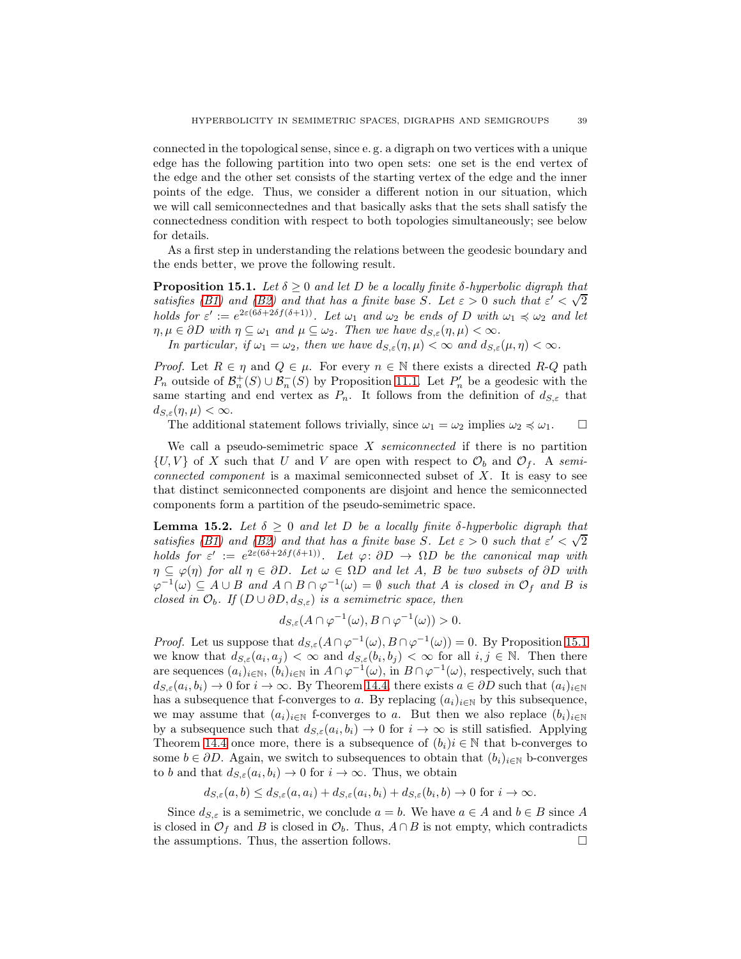connected in the topological sense, since e. g. a digraph on two vertices with a unique edge has the following partition into two open sets: one set is the end vertex of the edge and the other set consists of the starting vertex of the edge and the inner points of the edge. Thus, we consider a different notion in our situation, which we will call semiconnectednes and that basically asks that the sets shall satisfy the connectedness condition with respect to both topologies simultaneously; see below for details.

As a first step in understanding the relations between the geodesic boundary and the ends better, we prove the following result.

<span id="page-38-0"></span>**Proposition 15.1.** Let  $\delta \geq 0$  and let D be a locally finite  $\delta$ -hyperbolic digraph that *satisfies* [\(B1\)](#page-6-0) and [\(B2\)](#page-6-1) and that has a finite base S. Let  $\varepsilon > 0$  such that  $\varepsilon' < \sqrt{2}$ *holds for*  $\varepsilon' := e^{2\varepsilon(6\delta + 2\delta f(\delta + 1))}$ *. Let*  $\omega_1$  *and*  $\omega_2$  *be ends of* D *with*  $\omega_1 \preccurlyeq \omega_2$  *and let*  $\eta, \mu \in \partial D$  *with*  $\eta \subseteq \omega_1$  *and*  $\mu \subseteq \omega_2$ *. Then we have*  $d_{S,\varepsilon}(\eta, \mu) < \infty$ *.* 

*In particular, if*  $\omega_1 = \omega_2$ *, then we have*  $d_{S,\varepsilon}(\eta,\mu) < \infty$  *and*  $d_{S,\varepsilon}(\mu,\eta) < \infty$ *.* 

*Proof.* Let  $R \in \eta$  and  $Q \in \mu$ . For every  $n \in \mathbb{N}$  there exists a directed R-Q path  $P_n$  outside of  $\mathcal{B}_n^+(S) \cup \mathcal{B}_n^-(S)$  by Proposition [11.1.](#page-24-3) Let  $P'_n$  be a geodesic with the same starting and end vertex as  $P_n$ . It follows from the definition of  $d_{S,\varepsilon}$  that  $d_{S,\varepsilon}(\eta,\mu)<\infty.$ 

The additional statement follows trivially, since  $\omega_1 = \omega_2$  implies  $\omega_2 \preccurlyeq \omega_1$ .

We call a pseudo-semimetric space X *semiconnected* if there is no partition  $\{U, V\}$  of X such that U and V are open with respect to  $\mathcal{O}_b$  and  $\mathcal{O}_f$ . A *semiconnected component* is a maximal semiconnected subset of X. It is easy to see that distinct semiconnected components are disjoint and hence the semiconnected components form a partition of the pseudo-semimetric space.

<span id="page-38-1"></span>**Lemma 15.2.** Let  $\delta \geq 0$  and let D be a locally finite  $\delta$ -hyperbolic digraph that **satisfies** [\(B1\)](#page-6-0) and [\(B2\)](#page-6-1) and that has a finite base S. Let  $\varepsilon > 0$  such that  $\varepsilon' < \sqrt{2}$ *holds for*  $\varepsilon' := e^{2\varepsilon(6\delta + 2\delta f(\delta + 1))}$ *. Let*  $\varphi: \partial D \to \Omega D$  *be the canonical map with*  $\eta \subseteq \varphi(\eta)$  *for all*  $\eta \in \partial D$ *. Let*  $\omega \in \Omega D$  *and let* A, B *be two subsets of*  $\partial D$  *with*  $\varphi^{-1}(\omega) \subseteq A \cup B$  and  $A \cap B \cap \varphi^{-1}(\omega) = \emptyset$  such that A is closed in  $\mathcal{O}_f$  and B is *closed in*  $\mathcal{O}_b$ *. If*  $(D \cup \partial D, d_{S,\varepsilon})$  *is a semimetric space, then* 

$$
d_{S,\varepsilon}(A\cap\varphi^{-1}(\omega),B\cap\varphi^{-1}(\omega))>0.
$$

*Proof.* Let us suppose that  $d_{S,\varepsilon}(A \cap \varphi^{-1}(\omega), B \cap \varphi^{-1}(\omega)) = 0$ . By Proposition [15.1](#page-38-0) we know that  $d_{S,\varepsilon}(a_i,a_j) < \infty$  and  $d_{S,\varepsilon}(b_i,b_j) < \infty$  for all  $i,j \in \mathbb{N}$ . Then there are sequences  $(a_i)_{i\in\mathbb{N}}$ ,  $(b_i)_{i\in\mathbb{N}}$  in  $A \cap \varphi^{-1}(\omega)$ , in  $B \cap \varphi^{-1}(\omega)$ , respectively, such that  $d_{S,\varepsilon}(a_i,b_i) \to 0$  for  $i \to \infty$ . By Theorem [14.4,](#page-36-0) there exists  $a \in \partial D$  such that  $(a_i)_{i \in \mathbb{N}}$ has a subsequence that f-converges to a. By replacing  $(a_i)_{i\in\mathbb{N}}$  by this subsequence, we may assume that  $(a_i)_{i\in\mathbb{N}}$  f-converges to a. But then we also replace  $(b_i)_{i\in\mathbb{N}}$ by a subsequence such that  $d_{S,\varepsilon}(a_i, b_i) \to 0$  for  $i \to \infty$  is still satisfied. Applying Theorem [14.4](#page-36-0) once more, there is a subsequence of  $(b_i)i \in \mathbb{N}$  that b-converges to some  $b \in \partial D$ . Again, we switch to subsequences to obtain that  $(b_i)_{i \in \mathbb{N}}$  b-converges to b and that  $d_{S,\varepsilon}(a_i, b_i) \to 0$  for  $i \to \infty$ . Thus, we obtain

$$
d_{S,\varepsilon}(a,b) \leq d_{S,\varepsilon}(a,a_i) + d_{S,\varepsilon}(a_i,b_i) + d_{S,\varepsilon}(b_i,b) \to 0 \text{ for } i \to \infty.
$$

Since  $d_{S,\varepsilon}$  is a semimetric, we conclude  $a = b$ . We have  $a \in A$  and  $b \in B$  since A is closed in  $\mathcal{O}_f$  and B is closed in  $\mathcal{O}_b$ . Thus,  $A \cap B$  is not empty, which contradicts the assumptions. Thus, the assertion follows. the assumptions. Thus, the assertion follows.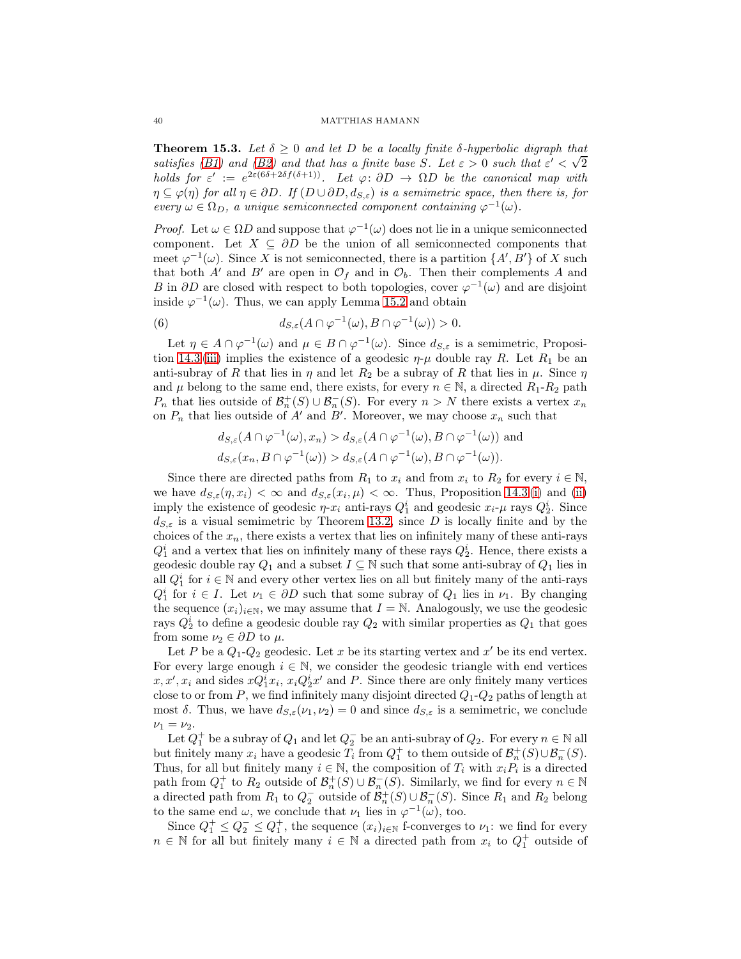<span id="page-39-0"></span>**Theorem 15.3.** Let  $\delta \geq 0$  and let D be a locally finite  $\delta$ -hyperbolic digraph that *satisfies* [\(B1\)](#page-6-0) and [\(B2\)](#page-6-1) and that has a finite base S. Let  $\varepsilon > 0$  such that  $\varepsilon' < \sqrt{2}$ *holds for*  $\varepsilon' := e^{2\varepsilon(6\delta + 2\delta f(\delta + 1))}$ *. Let*  $\varphi: \partial D \to \Omega D$  *be the canonical map with*  $\eta \subseteq \varphi(\eta)$  *for all*  $\eta \in \partial D$ *. If*  $(D \cup \partial D, d_{S,\varepsilon})$  *is a semimetric space, then there is, for every*  $\omega \in \Omega_D$ , a unique semiconnected component containing  $\varphi^{-1}(\omega)$ .

*Proof.* Let  $\omega \in \Omega D$  and suppose that  $\varphi^{-1}(\omega)$  does not lie in a unique semiconnected component. Let  $X \subseteq \partial D$  be the union of all semiconnected components that meet  $\varphi^{-1}(\omega)$ . Since X is not semiconnected, there is a partition  $\{A', B'\}$  of X such that both A' and B' are open in  $\mathcal{O}_f$  and in  $\mathcal{O}_b$ . Then their complements A and B in  $\partial D$  are closed with respect to both topologies, cover  $\varphi^{-1}(\omega)$  and are disjoint inside  $\varphi^{-1}(\omega)$ . Thus, we can apply Lemma [15.2](#page-38-1) and obtain

(6) 
$$
d_{S,\varepsilon}(A \cap \varphi^{-1}(\omega), B \cap \varphi^{-1}(\omega)) > 0.
$$

Let  $\eta \in A \cap \varphi^{-1}(\omega)$  and  $\mu \in B \cap \varphi^{-1}(\omega)$ . Since  $d_{S,\varepsilon}$  is a semimetric, Proposi-tion [14.3](#page-35-3) [\(iii\)](#page-35-2) implies the existence of a geodesic  $\eta$ - $\mu$  double ray R. Let  $R_1$  be an anti-subray of R that lies in  $\eta$  and let  $R_2$  be a subray of R that lies in  $\mu$ . Since  $\eta$ and  $\mu$  belong to the same end, there exists, for every  $n \in \mathbb{N}$ , a directed  $R_1-R_2$  path  $P_n$  that lies outside of  $\mathcal{B}_n^+(S) \cup \mathcal{B}_n^-(S)$ . For every  $n > N$  there exists a vertex  $x_n$ on  $P_n$  that lies outside of A' and B'. Moreover, we may choose  $x_n$  such that

$$
d_{S,\varepsilon}(A \cap \varphi^{-1}(\omega), x_n) > d_{S,\varepsilon}(A \cap \varphi^{-1}(\omega), B \cap \varphi^{-1}(\omega)) \text{ and}
$$
  

$$
d_{S,\varepsilon}(x_n, B \cap \varphi^{-1}(\omega)) > d_{S,\varepsilon}(A \cap \varphi^{-1}(\omega), B \cap \varphi^{-1}(\omega)).
$$

Since there are directed paths from  $R_1$  to  $x_i$  and from  $x_i$  to  $R_2$  for every  $i \in \mathbb{N}$ , we have  $d_{S,\varepsilon}(\eta,x_i) < \infty$  and  $d_{S,\varepsilon}(x_i,\mu) < \infty$ . Thus, Proposition [14.3](#page-35-3) [\(i\)](#page-35-0) and [\(ii\)](#page-35-1) imply the existence of geodesic  $\eta$ - $x_i$  anti-rays  $Q_1^i$  and geodesic  $x_i$ - $\mu$  rays  $Q_2^i$ . Since  $d_{S,\varepsilon}$  is a visual semimetric by Theorem [13.2,](#page-31-1) since D is locally finite and by the choices of the  $x_n$ , there exists a vertex that lies on infinitely many of these anti-rays  $Q_1^i$  and a vertex that lies on infinitely many of these rays  $Q_2^i$ . Hence, there exists a geodesic double ray  $Q_1$  and a subset  $I \subseteq \mathbb{N}$  such that some anti-subray of  $Q_1$  lies in all  $Q_1^i$  for  $i \in \mathbb{N}$  and every other vertex lies on all but finitely many of the anti-rays  $Q_1^i$  for  $i \in I$ . Let  $\nu_1 \in \partial D$  such that some subray of  $Q_1$  lies in  $\nu_1$ . By changing the sequence  $(x_i)_{i\in\mathbb{N}}$ , we may assume that  $I = \mathbb{N}$ . Analogously, we use the geodesic rays  $Q_2^i$  to define a geodesic double ray  $Q_2$  with similar properties as  $Q_1$  that goes from some  $\nu_2 \in \partial D$  to  $\mu$ .

Let P be a  $Q_1$ - $Q_2$  geodesic. Let x be its starting vertex and  $x'$  be its end vertex. For every large enough  $i \in \mathbb{N}$ , we consider the geodesic triangle with end vertices  $x, x', x_i$  and sides  $xQ_1^ix_i, x_iQ_2^ix'$  and P. Since there are only finitely many vertices close to or from P, we find infinitely many disjoint directed  $Q_1 - Q_2$  paths of length at most  $\delta$ . Thus, we have  $d_{S,\varepsilon}(\nu_1,\nu_2)=0$  and since  $d_{S,\varepsilon}$  is a semimetric, we conclude  $\nu_1 = \nu_2$ .

Let  $Q_1^+$  be a subray of  $Q_1$  and let  $Q_2^-$  be an anti-subray of  $Q_2$ . For every  $n \in \mathbb{N}$  all but finitely many  $x_i$  have a geodesic  $T_i$  from  $Q_1^+$  to them outside of  $\mathcal{B}_n^+(S) \cup \mathcal{B}_n^-(S)$ . Thus, for all but finitely many  $i \in \mathbb{N}$ , the composition of  $T_i$  with  $x_i P_i$  is a directed path from  $Q_1^+$  to  $R_2$  outside of  $\mathcal{B}_n^+(S) \cup \mathcal{B}_n^-(S)$ . Similarly, we find for every  $n \in \mathbb{N}$ a directed path from  $R_1$  to  $Q_2^-$  outside of  $\mathcal{B}_n^+(S) \cup \mathcal{B}_n^-(S)$ . Since  $R_1$  and  $R_2$  belong to the same end  $\omega$ , we conclude that  $\nu_1$  lies in  $\varphi^{-1}(\omega)$ , too.

Since  $Q_1^+ \leq Q_2^- \leq Q_1^+$ , the sequence  $(x_i)_{i \in \mathbb{N}}$  f-converges to  $\nu_1$ : we find for every  $n \in \mathbb{N}$  for all but finitely many  $i \in \mathbb{N}$  a directed path from  $x_i$  to  $Q_1^+$  outside of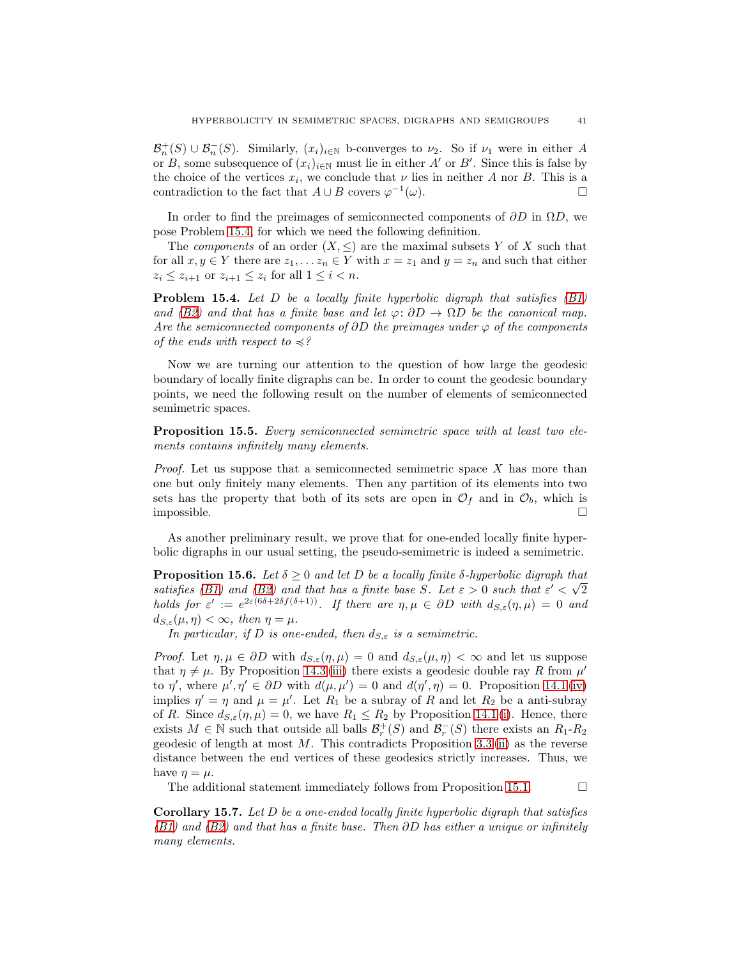$\mathcal{B}_n^+(S) \cup \mathcal{B}_n^-(S)$ . Similarly,  $(x_i)_{i\in\mathbb{N}}$  b-converges to  $\nu_2$ . So if  $\nu_1$  were in either A or B, some subsequence of  $(x_i)_{i\in\mathbb{N}}$  must lie in either A' or B'. Since this is false by the choice of the vertices  $x_i$ , we conclude that  $\nu$  lies in neither A nor B. This is a contradiction to the fact that  $A \cup B$  covers  $\varphi^{-1}(\omega)$ .

In order to find the preimages of semiconnected components of  $\partial D$  in  $\Omega D$ , we pose Problem [15.4,](#page-40-1) for which we need the following definition.

The *components* of an order  $(X, \leq)$  are the maximal subsets Y of X such that for all  $x, y \in Y$  there are  $z_1, \ldots, z_n \in Y$  with  $x = z_1$  and  $y = z_n$  and such that either  $z_i \leq z_{i+1}$  or  $z_{i+1} \leq z_i$  for all  $1 \leq i < n$ .

<span id="page-40-1"></span>Problem 15.4. *Let* D *be a locally finite hyperbolic digraph that satisfies [\(B1\)](#page-6-0) and* [\(B2\)](#page-6-1) and that has a finite base and let  $\varphi: \partial D \to \Omega D$  be the canonical map. *Are the semiconnected components of* ∂D *the preimages under* ϕ *of the components of the ends with respect to*  $\preccurlyeq$ ?

Now we are turning our attention to the question of how large the geodesic boundary of locally finite digraphs can be. In order to count the geodesic boundary points, we need the following result on the number of elements of semiconnected semimetric spaces.

<span id="page-40-2"></span>Proposition 15.5. *Every semiconnected semimetric space with at least two elements contains infinitely many elements.*

*Proof.* Let us suppose that a semiconnected semimetric space X has more than one but only finitely many elements. Then any partition of its elements into two sets has the property that both of its sets are open in  $\mathcal{O}_f$  and in  $\mathcal{O}_b$ , which is impossible. impossible.

As another preliminary result, we prove that for one-ended locally finite hyperbolic digraphs in our usual setting, the pseudo-semimetric is indeed a semimetric.

<span id="page-40-0"></span>**Proposition 15.6.** Let  $\delta \geq 0$  and let D be a locally finite  $\delta$ -hyperbolic digraph that *satisfies* [\(B1\)](#page-6-0) and [\(B2\)](#page-6-1) and that has a finite base S. Let  $\varepsilon > 0$  such that  $\varepsilon' < \sqrt{2}$ *holds for*  $\varepsilon' := e^{2\varepsilon(6\delta + 2\delta f(\delta + 1))}$ . If there are  $\eta, \mu \in \partial D$  with  $d_{S,\varepsilon}(\eta, \mu) = 0$  and  $d_{S,\varepsilon}(\mu,\eta)<\infty$ , then  $\eta=\mu$ .

*In particular, if D is one-ended, then*  $d_{S,\varepsilon}$  *is a semimetric.* 

*Proof.* Let  $\eta, \mu \in \partial D$  with  $d_{S,\varepsilon}(\eta, \mu) = 0$  and  $d_{S,\varepsilon}(\mu, \eta) < \infty$  and let us suppose that  $\eta \neq \mu$ . By Proposition [14.3](#page-35-3) [\(iii\)](#page-35-2) there exists a geodesic double ray R from  $\mu'$ to  $\eta'$ , where  $\mu', \eta' \in \partial D$  with  $d(\mu, \mu') = 0$  and  $d(\eta', \eta) = 0$ . Proposition [14.1](#page-34-1) [\(iv\)](#page-34-5) implies  $\eta' = \eta$  and  $\mu = \mu'$ . Let  $R_1$  be a subray of R and let  $R_2$  be a anti-subray of R. Since  $d_{S,\varepsilon}(\eta,\mu) = 0$ , we have  $R_1 \leq R_2$  by Proposition [14.1](#page-34-1) [\(i\)](#page-34-2). Hence, there exists  $M \in \mathbb{N}$  such that outside all balls  $\mathcal{B}_r^+(S)$  and  $\mathcal{B}_r^-(S)$  there exists an  $R_1-R_2$ geodesic of length at most  $M$ . This contradicts Proposition [3.3](#page-7-2) [\(ii\)](#page-7-1) as the reverse distance between the end vertices of these geodesics strictly increases. Thus, we have  $\eta = \mu$ .

The additional statement immediately follows from Proposition [15.1.](#page-38-0)  $\Box$ 

<span id="page-40-3"></span>Corollary 15.7. *Let* D *be a one-ended locally finite hyperbolic digraph that satisfies [\(B1\)](#page-6-0) and [\(B2\)](#page-6-1) and that has a finite base. Then* ∂D *has either a unique or infinitely many elements.*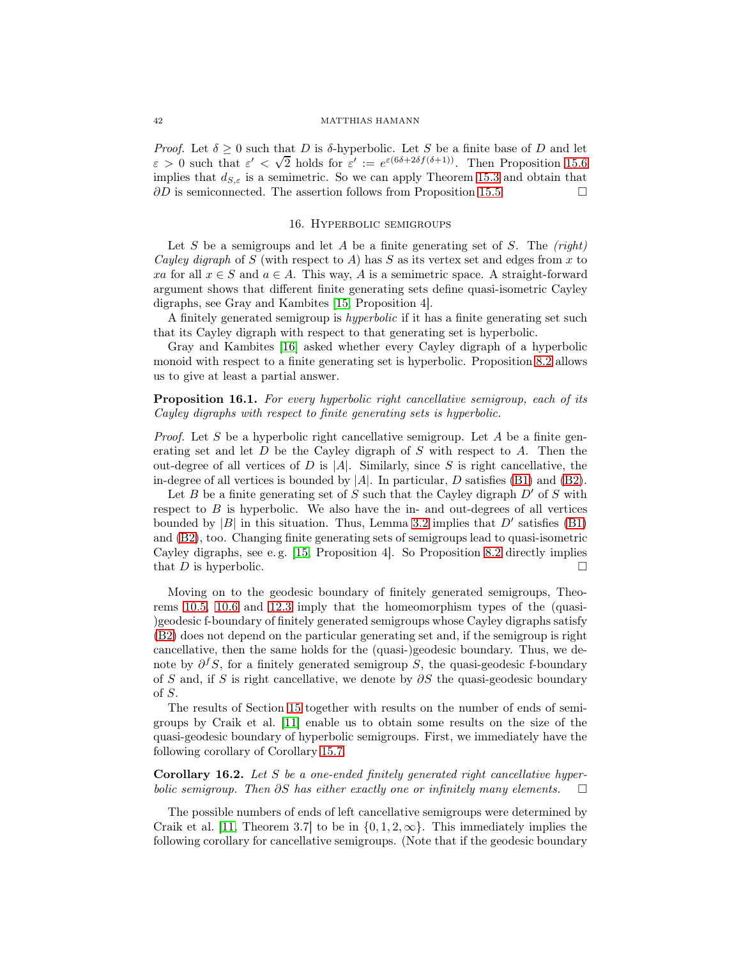*Proof.* Let  $\delta \geq 0$  such that D is  $\delta$ -hyperbolic. Let S be a finite base of D and let  $\varepsilon > 0$  such that  $\varepsilon' < \sqrt{2}$  holds for  $\varepsilon' := e^{\varepsilon(6\delta + 2\delta f(\delta + 1))}$ . Then Proposition [15.6](#page-40-0) implies that  $d_{S,\varepsilon}$  is a semimetric. So we can apply Theorem [15.3](#page-39-0) and obtain that  $\partial D$  is semiconnected. The assertion follows from Proposition [15.5.](#page-40-2)

## 16. Hyperbolic semigroups

<span id="page-41-0"></span>Let S be a semigroups and let A be a finite generating set of S. The *(right) Cayley digraph* of  $S$  (with respect to  $A$ ) has  $S$  as its vertex set and edges from  $x$  to xa for all  $x \in S$  and  $a \in A$ . This way, A is a semimetric space. A straight-forward argument shows that different finite generating sets define quasi-isometric Cayley digraphs, see Gray and Kambites [\[15,](#page-43-11) Proposition 4].

A finitely generated semigroup is *hyperbolic* if it has a finite generating set such that its Cayley digraph with respect to that generating set is hyperbolic.

Gray and Kambites [\[16\]](#page-43-5) asked whether every Cayley digraph of a hyperbolic monoid with respect to a finite generating set is hyperbolic. Proposition [8.2](#page-17-1) allows us to give at least a partial answer.

Proposition 16.1. *For every hyperbolic right cancellative semigroup, each of its Cayley digraphs with respect to finite generating sets is hyperbolic.*

*Proof.* Let S be a hyperbolic right cancellative semigroup. Let A be a finite generating set and let  $D$  be the Cayley digraph of  $S$  with respect to  $A$ . Then the out-degree of all vertices of D is  $|A|$ . Similarly, since S is right cancellative, the in-degree of all vertices is bounded by  $|A|$ . In particular, D satisfies [\(B1\)](#page-6-0) and [\(B2\)](#page-6-1).

Let B be a finite generating set of S such that the Cayley digraph  $D'$  of S with respect to  $B$  is hyperbolic. We also have the in- and out-degrees of all vertices bounded by |B| in this situation. Thus, Lemma [3.2](#page-6-2) implies that  $D'$  satisfies [\(B1\)](#page-6-0) and [\(B2\)](#page-6-1), too. Changing finite generating sets of semigroups lead to quasi-isometric Cayley digraphs, see e. g. [\[15,](#page-43-11) Proposition 4]. So Proposition [8.2](#page-17-1) directly implies that D is hyperbolic.  $\square$ 

Moving on to the geodesic boundary of finitely generated semigroups, Theorems [10.5,](#page-23-2) [10.6](#page-23-6) and [12.3](#page-28-1) imply that the homeomorphism types of the (quasi- )geodesic f-boundary of finitely generated semigroups whose Cayley digraphs satisfy [\(B2\)](#page-6-1) does not depend on the particular generating set and, if the semigroup is right cancellative, then the same holds for the (quasi-)geodesic boundary. Thus, we denote by  $\partial^f S$ , for a finitely generated semigroup S, the quasi-geodesic f-boundary of S and, if S is right cancellative, we denote by ∂S the quasi-geodesic boundary of S.

The results of Section [15](#page-37-0) together with results on the number of ends of semigroups by Craik et al. [\[11\]](#page-43-17) enable us to obtain some results on the size of the quasi-geodesic boundary of hyperbolic semigroups. First, we immediately have the following corollary of Corollary [15.7.](#page-40-3)

<span id="page-41-1"></span>Corollary 16.2. *Let* S *be a one-ended finitely generated right cancellative hyperbolic semigroup. Then* ∂S *has either exactly one or infinitely many elements.*

The possible numbers of ends of left cancellative semigroups were determined by Craik et al. [\[11,](#page-43-17) Theorem 3.7] to be in  $\{0, 1, 2, \infty\}$ . This immediately implies the following corollary for cancellative semigroups. (Note that if the geodesic boundary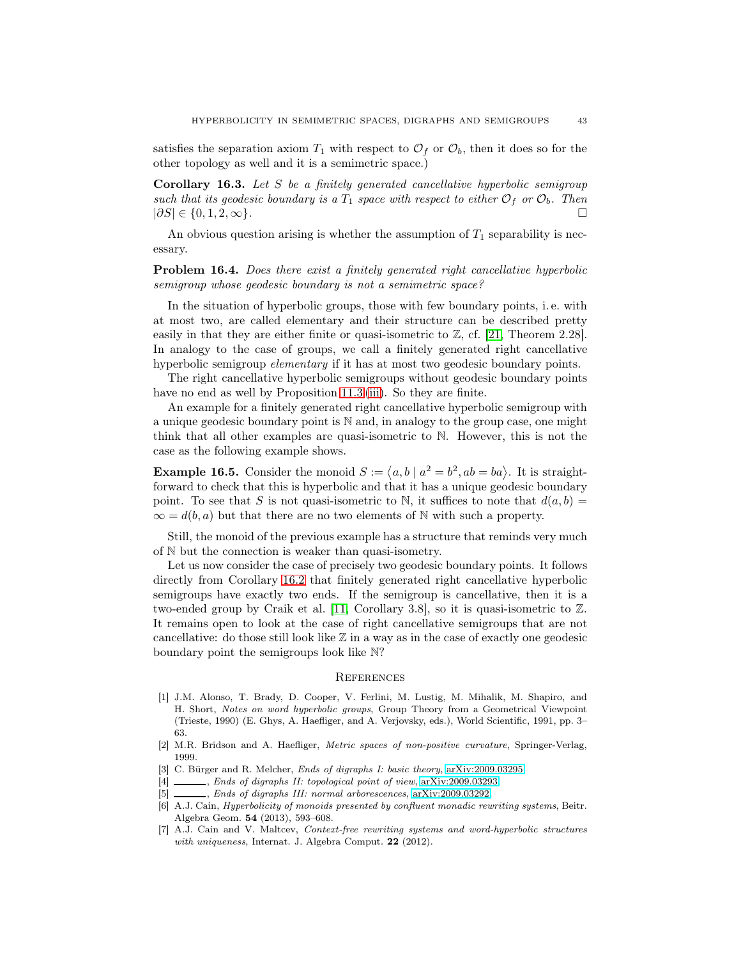satisfies the separation axiom  $T_1$  with respect to  $\mathcal{O}_f$  or  $\mathcal{O}_b$ , then it does so for the other topology as well and it is a semimetric space.)

Corollary 16.3. *Let* S *be a finitely generated cancellative hyperbolic semigroup such that its geodesic boundary is a*  $T_1$  *space with respect to either*  $\mathcal{O}_f$  *or*  $\mathcal{O}_b$ *. Then*  $|\partial S| \in \{0, 1, 2, \infty\}$ .  $|\partial S| \in \{0, 1, 2, \infty\}.$ 

An obvious question arising is whether the assumption of  $T_1$  separability is necessary.

Problem 16.4. *Does there exist a finitely generated right cancellative hyperbolic semigroup whose geodesic boundary is not a semimetric space?*

In the situation of hyperbolic groups, those with few boundary points, i. e. with at most two, are called elementary and their structure can be described pretty easily in that they are either finite or quasi-isometric to  $\mathbb{Z}$ , cf. [\[21,](#page-43-3) Theorem 2.28]. In analogy to the case of groups, we call a finitely generated right cancellative hyperbolic semigroup *elementary* if it has at most two geodesic boundary points.

The right cancellative hyperbolic semigroups without geodesic boundary points have no end as well by Proposition [11.3](#page-26-3) [\(iii\)](#page-26-2). So they are finite.

An example for a finitely generated right cancellative hyperbolic semigroup with a unique geodesic boundary point is  $\mathbb N$  and, in analogy to the group case, one might think that all other examples are quasi-isometric to N. However, this is not the case as the following example shows.

**Example 16.5.** Consider the monoid  $S := \langle a, b \mid a^2 = b^2, ab = ba \rangle$ . It is straightforward to check that this is hyperbolic and that it has a unique geodesic boundary point. To see that S is not quasi-isometric to N, it suffices to note that  $d(a, b) =$  $\infty = d(b, a)$  but that there are no two elements of N with such a property.

Still, the monoid of the previous example has a structure that reminds very much of N but the connection is weaker than quasi-isometry.

Let us now consider the case of precisely two geodesic boundary points. It follows directly from Corollary [16.2](#page-41-1) that finitely generated right cancellative hyperbolic semigroups have exactly two ends. If the semigroup is cancellative, then it is a two-ended group by Craik et al. [\[11,](#page-43-17) Corollary 3.8], so it is quasi-isometric to Z. It remains open to look at the case of right cancellative semigroups that are not cancellative: do those still look like  $\mathbb Z$  in a way as in the case of exactly one geodesic boundary point the semigroups look like N?

## **REFERENCES**

- <span id="page-42-0"></span>[1] J.M. Alonso, T. Brady, D. Cooper, V. Ferlini, M. Lustig, M. Mihalik, M. Shapiro, and H. Short, Notes on word hyperbolic groups, Group Theory from a Geometrical Viewpoint (Trieste, 1990) (E. Ghys, A. Haefliger, and A. Verjovsky, eds.), World Scientific, 1991, pp. 3– 63.
- <span id="page-42-4"></span><span id="page-42-1"></span>[2] M.R. Bridson and A. Haefliger, Metric spaces of non-positive curvature, Springer-Verlag, 1999.
- <span id="page-42-5"></span>[3] C. Bürger and R. Melcher, *Ends of digraphs I: basic theory*, [arXiv:2009.03295.](http://arxiv.org/abs/2009.03295)
- <span id="page-42-6"></span>[4]  $\_\_\_\_\_\$ chas of digraphs II: topological point of view, [arXiv:2009.03293.](http://arxiv.org/abs/2009.03293)
- <span id="page-42-2"></span>[5] , Ends of digraphs III: normal arborescences, [arXiv:2009.03292.](http://arxiv.org/abs/2009.03292)
- [6] A.J. Cain, Hyperbolicity of monoids presented by confluent monadic rewriting systems, Beitr. Algebra Geom. 54 (2013), 593–608.
- <span id="page-42-3"></span>[7] A.J. Cain and V. Maltcev, Context-free rewriting systems and word-hyperbolic structures with uniqueness, Internat. J. Algebra Comput. 22 (2012).